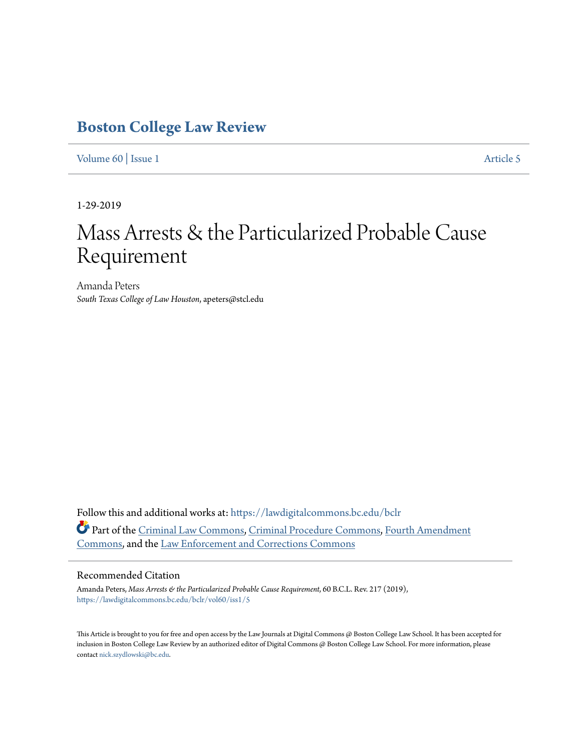# **[Boston College Law Review](https://lawdigitalcommons.bc.edu/bclr?utm_source=lawdigitalcommons.bc.edu%2Fbclr%2Fvol60%2Fiss1%2F5&utm_medium=PDF&utm_campaign=PDFCoverPages)**

[Volume 60](https://lawdigitalcommons.bc.edu/bclr/vol60?utm_source=lawdigitalcommons.bc.edu%2Fbclr%2Fvol60%2Fiss1%2F5&utm_medium=PDF&utm_campaign=PDFCoverPages) | [Issue 1](https://lawdigitalcommons.bc.edu/bclr/vol60/iss1?utm_source=lawdigitalcommons.bc.edu%2Fbclr%2Fvol60%2Fiss1%2F5&utm_medium=PDF&utm_campaign=PDFCoverPages) [Article 5](https://lawdigitalcommons.bc.edu/bclr/vol60/iss1/5?utm_source=lawdigitalcommons.bc.edu%2Fbclr%2Fvol60%2Fiss1%2F5&utm_medium=PDF&utm_campaign=PDFCoverPages)

1-29-2019

# Mass Arrests & the Particularized Probable Cause Requirement

Amanda Peters *South Texas College of Law Houston*, apeters@stcl.edu

Follow this and additional works at: [https://lawdigitalcommons.bc.edu/bclr](https://lawdigitalcommons.bc.edu/bclr?utm_source=lawdigitalcommons.bc.edu%2Fbclr%2Fvol60%2Fiss1%2F5&utm_medium=PDF&utm_campaign=PDFCoverPages) Part of the [Criminal Law Commons](http://network.bepress.com/hgg/discipline/912?utm_source=lawdigitalcommons.bc.edu%2Fbclr%2Fvol60%2Fiss1%2F5&utm_medium=PDF&utm_campaign=PDFCoverPages), [Criminal Procedure Commons](http://network.bepress.com/hgg/discipline/1073?utm_source=lawdigitalcommons.bc.edu%2Fbclr%2Fvol60%2Fiss1%2F5&utm_medium=PDF&utm_campaign=PDFCoverPages), [Fourth Amendment](http://network.bepress.com/hgg/discipline/1180?utm_source=lawdigitalcommons.bc.edu%2Fbclr%2Fvol60%2Fiss1%2F5&utm_medium=PDF&utm_campaign=PDFCoverPages) [Commons,](http://network.bepress.com/hgg/discipline/1180?utm_source=lawdigitalcommons.bc.edu%2Fbclr%2Fvol60%2Fiss1%2F5&utm_medium=PDF&utm_campaign=PDFCoverPages) and the [Law Enforcement and Corrections Commons](http://network.bepress.com/hgg/discipline/854?utm_source=lawdigitalcommons.bc.edu%2Fbclr%2Fvol60%2Fiss1%2F5&utm_medium=PDF&utm_campaign=PDFCoverPages)

# Recommended Citation

Amanda Peters, *Mass Arrests & the Particularized Probable Cause Requirement*, 60 B.C.L. Rev. 217 (2019), [https://lawdigitalcommons.bc.edu/bclr/vol60/iss1/5](https://lawdigitalcommons.bc.edu/bclr/vol60/iss1/5?utm_source=lawdigitalcommons.bc.edu%2Fbclr%2Fvol60%2Fiss1%2F5&utm_medium=PDF&utm_campaign=PDFCoverPages)

This Article is brought to you for free and open access by the Law Journals at Digital Commons @ Boston College Law School. It has been accepted for inclusion in Boston College Law Review by an authorized editor of Digital Commons @ Boston College Law School. For more information, please contact [nick.szydlowski@bc.edu](mailto:nick.szydlowski@bc.edu).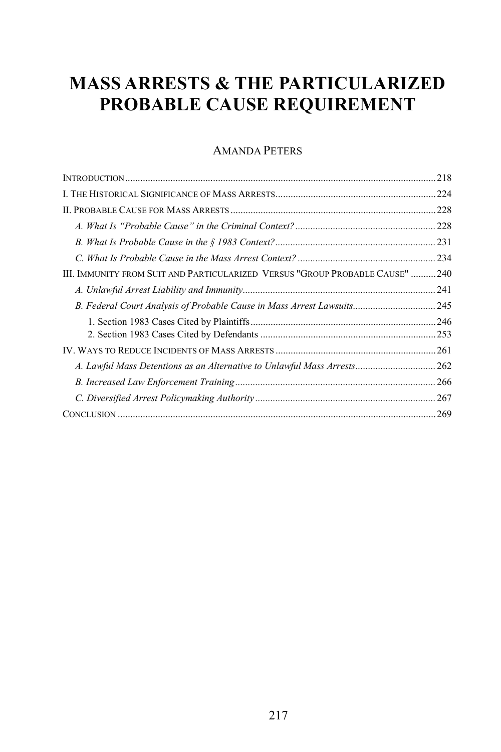# **MASS ARRESTS & THE PARTICULARIZED PROBABLE CAUSE REQUIREMENT**

# AMANDA PETERS

|                                                                              | 218 |
|------------------------------------------------------------------------------|-----|
|                                                                              |     |
|                                                                              |     |
|                                                                              |     |
|                                                                              |     |
|                                                                              |     |
| III. IMMUNITY FROM SUIT AND PARTICULARIZED VERSUS "GROUP PROBABLE CAUSE" 240 |     |
|                                                                              |     |
| B. Federal Court Analysis of Probable Cause in Mass Arrest Lawsuits 245      |     |
|                                                                              |     |
|                                                                              |     |
|                                                                              |     |
| A. Lawful Mass Detentions as an Alternative to Unlawful Mass Arrests 262     |     |
|                                                                              |     |
|                                                                              | 267 |
|                                                                              |     |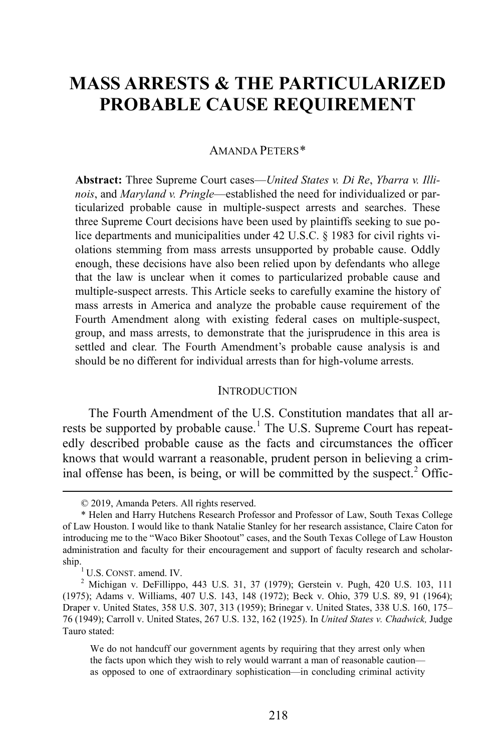# **MASS ARRESTS & THE PARTICULARIZED PROBABLE CAUSE REQUIREMENT**

#### AMANDA PETERS[\\*](#page-2-0)

**Abstract:** Three Supreme Court cases—*United States v. Di Re*, *Ybarra v. Illinois*, and *Maryland v. Pringle*—established the need for individualized or particularized probable cause in multiple-suspect arrests and searches. These three Supreme Court decisions have been used by plaintiffs seeking to sue police departments and municipalities under 42 U.S.C. § 1983 for civil rights violations stemming from mass arrests unsupported by probable cause. Oddly enough, these decisions have also been relied upon by defendants who allege that the law is unclear when it comes to particularized probable cause and multiple-suspect arrests. This Article seeks to carefully examine the history of mass arrests in America and analyze the probable cause requirement of the Fourth Amendment along with existing federal cases on multiple-suspect, group, and mass arrests, to demonstrate that the jurisprudence in this area is settled and clear. The Fourth Amendment's probable cause analysis is and should be no different for individual arrests than for high-volume arrests.

#### **INTRODUCTION**

The Fourth Amendment of the U.S. Constitution mandates that all ar-rests be supported by probable cause.<sup>[1](#page-2-1)</sup> The U.S. Supreme Court has repeatedly described probable cause as the facts and circumstances the officer knows that would warrant a reasonable, prudent person in believing a crim-inal offense has been, is being, or will be committed by the suspect.<sup>[2](#page-2-2)</sup> Offic-

We do not handcuff our government agents by requiring that they arrest only when the facts upon which they wish to rely would warrant a man of reasonable caution as opposed to one of extraordinary sophistication—in concluding criminal activity

 <sup>© 2019,</sup> Amanda Peters. All rights reserved.

<span id="page-2-0"></span><sup>\*</sup> Helen and Harry Hutchens Research Professor and Professor of Law, South Texas College of Law Houston. I would like to thank Natalie Stanley for her research assistance, Claire Caton for introducing me to the "Waco Biker Shootout" cases, and the South Texas College of Law Houston administration and faculty for their encouragement and support of faculty research and scholar-

<span id="page-2-2"></span><span id="page-2-1"></span>ship.<br><sup>1</sup> U.S. CONST. amend. IV.<br><sup>2</sup> Michigan v. DeFillippo, 443 U.S. 31, 37 (1979); Gerstein v. Pugh, 420 U.S. 103, 111 (1975); Adams v. Williams, 407 U.S. 143, 148 (1972); Beck v. Ohio, 379 U.S. 89, 91 (1964); Draper v. United States, 358 U.S. 307, 313 (1959); Brinegar v. United States, 338 U.S. 160, 175– 76 (1949); Carroll v. United States, 267 U.S. 132, 162 (1925). In *United States v. Chadwick,* Judge Tauro stated: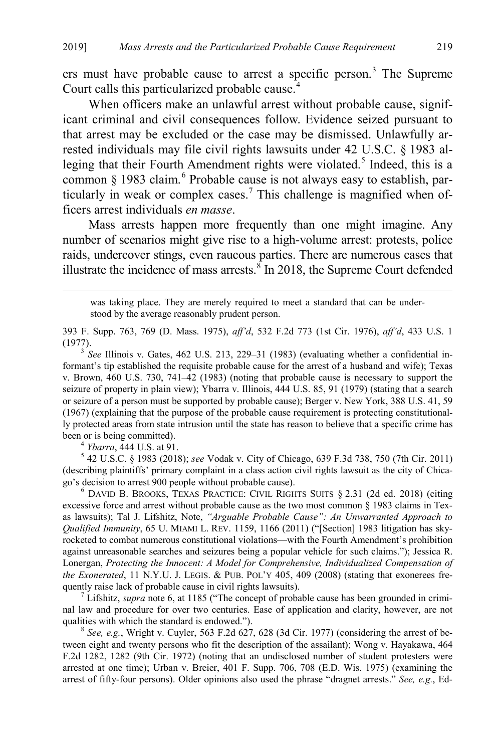ers must have probable cause to arrest a specific person.<sup>[3](#page-3-1)</sup> The Supreme Court calls this particularized probable cause.<sup>[4](#page-3-2)</sup>

When officers make an unlawful arrest without probable cause, significant criminal and civil consequences follow. Evidence seized pursuant to that arrest may be excluded or the case may be dismissed. Unlawfully arrested individuals may file civil rights lawsuits under 42 U.S.C. § 1983 al-leging that their Fourth Amendment rights were violated.<sup>[5](#page-3-3)</sup> Indeed, this is a common § 1983 claim.<sup>[6](#page-3-4)</sup> Probable cause is not always easy to establish, par-ticularly in weak or complex cases.<sup>[7](#page-3-5)</sup> This challenge is magnified when officers arrest individuals *en masse*.

<span id="page-3-0"></span>Mass arrests happen more frequently than one might imagine. Any number of scenarios might give rise to a high-volume arrest: protests, police raids, undercover stings, even raucous parties. There are numerous cases that illustrate the incidence of mass arrests. ${}^{8}$  ${}^{8}$  ${}^{8}$  In 2018, the Supreme Court defended

 was taking place. They are merely required to meet a standard that can be understood by the average reasonably prudent person.

393 F. Supp. 763, 769 (D. Mass. 1975), *aff'd*, 532 F.2d 773 (1st Cir. 1976), *aff'd*, 433 U.S. 1 (1977). <sup>3</sup> *See* Illinois v. Gates, 462 U.S. 213, 229–31 (1983) (evaluating whether a confidential in-

<span id="page-3-1"></span>formant's tip established the requisite probable cause for the arrest of a husband and wife); Texas v. Brown, 460 U.S. 730, 741–42 (1983) (noting that probable cause is necessary to support the seizure of property in plain view); Ybarra v. Illinois, 444 U.S. 85, 91 (1979) (stating that a search or seizure of a person must be supported by probable cause); Berger v. New York, 388 U.S. 41, 59 (1967) (explaining that the purpose of the probable cause requirement is protecting constitutionally protected areas from state intrusion until the state has reason to believe that a specific crime has been or is being committed).<br><sup>4</sup> *Ybarra*, 444 U.S. at 91.<br><sup>5</sup> 42 U.S.C. § 1983 (2018); *see* Vodak v. City of Chicago, 639 F.3d 738, 750 (7th Cir. 2011)

<span id="page-3-3"></span><span id="page-3-2"></span>(describing plaintiffs' primary complaint in a class action civil rights lawsuit as the city of Chicago's decision to arrest 900 people without probable cause). <sup>6</sup>

<span id="page-3-4"></span> $6$  DAVID B. BROOKS, TEXAS PRACTICE: CIVIL RIGHTS SUITS  $§$  2.31 (2d ed. 2018) (citing excessive force and arrest without probable cause as the two most common § 1983 claims in Texas lawsuits); Tal J. Lifshitz, Note, *"Arguable Probable Cause": An Unwarranted Approach to Qualified Immunity*, 65 U. MIAMI L. REV. 1159, 1166 (2011) ("[Section] 1983 litigation has skyrocketed to combat numerous constitutional violations—with the Fourth Amendment's prohibition against unreasonable searches and seizures being a popular vehicle for such claims."); Jessica R. Lonergan, *Protecting the Innocent: A Model for Comprehensive, Individualized Compensation of the Exonerated*, 11 N.Y.U. J. LEGIS. & PUB. POL'Y 405, 409 (2008) (stating that exonerees frequently raise lack of probable cause in civil rights lawsuits). <sup>7</sup> Lifshitz, *supra* not[e 6,](#page-3-0) at 1185 ("The concept of probable cause has been grounded in crimi-

<span id="page-3-5"></span>nal law and procedure for over two centuries. Ease of application and clarity, however, are not qualities with which the standard is endowed.").<br><sup>8</sup> *See, e.g.*, Wright v. Cuyler, 563 F.2d 627, 628 (3d Cir. 1977) (considering the arrest of be-

<span id="page-3-6"></span>tween eight and twenty persons who fit the description of the assailant); Wong v. Hayakawa, 464 F.2d 1282, 1282 (9th Cir. 1972) (noting that an undisclosed number of student protesters were arrested at one time); Urban v. Breier, 401 F. Supp. 706, 708 (E.D. Wis. 1975) (examining the arrest of fifty-four persons). Older opinions also used the phrase "dragnet arrests." *See, e.g.*, Ed-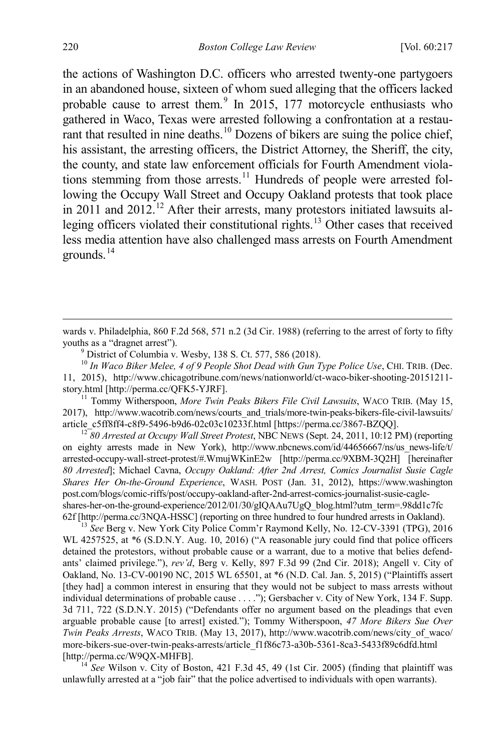the actions of Washington D.C. officers who arrested twenty-one partygoers in an abandoned house, sixteen of whom sued alleging that the officers lacked probable cause to arrest them. $9 \text{ In } 2015, 177 \text{ motorcycle enthusiasm who}$  $9 \text{ In } 2015, 177 \text{ motorcycle enthusiasm who}$ gathered in Waco, Texas were arrested following a confrontation at a restau-rant that resulted in nine deaths.<sup>[10](#page-4-1)</sup> Dozens of bikers are suing the police chief, his assistant, the arresting officers, the District Attorney, the Sheriff, the city, the county, and state law enforcement officials for Fourth Amendment viola-tions stemming from those arrests.<sup>[11](#page-4-2)</sup> Hundreds of people were arrested following the Occupy Wall Street and Occupy Oakland protests that took place in 2011 and 20[12](#page-4-3).<sup>12</sup> After their arrests, many protestors initiated lawsuits alleging officers violated their constitutional rights.[13](#page-4-4) Other cases that received less media attention have also challenged mass arrests on Fourth Amendment grounds.[14](#page-4-5)

<span id="page-4-1"></span><span id="page-4-0"></span><sup>10</sup> In Waco Biker Melee, 4 of 9 People Shot Dead with Gun Type Police Use, CHI. TRIB. (Dec. 11, 2015), http://www.chicagotribune.com/news/nationworld/ct-waco-biker-shooting-20151211-

<span id="page-4-2"></span>story.html [http://perma.cc/QFK5-YJRF]. <sup>11</sup> Tommy Witherspoon, *More Twin Peaks Bikers File Civil Lawsuits*, WACO TRIB. (May 15, 2017), http://www.wacotrib.com/news/courts and trials/more-twin-peaks-bikers-file-civil-lawsuits/ article\_c5ff8ff4-c8f9-5496-b9d6-02c03c10233f.html [https://perma.cc/3867-BZQQ]. <sup>12</sup> *80 Arrested at Occupy Wall Street Protest*, NBC NEWS (Sept. 24, 2011, 10:12 PM) (reporting

<span id="page-4-3"></span>on eighty arrests made in New York), http://www.nbcnews.com/id/44656667/ns/us news-life/t/ arrested-occupy-wall-street-protest/#.WmujWKinE2w [http://perma.cc/9XBM-3Q2H] [hereinafter *80 Arrested*]; Michael Cavna, *Occupy Oakland: After 2nd Arrest, Comics Journalist Susie Cagle Shares Her On-the-Ground Experience*, WASH. POST (Jan. 31, 2012), https://www.washington post.com/blogs/comic-riffs/post/occupy-oakland-after-2nd-arrest-comics-journalist-susie-cagleshares-her-on-the-ground-experience/2012/01/30/gIQAAu7UgQ\_blog.html?utm\_term=.98dd1c7fc 62f [http://perma.cc/3NQA-HSSC] (reporting on three hundred to four hundred arrests in Oakland). <sup>13</sup> *See* Berg v. New York City Police Comm'r Raymond Kelly, No. 12-CV-3391 (TPG), 2016

<span id="page-4-4"></span>WL 4257525, at \*6 (S.D.N.Y. Aug. 10, 2016) ("A reasonable jury could find that police officers detained the protestors, without probable cause or a warrant, due to a motive that belies defendants' claimed privilege."), *rev'd*, Berg v. Kelly, 897 F.3d 99 (2nd Cir. 2018); Angell v. City of Oakland, No. 13-CV-00190 NC, 2015 WL 65501, at \*6 (N.D. Cal. Jan. 5, 2015) ("Plaintiffs assert [they had] a common interest in ensuring that they would not be subject to mass arrests without individual determinations of probable cause . . . ."); Gersbacher v. City of New York, 134 F. Supp. 3d 711, 722 (S.D.N.Y. 2015) ("Defendants offer no argument based on the pleadings that even arguable probable cause [to arrest] existed."); Tommy Witherspoon, *47 More Bikers Sue Over Twin Peaks Arrests*, WACO TRIB. (May 13, 2017), http://www.wacotrib.com/news/city\_of\_waco/ more-bikers-sue-over-twin-peaks-arrests/article\_f1f86c73-a30b-5361-8ca3-5433f89c6dfd.html [http://perma.cc/W9QX-MHFB]. <sup>14</sup> *See* Wilson v. City of Boston, 421 F.3d 45, 49 (1st Cir. 2005) (finding that plaintiff was

<span id="page-4-5"></span>unlawfully arrested at a "job fair" that the police advertised to individuals with open warrants).

<span id="page-4-6"></span>wards v. Philadelphia, 860 F.2d 568, 571 n.2 (3d Cir. 1988) (referring to the arrest of forty to fifty youths as a "dragnet arrest").<br><sup>9</sup> District of Columbia v. Wesby, 138 S. Ct. 577, 586 (2018).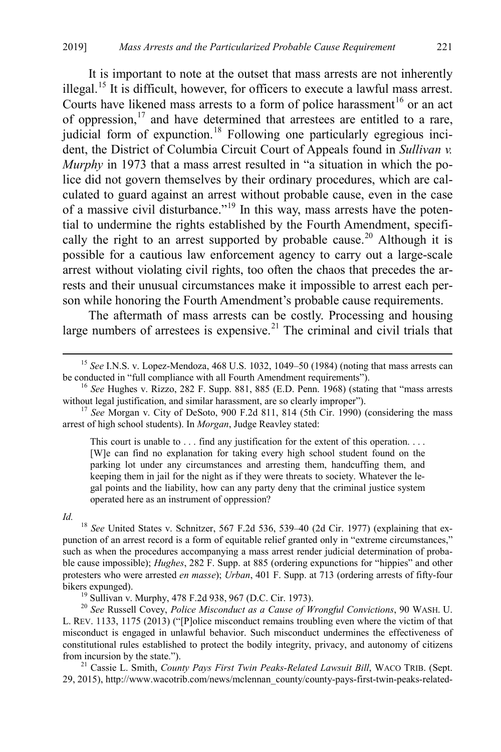It is important to note at the outset that mass arrests are not inherently illegal.<sup>15</sup> It is difficult, however, for officers to execute a lawful mass arrest. Courts have likened mass arrests to a form of police harassment<sup>[16](#page-5-1)</sup> or an act of oppression,<sup>[17](#page-5-2)</sup> and have determined that arrestees are entitled to a rare, judicial form of expunction.<sup>[18](#page-5-3)</sup> Following one particularly egregious incident, the District of Columbia Circuit Court of Appeals found in *Sullivan v. Murphy* in 1973 that a mass arrest resulted in "a situation in which the police did not govern themselves by their ordinary procedures, which are calculated to guard against an arrest without probable cause, even in the case of a massive civil disturbance."[19](#page-5-4) In this way, mass arrests have the potential to undermine the rights established by the Fourth Amendment, specifi-cally the right to an arrest supported by probable cause.<sup>[20](#page-5-5)</sup> Although it is possible for a cautious law enforcement agency to carry out a large-scale arrest without violating civil rights, too often the chaos that precedes the arrests and their unusual circumstances make it impossible to arrest each person while honoring the Fourth Amendment's probable cause requirements.

<span id="page-5-7"></span>The aftermath of mass arrests can be costly. Processing and housing large numbers of arrestees is expensive.<sup>[21](#page-5-6)</sup> The criminal and civil trials that

This court is unable to . . . find any justification for the extent of this operation. . . . [W]e can find no explanation for taking every high school student found on the parking lot under any circumstances and arresting them, handcuffing them, and keeping them in jail for the night as if they were threats to society. Whatever the legal points and the liability, how can any party deny that the criminal justice system operated here as an instrument of oppression?

<span id="page-5-3"></span>*Id.* <sup>18</sup> *See* United States v. Schnitzer, 567 F.2d 536, 539–40 (2d Cir. 1977) (explaining that expunction of an arrest record is a form of equitable relief granted only in "extreme circumstances," such as when the procedures accompanying a mass arrest render judicial determination of probable cause impossible); *Hughes*, 282 F. Supp. at 885 (ordering expunctions for "hippies" and other protesters who were arrested *en masse*); *Urban*, 401 F. Supp. at 713 (ordering arrests of fifty-four

<span id="page-5-5"></span><span id="page-5-4"></span>bikers expunged). <sup>19</sup> Sullivan v. Murphy, 478 F.2d 938, 967 (D.C. Cir. 1973). <sup>20</sup> *See* Russell Covey, *Police Misconduct as a Cause of Wrongful Convictions*, 90 WASH. U. L. REV. 1133, 1175 (2013) ("[P]olice misconduct remains troubling even where the victim of that misconduct is engaged in unlawful behavior. Such misconduct undermines the effectiveness of constitutional rules established to protect the bodily integrity, privacy, and autonomy of citizens from incursion by the state."). <sup>21</sup> Cassie L. Smith, *County Pays First Twin Peaks-Related Lawsuit Bill*, WACO TRIB. (Sept.

<span id="page-5-6"></span>29, 2015), http://www.wacotrib.com/news/mclennan\_county/county-pays-first-twin-peaks-related-

<span id="page-5-0"></span><sup>&</sup>lt;sup>15</sup> *See* I.N.S. v. Lopez-Mendoza, 468 U.S. 1032, 1049–50 (1984) (noting that mass arrests can be conducted in "full compliance with all Fourth Amendment requirements").

<span id="page-5-1"></span><sup>&</sup>lt;sup>16</sup> See Hughes v. Rizzo, 282 F. Supp. 881, 885 (E.D. Penn. 1968) (stating that "mass arrests without legal justification, and similar harassment, are so clearly improper").

<span id="page-5-2"></span><sup>&</sup>lt;sup>17</sup> See Morgan v. City of DeSoto, 900 F.2d 811, 814 (5th Cir. 1990) (considering the mass arrest of high school students). In *Morgan*, Judge Reavley stated: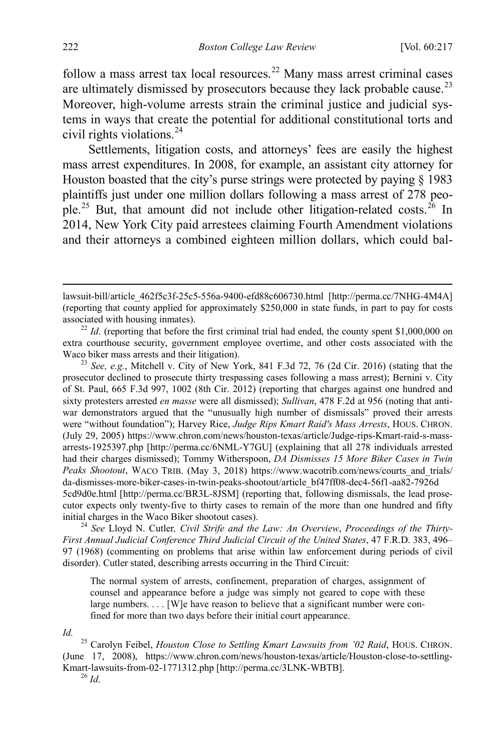follow a mass arrest tax local resources.<sup>[22](#page-6-0)</sup> Many mass arrest criminal cases are ultimately dismissed by prosecutors because they lack probable cause.<sup>[23](#page-6-1)</sup> Moreover, high-volume arrests strain the criminal justice and judicial systems in ways that create the potential for additional constitutional torts and civil rights violations.[24](#page-6-2)

<span id="page-6-5"></span>Settlements, litigation costs, and attorneys' fees are easily the highest mass arrest expenditures. In 2008, for example, an assistant city attorney for Houston boasted that the city's purse strings were protected by paying § 1983 plaintiffs just under one million dollars following a mass arrest of 278 peo-ple.<sup>[25](#page-6-3)</sup> But, that amount did not include other litigation-related costs.<sup>[26](#page-6-4)</sup> In 2014, New York City paid arrestees claiming Fourth Amendment violations and their attorneys a combined eighteen million dollars, which could bal-

<span id="page-6-1"></span><sup>23</sup> See, e.g., Mitchell v. City of New York, 841 F.3d 72, 76 (2d Cir. 2016) (stating that the prosecutor declined to prosecute thirty trespassing cases following a mass arrest); Bernini v. City of St. Paul, 665 F.3d 997, 1002 (8th Cir. 2012) (reporting that charges against one hundred and sixty protesters arrested *en masse* were all dismissed); *Sullivan*, 478 F.2d at 956 (noting that antiwar demonstrators argued that the "unusually high number of dismissals" proved their arrests were "without foundation"); Harvey Rice, *Judge Rips Kmart Raid's Mass Arrests*, HOUS. CHRON. (July 29, 2005) https://www.chron.com/news/houston-texas/article/Judge-rips-Kmart-raid-s-massarrests-1925397.php [http://perma.cc/6NML-Y7GU] (explaining that all 278 individuals arrested had their charges dismissed); Tommy Witherspoon, *DA Dismisses 15 More Biker Cases in Twin Peaks Shootout*, WACO TRIB. (May 3, 2018) https://www.wacotrib.com/news/courts\_and\_trials/ da-dismisses-more-biker-cases-in-twin-peaks-shootout/article\_bf47ff08-dec4-56f1-aa82-7926d 5cd9d0e.html [http://perma.cc/BR3L-8JSM] (reporting that, following dismissals, the lead prosecutor expects only twenty-five to thirty cases to remain of the more than one hundred and fifty

<span id="page-6-2"></span>initial charges in the Waco Biker shootout cases). <sup>24</sup> *See* Lloyd N. Cutler*, Civil Strife and the Law: An Overview*, *Proceedings of the Thirty-First Annual Judicial Conference Third Judicial Circuit of the United States*, 47 F.R.D. 383, 496– 97 (1968) (commenting on problems that arise within law enforcement during periods of civil disorder). Cutler stated, describing arrests occurring in the Third Circuit:

The normal system of arrests, confinement, preparation of charges, assignment of counsel and appearance before a judge was simply not geared to cope with these large numbers. . . . [W]e have reason to believe that a significant number were confined for more than two days before their initial court appearance.

<span id="page-6-4"></span><span id="page-6-3"></span>*Id.* <sup>25</sup> Carolyn Feibel, *Houston Close to Settling Kmart Lawsuits from '02 Raid*, HOUS. CHRON. (June 17, 2008), https://www.chron.com/news/houston-texas/article/Houston-close-to-settling-Kmart-lawsuits-from-02-1771312.php [http://perma.cc/3LNK-WBTB]. 26 *Id*.

lawsuit-bill/article\_462f5c3f-25c5-556a-9400-efd88c606730.html [http://perma.cc/7NHG-4M4A] (reporting that county applied for approximately \$250,000 in state funds, in part to pay for costs associated with housing inmates).<br><sup>22</sup> *Id.* (reporting that before the first criminal trial had ended, the county spent \$1,000,000 on

<span id="page-6-0"></span>extra courthouse security, government employee overtime, and other costs associated with the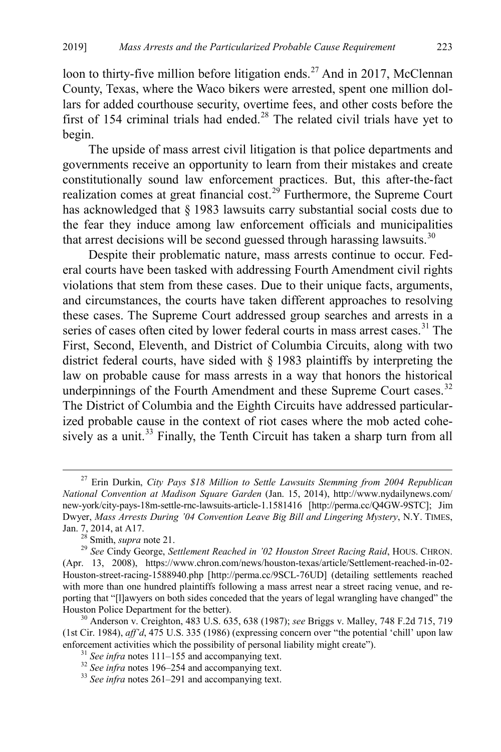<span id="page-7-7"></span>loon to thirty-five million before litigation ends.<sup>[27](#page-7-0)</sup> And in 2017, McClennan County, Texas, where the Waco bikers were arrested, spent one million dollars for added courthouse security, overtime fees, and other costs before the first of 154 criminal trials had ended.<sup>[28](#page-7-1)</sup> The related civil trials have yet to begin.

<span id="page-7-8"></span>The upside of mass arrest civil litigation is that police departments and governments receive an opportunity to learn from their mistakes and create constitutionally sound law enforcement practices. But, this after-the-fact realization comes at great financial cost.<sup>[29](#page-7-2)</sup> Furthermore, the Supreme Court has acknowledged that § 1983 lawsuits carry substantial social costs due to the fear they induce among law enforcement officials and municipalities that arrest decisions will be second guessed through harassing lawsuits. $30$ 

Despite their problematic nature, mass arrests continue to occur. Federal courts have been tasked with addressing Fourth Amendment civil rights violations that stem from these cases. Due to their unique facts, arguments, and circumstances, the courts have taken different approaches to resolving these cases. The Supreme Court addressed group searches and arrests in a series of cases often cited by lower federal courts in mass arrest cases.<sup>[31](#page-7-4)</sup> The First, Second, Eleventh, and District of Columbia Circuits, along with two district federal courts, have sided with § 1983 plaintiffs by interpreting the law on probable cause for mass arrests in a way that honors the historical underpinnings of the Fourth Amendment and these Supreme Court cases.<sup>[32](#page-7-5)</sup> The District of Columbia and the Eighth Circuits have addressed particularized probable cause in the context of riot cases where the mob acted cohe-sively as a unit.<sup>[33](#page-7-6)</sup> Finally, the Tenth Circuit has taken a sharp turn from all

<span id="page-7-0"></span> <sup>27</sup> Erin Durkin, *City Pays \$18 Million to Settle Lawsuits Stemming from 2004 Republican National Convention at Madison Square Garden* (Jan. 15, 2014), http://www.nydailynews.com/ new-york/city-pays-18m-settle-rnc-lawsuits-article-1.1581416 [http://perma.cc/Q4GW-9STC]; Jim Dwyer, *Mass Arrests During '04 Convention Leave Big Bill and Lingering Mystery*, N.Y. TIMES,

<span id="page-7-2"></span><span id="page-7-1"></span>Jan. 7, 2014, at A17. <sup>28</sup> Smith, *supra* not[e 21.](#page-5-7) 29 *See* Cindy George, *Settlement Reached in '02 Houston Street Racing Raid*, HOUS. CHRON. (Apr. 13, 2008), https://www.chron.com/news/houston-texas/article/Settlement-reached-in-02- Houston-street-racing-1588940.php [http://perma.cc/9SCL-76UD] (detailing settlements reached with more than one hundred plaintiffs following a mass arrest near a street racing venue, and reporting that "[l]awyers on both sides conceded that the years of legal wrangling have changed" the Houston Police Department for the better). <sup>30</sup> Anderson v. Creighton, 483 U.S. 635, 638 (1987); *see* Briggs v. Malley, 748 F.2d 715, 719

<span id="page-7-5"></span><span id="page-7-4"></span><span id="page-7-3"></span><sup>(1</sup>st Cir. 1984), *aff'd*, 475 U.S. 335 (1986) (expressing concern over "the potential 'chill' upon law enforcement activities which the possibility of personal liability might create").<br><sup>31</sup> See infra note[s 111](#page-19-0)[–155](#page-24-0) and accompanying text.<br><sup>32</sup> See infra note[s 196](#page-30-0)[–254](#page-36-0) and accompanying text.<br><sup>33</sup> See infra note[s 261](#page-38-0)[–291](#page-41-0) and a

<span id="page-7-6"></span>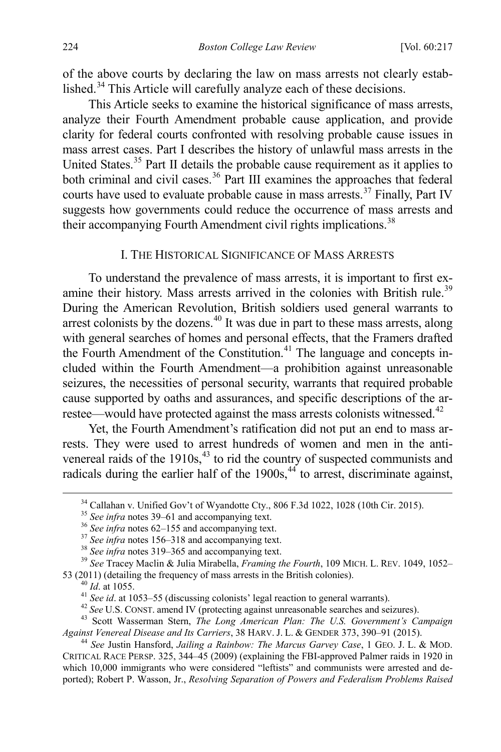of the above courts by declaring the law on mass arrests not clearly estab-lished.<sup>[34](#page-8-1)</sup> This Article will carefully analyze each of these decisions.

This Article seeks to examine the historical significance of mass arrests, analyze their Fourth Amendment probable cause application, and provide clarity for federal courts confronted with resolving probable cause issues in mass arrest cases. Part I describes the history of unlawful mass arrests in the United States.<sup>[35](#page-8-2)</sup> Part II details the probable cause requirement as it applies to both criminal and civil cases. [36](#page-8-3) Part III examines the approaches that federal courts have used to evaluate probable cause in mass arrests. [37](#page-8-4) Finally, Part IV suggests how governments could reduce the occurrence of mass arrests and their accompanying Fourth Amendment civil rights implications.<sup>[38](#page-8-5)</sup>

## <span id="page-8-0"></span>I. THE HISTORICAL SIGNIFICANCE OF MASS ARRESTS

To understand the prevalence of mass arrests, it is important to first ex-amine their history. Mass arrests arrived in the colonies with British rule.<sup>[39](#page-8-6)</sup> During the American Revolution, British soldiers used general warrants to arrest colonists by the dozens.<sup>[40](#page-8-7)</sup> It was due in part to these mass arrests, along with general searches of homes and personal effects, that the Framers drafted the Fourth Amendment of the Constitution.<sup>[41](#page-8-8)</sup> The language and concepts included within the Fourth Amendment—a prohibition against unreasonable seizures, the necessities of personal security, warrants that required probable cause supported by oaths and assurances, and specific descriptions of the ar-restee—would have protected against the mass arrests colonists witnessed.<sup>[42](#page-8-9)</sup>

Yet, the Fourth Amendment's ratification did not put an end to mass arrests. They were used to arrest hundreds of women and men in the antivenereal raids of the  $1910s<sup>43</sup>$  $1910s<sup>43</sup>$  $1910s<sup>43</sup>$  to rid the country of suspected communists and radicals during the earlier half of the  $1900s$ ,  $44$  to arrest, discriminate against,

<span id="page-8-13"></span><span id="page-8-12"></span>

<span id="page-8-4"></span><span id="page-8-3"></span><span id="page-8-2"></span><span id="page-8-1"></span><sup>&</sup>lt;sup>34</sup> Callahan v. Unified Gov't of Wyandotte Cty., 806 F.3d 1022, 1028 (10th Cir. 2015).<br><sup>35</sup> See infra note[s 39–](#page-8-0)[61](#page-12-0) and accompanying text.<br><sup>36</sup> See infra note[s 62–](#page-12-1)[155](#page-24-0) and accompanying text.<br><sup>37</sup> See infra note[s 156](#page-25-0)[–318](#page-45-0) and

<span id="page-8-9"></span><span id="page-8-8"></span><span id="page-8-7"></span><span id="page-8-6"></span><span id="page-8-5"></span><sup>&</sup>lt;sup>40</sup> *Id.* at 1055.<br><sup>41</sup> *See id.* at 1053–55 (discussing colonists' legal reaction to general warrants).<br><sup>42</sup> *See* U.S. CONST. amend IV (protecting against unreasonable searches and seizures).<br><sup>43</sup> Scott Wasserman Stern *Against Venereal Disease and Its Carriers*, 38 HARV. J. L. & GENDER 373, 390–91 (2015). <sup>44</sup> *See* Justin Hansford, *Jailing a Rainbow: The Marcus Garvey Case*, 1 GEO. J. L. & MOD.

<span id="page-8-11"></span><span id="page-8-10"></span>CRITICAL RACE PERSP. 325, 344–45 (2009) (explaining the FBI-approved Palmer raids in 1920 in which 10,000 immigrants who were considered "leftists" and communists were arrested and deported); Robert P. Wasson, Jr., *Resolving Separation of Powers and Federalism Problems Raised*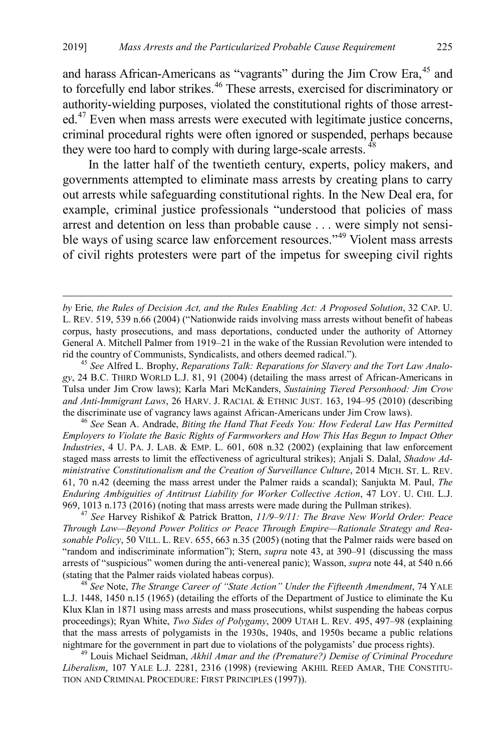and harass African-Americans as "vagrants" during the Jim Crow Era,<sup>[45](#page-9-0)</sup> and to forcefully end labor strikes.<sup>[46](#page-9-1)</sup> These arrests, exercised for discriminatory or authority-wielding purposes, violated the constitutional rights of those arrest-ed.<sup>[47](#page-9-2)</sup> Even when mass arrests were executed with legitimate justice concerns, criminal procedural rights were often ignored or suspended, perhaps because they were too hard to comply with during large-scale arrests.  $\frac{48}{3}$  $\frac{48}{3}$  $\frac{48}{3}$ 

In the latter half of the twentieth century, experts, policy makers, and governments attempted to eliminate mass arrests by creating plans to carry out arrests while safeguarding constitutional rights. In the New Deal era, for example, criminal justice professionals "understood that policies of mass arrest and detention on less than probable cause . . . were simply not sensi-ble ways of using scarce law enforcement resources."<sup>[49](#page-9-4)</sup> Violent mass arrests of civil rights protesters were part of the impetus for sweeping civil rights

<span id="page-9-5"></span> $\overline{a}$ 

<span id="page-9-0"></span>*gy*, 24 B.C. THIRD WORLD L.J. 81, 91 (2004) (detailing the mass arrest of African-Americans in Tulsa under Jim Crow laws); Karla Mari McKanders, *Sustaining Tiered Personhood: Jim Crow and Anti-Immigrant Laws*, 26 HARV. J. RACIAL & ETHNIC JUST. 163, 194–95 (2010) (describing the discriminate use of vagrancy laws against African-Americans under Jim Crow laws). <sup>46</sup> *See* Sean A. Andrade, *Biting the Hand That Feeds You: How Federal Law Has Permitted* 

<span id="page-9-1"></span>*Employers to Violate the Basic Rights of Farmworkers and How This Has Begun to Impact Other Industries*, 4 U. PA. J. LAB. & EMP. L. 601, 608 n.32 (2002) (explaining that law enforcement staged mass arrests to limit the effectiveness of agricultural strikes); Anjali S. Dalal, *Shadow Administrative Constitutionalism and the Creation of Surveillance Culture*, 2014 MICH. ST. L. REV. 61, 70 n.42 (deeming the mass arrest under the Palmer raids a scandal); Sanjukta M. Paul, *The Enduring Ambiguities of Antitrust Liability for Worker Collective Action*, 47 LOY. U. CHI. L.J. 969, 1013 n.173 (2016) (noting that mass arrests were made during the Pullman strikes). <sup>47</sup> *See* Harvey Rishikof & Patrick Bratton, *11/9*–*9/11: The Brave New World Order: Peace* 

<span id="page-9-2"></span>*Through Law—Beyond Power Politics or Peace Through Empire—Rationale Strategy and Reasonable Policy*, 50 VILL. L. REV. 655, 663 n.35 (2005) (noting that the Palmer raids were based on "random and indiscriminate information"); Stern, *supra* note [43,](#page-8-12) at 390–91 (discussing the mass arrests of "suspicious" women during the anti-venereal panic); Wasson, *supra* not[e 44,](#page-8-13) at 540 n.66 (stating that the Palmer raids violated habeas corpus). 48 *See* Note, *The Strange Career of "State Action" Under the Fifteenth Amendment*, 74 YALE

<span id="page-9-3"></span>L.J. 1448, 1450 n.15 (1965) (detailing the efforts of the Department of Justice to eliminate the Ku Klux Klan in 1871 using mass arrests and mass prosecutions, whilst suspending the habeas corpus proceedings); Ryan White, *Two Sides of Polygamy*, 2009 UTAH L. REV. 495, 497–98 (explaining that the mass arrests of polygamists in the 1930s, 1940s, and 1950s became a public relations nightmare for the government in part due to violations of the polygamists' due process rights). <sup>49</sup> Louis Michael Seidman, *Akhil Amar and the (Premature?) Demise of Criminal Procedure* 

<span id="page-9-4"></span>*Liberalism*, 107 YALE L.J. 2281, 2316 (1998) (reviewing AKHIL REED AMAR, THE CONSTITU-TION AND CRIMINAL PROCEDURE: FIRST PRINCIPLES (1997)).

*by* Erie*, the Rules of Decision Act, and the Rules Enabling Act: A Proposed Solution*, 32 CAP. U. L. REV. 519, 539 n.66 (2004) ("Nationwide raids involving mass arrests without benefit of habeas corpus, hasty prosecutions, and mass deportations, conducted under the authority of Attorney General A. Mitchell Palmer from 1919–21 in the wake of the Russian Revolution were intended to rid the country of Communists, Syndicalists, and others deemed radical."). <sup>45</sup> *See* Alfred L. Brophy, *Reparations Talk: Reparations for Slavery and the Tort Law Analo-*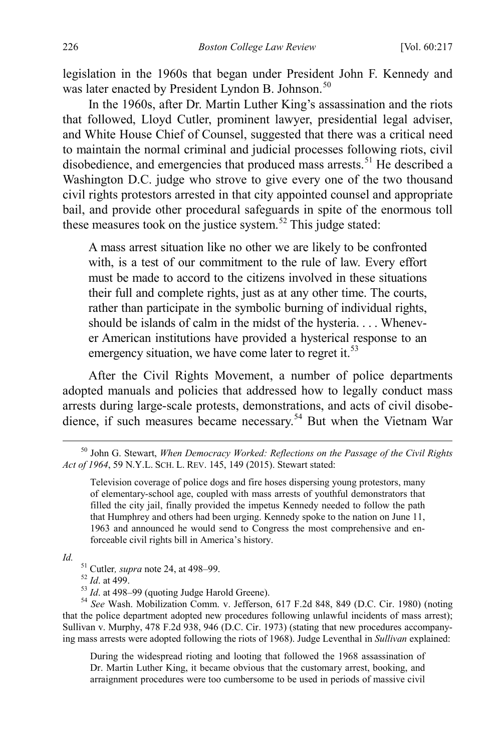legislation in the 1960s that began under President John F. Kennedy and was later enacted by President Lyndon B. Johnson.<sup>[50](#page-10-0)</sup>

In the 1960s, after Dr. Martin Luther King's assassination and the riots that followed, Lloyd Cutler, prominent lawyer, presidential legal adviser, and White House Chief of Counsel, suggested that there was a critical need to maintain the normal criminal and judicial processes following riots, civil disobedience, and emergencies that produced mass arrests.<sup>[51](#page-10-1)</sup> He described a Washington D.C. judge who strove to give every one of the two thousand civil rights protestors arrested in that city appointed counsel and appropriate bail, and provide other procedural safeguards in spite of the enormous toll these measures took on the justice system.<sup>[52](#page-10-2)</sup> This judge stated:

A mass arrest situation like no other we are likely to be confronted with, is a test of our commitment to the rule of law. Every effort must be made to accord to the citizens involved in these situations their full and complete rights, just as at any other time. The courts, rather than participate in the symbolic burning of individual rights, should be islands of calm in the midst of the hysteria. . . . Whenever American institutions have provided a hysterical response to an emergency situation, we have come later to regret it.<sup>[53](#page-10-3)</sup>

After the Civil Rights Movement, a number of police departments adopted manuals and policies that addressed how to legally conduct mass arrests during large-scale protests, demonstrations, and acts of civil disobe-dience, if such measures became necessary.<sup>[54](#page-10-4)</sup> But when the Vietnam War

<span id="page-10-4"></span><span id="page-10-3"></span><span id="page-10-2"></span><span id="page-10-1"></span>*Id.*<br> $^{51}$  Cutler, *supra* not[e 24,](#page-6-5) at 498–99.<br> $^{52}$  *Id.* at 499.<br> $^{53}$  *Id.* at 498–99 (quoting Judge Harold Greene).<br> $^{54}$  *See* Wash. Mobilization Comm. v. Jefferson, 617 F.2d 848, 849 (D.C. Cir. 1980) (noting that the police department adopted new procedures following unlawful incidents of mass arrest); Sullivan v. Murphy, 478 F.2d 938, 946 (D.C. Cir. 1973) (stating that new procedures accompanying mass arrests were adopted following the riots of 1968). Judge Leventhal in *Sullivan* explained:

During the widespread rioting and looting that followed the 1968 assassination of Dr. Martin Luther King, it became obvious that the customary arrest, booking, and arraignment procedures were too cumbersome to be used in periods of massive civil

<span id="page-10-0"></span> <sup>50</sup> John G. Stewart, *When Democracy Worked: Reflections on the Passage of the Civil Rights Act of 1964*, 59 N.Y.L. SCH. L. REV. 145, 149 (2015). Stewart stated:

Television coverage of police dogs and fire hoses dispersing young protestors, many of elementary-school age, coupled with mass arrests of youthful demonstrators that filled the city jail, finally provided the impetus Kennedy needed to follow the path that Humphrey and others had been urging. Kennedy spoke to the nation on June 11, 1963 and announced he would send to Congress the most comprehensive and enforceable civil rights bill in America's history.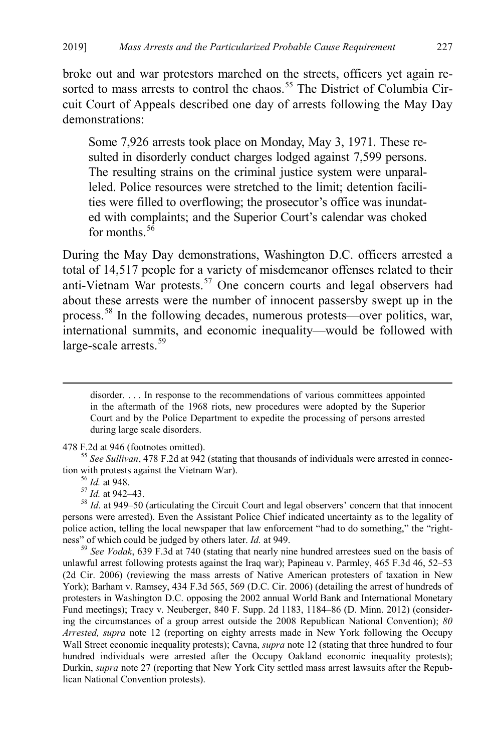broke out and war protestors marched on the streets, officers yet again re-sorted to mass arrests to control the chaos.<sup>[55](#page-11-0)</sup> The District of Columbia Circuit Court of Appeals described one day of arrests following the May Day demonstrations:

Some 7,926 arrests took place on Monday, May 3, 1971. These resulted in disorderly conduct charges lodged against 7,599 persons. The resulting strains on the criminal justice system were unparalleled. Police resources were stretched to the limit; detention facilities were filled to overflowing; the prosecutor's office was inundated with complaints; and the Superior Court's calendar was choked for months.<sup>[56](#page-11-1)</sup>

During the May Day demonstrations, Washington D.C. officers arrested a total of 14,517 people for a variety of misdemeanor offenses related to their anti-Vietnam War protests.[57](#page-11-2) One concern courts and legal observers had about these arrests were the number of innocent passersby swept up in the process.[58](#page-11-3) In the following decades, numerous protests—over politics, war, international summits, and economic inequality—would be followed with large-scale arrests.<sup>[59](#page-11-4)</sup>

 disorder. . . . In response to the recommendations of various committees appointed in the aftermath of the 1968 riots, new procedures were adopted by the Superior Court and by the Police Department to expedite the processing of persons arrested during large scale disorders.

<span id="page-11-0"></span>478 F.2d at 946 (footnotes omitted). <sup>55</sup> *See Sullivan*, 478 F.2d at 942 (stating that thousands of individuals were arrested in connection with protests against the Vietnam War).<br><sup>56</sup> *Id.* at 948.<br><sup>57</sup> *Id.* at 942–43.<br><sup>58</sup> *Id.* at 949–50 (articulating the Circuit Court and legal observers' concern that that innocent

<span id="page-11-3"></span><span id="page-11-2"></span><span id="page-11-1"></span>persons were arrested). Even the Assistant Police Chief indicated uncertainty as to the legality of police action, telling the local newspaper that law enforcement "had to do something," the "right-<br>ness" of which could be judged by others later. *Id.* at 949.

<span id="page-11-4"></span><sup>59</sup> See Vodak, 639 F.3d at 740 (stating that nearly nine hundred arrestees sued on the basis of unlawful arrest following protests against the Iraq war); Papineau v. Parmley, 465 F.3d 46, 52–53 (2d Cir. 2006) (reviewing the mass arrests of Native American protesters of taxation in New York); Barham v. Ramsey, 434 F.3d 565, 569 (D.C. Cir. 2006) (detailing the arrest of hundreds of protesters in Washington D.C. opposing the 2002 annual World Bank and International Monetary Fund meetings); Tracy v. Neuberger, 840 F. Supp. 2d 1183, 1184–86 (D. Minn. 2012) (considering the circumstances of a group arrest outside the 2008 Republican National Convention); *80 Arrested, supra* note [12](#page-4-6) (reporting on eighty arrests made in New York following the Occupy Wall Street economic inequality protests); Cavna, *supra* not[e 12](#page-4-6) (stating that three hundred to four hundred individuals were arrested after the Occupy Oakland economic inequality protests); Durkin, *supra* not[e 27](#page-7-7) (reporting that New York City settled mass arrest lawsuits after the Republican National Convention protests).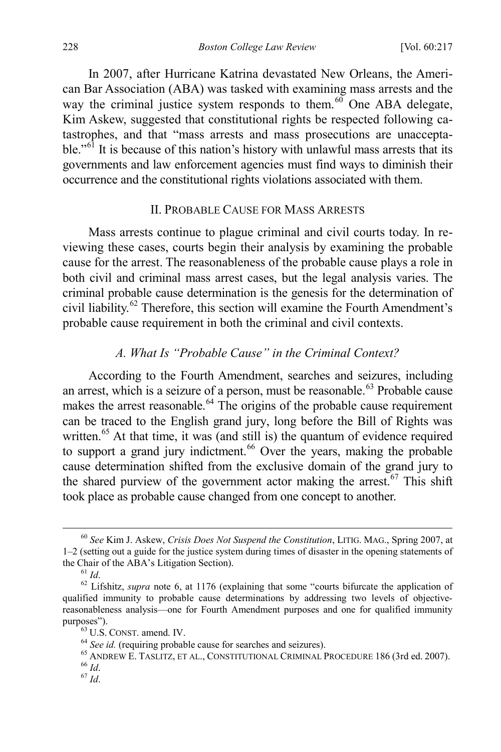<span id="page-12-0"></span>In 2007, after Hurricane Katrina devastated New Orleans, the American Bar Association (ABA) was tasked with examining mass arrests and the way the criminal justice system responds to them. $60$  One ABA delegate, Kim Askew, suggested that constitutional rights be respected following catastrophes, and that "mass arrests and mass prosecutions are unacceptable."<sup> $61$ </sup> It is because of this nation's history with unlawful mass arrests that its governments and law enforcement agencies must find ways to diminish their occurrence and the constitutional rights violations associated with them.

# II. PROBABLE CAUSE FOR MASS ARRESTS

Mass arrests continue to plague criminal and civil courts today. In reviewing these cases, courts begin their analysis by examining the probable cause for the arrest. The reasonableness of the probable cause plays a role in both civil and criminal mass arrest cases, but the legal analysis varies. The criminal probable cause determination is the genesis for the determination of civil liability.[62](#page-12-4) Therefore, this section will examine the Fourth Amendment's probable cause requirement in both the criminal and civil contexts.

# <span id="page-12-1"></span>*A. What Is "Probable Cause" in the Criminal Context?*

According to the Fourth Amendment, searches and seizures, including an arrest, which is a seizure of a person, must be reasonable.<sup>[63](#page-12-5)</sup> Probable cause makes the arrest reasonable.<sup>[64](#page-12-6)</sup> The origins of the probable cause requirement can be traced to the English grand jury, long before the Bill of Rights was written.<sup>[65](#page-12-7)</sup> At that time, it was (and still is) the quantum of evidence required to support a grand jury indictment.<sup>66</sup> Over the years, making the probable cause determination shifted from the exclusive domain of the grand jury to the shared purview of the government actor making the arrest.<sup>[67](#page-12-9)</sup> This shift took place as probable cause changed from one concept to another.

<span id="page-12-2"></span> <sup>60</sup> *See* Kim J. Askew, *Crisis Does Not Suspend the Constitution*, LITIG. MAG., Spring 2007, at 1–2 (setting out a guide for the justice system during times of disaster in the opening statements of the Chair of the ABA's Litigation Section).<br><sup>61</sup> *Id.* <sup>62</sup> Lifshitz, *supra* note [6,](#page-3-0) at 1176 (explaining that some "courts bifurcate the application of

<span id="page-12-4"></span><span id="page-12-3"></span>qualified immunity to probable cause determinations by addressing two levels of objectivereasonableness analysis—one for Fourth Amendment purposes and one for qualified immunity

<span id="page-12-9"></span><span id="page-12-8"></span><span id="page-12-7"></span><span id="page-12-6"></span><span id="page-12-5"></span>purposes").<br><sup>63</sup> U.S. CONST. amend. IV.<br><sup>64</sup> *See id.* (requiring probable cause for searches and seizures).<br><sup>65</sup> ANDREW E. TASLITZ, ET AL., CONSTITUTIONAL CRIMINAL PROCEDURE 186 (3rd ed. 2007).<br><sup>67</sup> *Id.* <sup>67</sup> *Id.*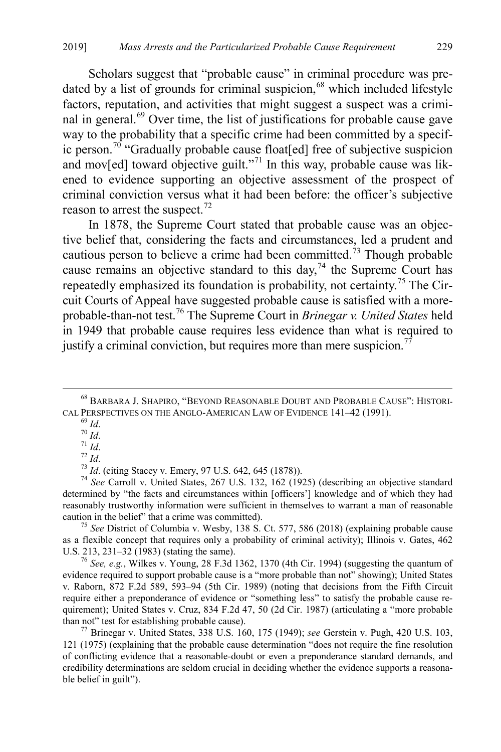Scholars suggest that "probable cause" in criminal procedure was pre-dated by a list of grounds for criminal suspicion,<sup>[68](#page-13-0)</sup> which included lifestyle factors, reputation, and activities that might suggest a suspect was a criminal in general.[69](#page-13-1) Over time, the list of justifications for probable cause gave way to the probability that a specific crime had been committed by a specif-ic person.<sup>[70](#page-13-2)</sup> "Gradually probable cause float[ed] free of subjective suspicion and mov[ed] toward objective guilt."<sup>[71](#page-13-3)</sup> In this way, probable cause was likened to evidence supporting an objective assessment of the prospect of criminal conviction versus what it had been before: the officer's subjective reason to arrest the suspect.<sup>[72](#page-13-4)</sup>

In 1878, the Supreme Court stated that probable cause was an objective belief that, considering the facts and circumstances, led a prudent and cautious person to believe a crime had been committed.<sup> $73$ </sup> Though probable cause remains an objective standard to this day,<sup>[74](#page-13-6)</sup> the Supreme Court has repeatedly emphasized its foundation is probability, not certainty.<sup>[75](#page-13-7)</sup> The Circuit Courts of Appeal have suggested probable cause is satisfied with a moreprobable-than-not test.[76](#page-13-8) The Supreme Court in *Brinegar v. United States* held in 1949 that probable cause requires less evidence than what is required to justify a criminal conviction, but requires more than mere suspicion.<sup>[77](#page-13-9)</sup>

<span id="page-13-4"></span><span id="page-13-3"></span><span id="page-13-2"></span><span id="page-13-1"></span>CAL PERSPECTIVES ON THE ANGLO-AMERICAN LAW OF EVIDENCE 141-42 (1991).<br>
<sup>69</sup> Id.<br>
<sup>70</sup> Id.<br>
<sup>71</sup> Id.<br>
<sup>71</sup> Id.<br>
<sup>73</sup> Id. (citing Stacey v. Emery, 97 U.S. 642, 645 (1878)).<br>
<sup>74</sup> See Carroll v. United States, 267 U.S. 132, determined by "the facts and circumstances within [officers'] knowledge and of which they had reasonably trustworthy information were sufficient in themselves to warrant a man of reasonable caution in the belief" that a crime was committed). <sup>75</sup> *See* District of Columbia v. Wesby, 138 S. Ct. 577, 586 (2018) (explaining probable cause

<span id="page-13-7"></span><span id="page-13-6"></span>as a flexible concept that requires only a probability of criminal activity); Illinois v. Gates, 462 U.S. 213, 231–32 (1983) (stating the same). <sup>76</sup> *See, e.g.*, Wilkes v. Young, 28 F.3d 1362, 1370 (4th Cir. 1994) (suggesting the quantum of

<span id="page-13-8"></span>evidence required to support probable cause is a "more probable than not" showing); United States v. Raborn, 872 F.2d 589, 593–94 (5th Cir. 1989) (noting that decisions from the Fifth Circuit require either a preponderance of evidence or "something less" to satisfy the probable cause requirement); United States v. Cruz, 834 F.2d 47, 50 (2d Cir. 1987) (articulating a "more probable than not" test for establishing probable cause). 77 Brinegar v. United States, 338 U.S. 160, 175 (1949); *see* Gerstein v. Pugh, 420 U.S. 103,

<span id="page-13-9"></span>121 (1975) (explaining that the probable cause determination "does not require the fine resolution of conflicting evidence that a reasonable-doubt or even a preponderance standard demands, and credibility determinations are seldom crucial in deciding whether the evidence supports a reasonable belief in guilt").

<span id="page-13-0"></span> <sup>68</sup> BARBARA J. SHAPIRO, "BEYOND REASONABLE DOUBT AND PROBABLE CAUSE": HISTORI-

<span id="page-13-5"></span>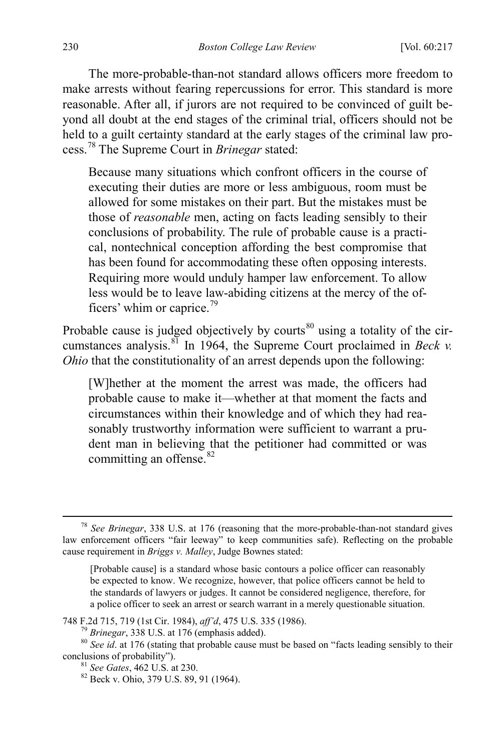The more-probable-than-not standard allows officers more freedom to make arrests without fearing repercussions for error. This standard is more reasonable. After all, if jurors are not required to be convinced of guilt beyond all doubt at the end stages of the criminal trial, officers should not be held to a guilt certainty standard at the early stages of the criminal law process.[78](#page-14-0) The Supreme Court in *Brinegar* stated:

Because many situations which confront officers in the course of executing their duties are more or less ambiguous, room must be allowed for some mistakes on their part. But the mistakes must be those of *reasonable* men, acting on facts leading sensibly to their conclusions of probability. The rule of probable cause is a practical, nontechnical conception affording the best compromise that has been found for accommodating these often opposing interests. Requiring more would unduly hamper law enforcement. To allow less would be to leave law-abiding citizens at the mercy of the of-ficers' whim or caprice.<sup>[79](#page-14-1)</sup>

Probable cause is judged objectively by courts $80$  using a totality of the circumstances analysis.[81](#page-14-3) In 1964, the Supreme Court proclaimed in *Beck v. Ohio* that the constitutionality of an arrest depends upon the following:

[W]hether at the moment the arrest was made, the officers had probable cause to make it—whether at that moment the facts and circumstances within their knowledge and of which they had reasonably trustworthy information were sufficient to warrant a prudent man in believing that the petitioner had committed or was committing an offense. $82$ 

<span id="page-14-0"></span> <sup>78</sup> *See Brinegar*, 338 U.S. at 176 (reasoning that the more-probable-than-not standard gives law enforcement officers "fair leeway" to keep communities safe). Reflecting on the probable cause requirement in *Briggs v. Malley*, Judge Bownes stated:

<sup>[</sup>Probable cause] is a standard whose basic contours a police officer can reasonably be expected to know. We recognize, however, that police officers cannot be held to the standards of lawyers or judges. It cannot be considered negligence, therefore, for a police officer to seek an arrest or search warrant in a merely questionable situation.

<span id="page-14-3"></span>

<span id="page-14-2"></span><span id="page-14-1"></span><sup>748</sup> F.2d 715, 719 (1st Cir. 1984), *aff'd*, 475 U.S. 335 (1986).<br><sup>79</sup> Brinegar, 338 U.S. at 176 (emphasis added).<br><sup>80</sup> See id. at 176 (stating that probable cause must be based on "facts leading sensibly to their conclusions of probability"). <sup>81</sup> *See Gates*, 462 U.S. at 230. <sup>82</sup> Beck v. Ohio, 379 U.S. 89, 91 (1964).

<span id="page-14-4"></span>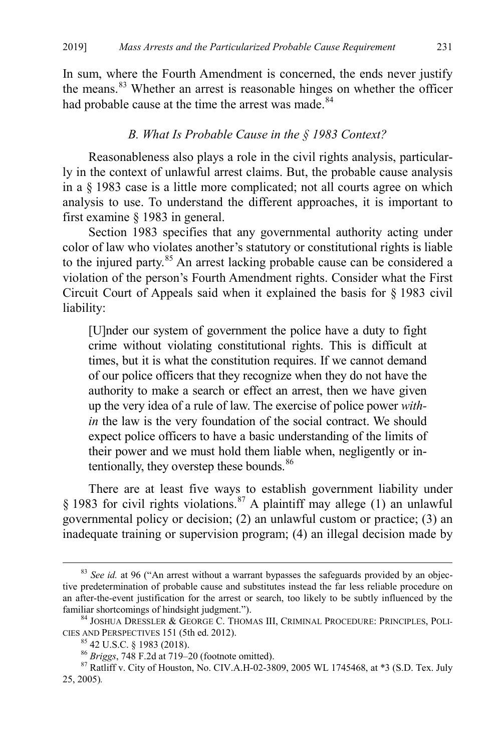In sum, where the Fourth Amendment is concerned, the ends never justify the means.<sup>[83](#page-15-0)</sup> Whether an arrest is reasonable hinges on whether the officer had probable cause at the time the arrest was made.<sup>[84](#page-15-1)</sup>

#### *B. What Is Probable Cause in the § 1983 Context?*

Reasonableness also plays a role in the civil rights analysis, particularly in the context of unlawful arrest claims. But, the probable cause analysis in a § 1983 case is a little more complicated; not all courts agree on which analysis to use. To understand the different approaches, it is important to first examine § 1983 in general.

Section 1983 specifies that any governmental authority acting under color of law who violates another's statutory or constitutional rights is liable to the injured party.<sup>[85](#page-15-2)</sup> An arrest lacking probable cause can be considered a violation of the person's Fourth Amendment rights. Consider what the First Circuit Court of Appeals said when it explained the basis for § 1983 civil liability:

[U]nder our system of government the police have a duty to fight crime without violating constitutional rights. This is difficult at times, but it is what the constitution requires. If we cannot demand of our police officers that they recognize when they do not have the authority to make a search or effect an arrest, then we have given up the very idea of a rule of law. The exercise of police power *within* the law is the very foundation of the social contract. We should expect police officers to have a basic understanding of the limits of their power and we must hold them liable when, negligently or in-tentionally, they overstep these bounds.<sup>[86](#page-15-3)</sup>

There are at least five ways to establish government liability under § 1983 for civil rights violations.<sup>[87](#page-15-4)</sup> A plaintiff may allege (1) an unlawful governmental policy or decision; (2) an unlawful custom or practice; (3) an inadequate training or supervision program; (4) an illegal decision made by

<span id="page-15-0"></span> <sup>83</sup> *See id.* at 96 ("An arrest without a warrant bypasses the safeguards provided by an objective predetermination of probable cause and substitutes instead the far less reliable procedure on an after-the-event justification for the arrest or search, too likely to be subtly influenced by the

<span id="page-15-1"></span>familiar shortcomings of hindsight judgment.").<br><sup>84</sup> JOSHUA DRESSLER & GEORGE C. THOMAS III, CRIMINAL PROCEDURE: PRINCIPLES, POLI-<br>CIES AND PERSPECTIVES 151 (5th ed. 2012).

<span id="page-15-4"></span><span id="page-15-3"></span><span id="page-15-2"></span><sup>&</sup>lt;sup>85</sup> 42 U.S.C. § 1983 (2018).<br><sup>86</sup> *Briggs*, 748 F.2d at 719–20 (footnote omitted).<br><sup>87</sup> Ratliff v. City of Houston, No. CIV.A.H-02-3809, 2005 WL 1745468, at \*3 (S.D. Tex. July 25, 2005)*.*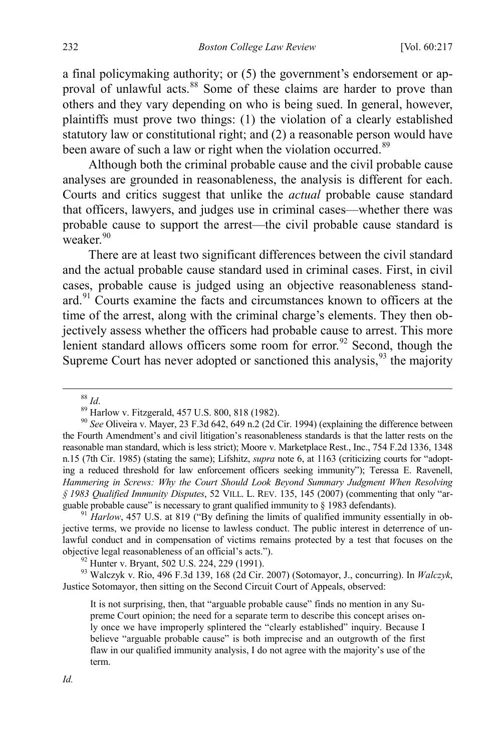a final policymaking authority; or (5) the government's endorsement or ap-proval of unlawful acts.<sup>[88](#page-16-0)</sup> Some of these claims are harder to prove than others and they vary depending on who is being sued. In general, however, plaintiffs must prove two things: (1) the violation of a clearly established statutory law or constitutional right; and (2) a reasonable person would have been aware of such a law or right when the violation occurred.<sup>[89](#page-16-1)</sup>

Although both the criminal probable cause and the civil probable cause analyses are grounded in reasonableness, the analysis is different for each. Courts and critics suggest that unlike the *actual* probable cause standard that officers, lawyers, and judges use in criminal cases—whether there was probable cause to support the arrest—the civil probable cause standard is weaker. $90$ 

<span id="page-16-6"></span>There are at least two significant differences between the civil standard and the actual probable cause standard used in criminal cases. First, in civil cases, probable cause is judged using an objective reasonableness standard.[91](#page-16-3) Courts examine the facts and circumstances known to officers at the time of the arrest, along with the criminal charge's elements. They then objectively assess whether the officers had probable cause to arrest. This more lenient standard allows officers some room for error.<sup>[92](#page-16-4)</sup> Second, though the Supreme Court has never adopted or sanctioned this analysis,  $93$  the majority

<span id="page-16-3"></span>jective terms, we provide no license to lawless conduct. The public interest in deterrence of unlawful conduct and in compensation of victims remains protected by a test that focuses on the objective legal reasonableness of an official's acts."). <sup>92</sup> Hunter v. Bryant, 502 U.S. 224, 229 (1991). <sup>93</sup> Walczyk v. Rio, 496 F.3d 139, 168 (2d Cir. 2007) (Sotomayor, J., concurring). In *Walczyk*,

<span id="page-16-5"></span><span id="page-16-4"></span>Justice Sotomayor, then sitting on the Second Circuit Court of Appeals, observed:

It is not surprising, then, that "arguable probable cause" finds no mention in any Supreme Court opinion; the need for a separate term to describe this concept arises only once we have improperly splintered the "clearly established" inquiry. Because I believe "arguable probable cause" is both imprecise and an outgrowth of the first flaw in our qualified immunity analysis, I do not agree with the majority's use of the term.

<span id="page-16-2"></span><span id="page-16-1"></span><span id="page-16-0"></span><sup>&</sup>lt;sup>88</sup> *Id*.<br><sup>89</sup> Harlow v. Fitzgerald, 457 U.S. 800, 818 (1982).<br><sup>90</sup> *See* Oliveira v. Mayer, 23 F.3d 642, 649 n.2 (2d Cir. 1994) (explaining the difference between the Fourth Amendment's and civil litigation's reasonableness standards is that the latter rests on the reasonable man standard, which is less strict); Moore v. Marketplace Rest., Inc., 754 F.2d 1336, 1348 n.15 (7th Cir. 1985) (stating the same); Lifshitz, *supra* note [6,](#page-3-0) at 1163 (criticizing courts for "adopting a reduced threshold for law enforcement officers seeking immunity"); Teressa E. Ravenell, Hammering in Screws: Why the Court Should Look Beyond Summary Judgment When Resolving *§ 1983 Qualified Immunity Disputes*, 52 VILL. L. REV. 135, 145 (2007) (commenting that only "arguable probable cause" is necessary to grant qualified immunity to § 1983 defendants).<br><sup>91</sup> *Harlow*, 457 U.S. at 819 ("By defining the limits of qualified immunity essentially in ob-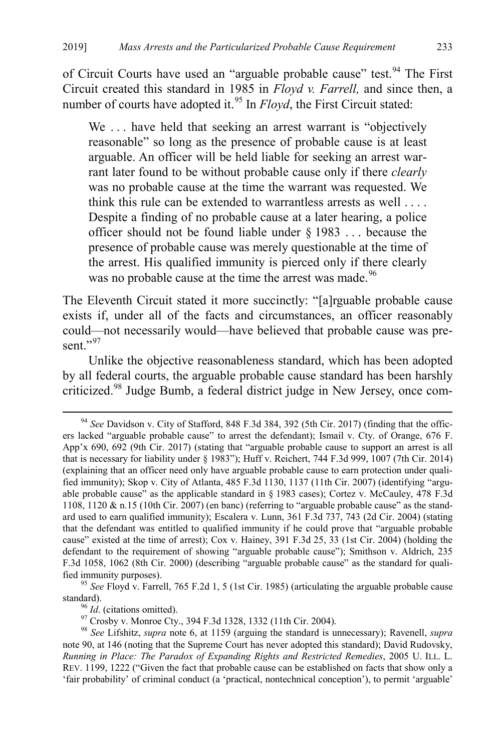of Circuit Courts have used an "arguable probable cause" test.<sup>[94](#page-17-0)</sup> The First Circuit created this standard in 1985 in *Floyd v. Farrell,* and since then, a number of courts have adopted it.<sup>[95](#page-17-1)</sup> In *Floyd*, the First Circuit stated:

We ... have held that seeking an arrest warrant is "objectively" reasonable" so long as the presence of probable cause is at least arguable. An officer will be held liable for seeking an arrest warrant later found to be without probable cause only if there *clearly* was no probable cause at the time the warrant was requested. We think this rule can be extended to warrantless arrests as well . . . . Despite a finding of no probable cause at a later hearing, a police officer should not be found liable under § 1983 . . . because the presence of probable cause was merely questionable at the time of the arrest. His qualified immunity is pierced only if there clearly was no probable cause at the time the arrest was made.<sup>[96](#page-17-2)</sup>

The Eleventh Circuit stated it more succinctly: "[a]rguable probable cause exists if, under all of the facts and circumstances, an officer reasonably could—not necessarily would—have believed that probable cause was present." $^{97}$  $^{97}$  $^{97}$ 

Unlike the objective reasonableness standard, which has been adopted by all federal courts, the arguable probable cause standard has been harshly criticized.[98](#page-17-4) Judge Bumb, a federal district judge in New Jersey, once com-

<span id="page-17-0"></span> <sup>94</sup> *See* Davidson v. City of Stafford, 848 F.3d 384, 392 (5th Cir. 2017) (finding that the officers lacked "arguable probable cause" to arrest the defendant); Ismail v. Cty. of Orange, 676 F. App'x 690, 692 (9th Cir. 2017) (stating that "arguable probable cause to support an arrest is all that is necessary for liability under § 1983"); Huff v. Reichert, 744 F.3d 999, 1007 (7th Cir. 2014) (explaining that an officer need only have arguable probable cause to earn protection under qualified immunity); Skop v. City of Atlanta, 485 F.3d 1130, 1137 (11th Cir. 2007) (identifying "arguable probable cause" as the applicable standard in § 1983 cases); Cortez v. McCauley, 478 F.3d 1108, 1120 & n.15 (10th Cir. 2007) (en banc) (referring to "arguable probable cause" as the standard used to earn qualified immunity); Escalera v. Lunn, 361 F.3d 737, 743 (2d Cir. 2004) (stating that the defendant was entitled to qualified immunity if he could prove that "arguable probable cause" existed at the time of arrest); Cox v. Hainey, 391 F.3d 25, 33 (1st Cir. 2004) (holding the defendant to the requirement of showing "arguable probable cause"); Smithson v. Aldrich, 235 F.3d 1058, 1062 (8th Cir. 2000) (describing "arguable probable cause" as the standard for qualified immunity purposes). 95 *See* Floyd v. Farrell, 765 F.2d 1, 5 (1st Cir. 1985) (articulating the arguable probable cause

<span id="page-17-1"></span>

<span id="page-17-4"></span><span id="page-17-3"></span><span id="page-17-2"></span>standard).<br><sup>96</sup> Id. (citations omitted).<br><sup>97</sup> Crosby v. Monroe Cty., 394 F.3d 1328, 1332 (11th Cir. 2004).<br><sup>98</sup> See Lifshitz, *supra* note [6,](#page-3-0) at 1159 (arguing the standard is unnecessary); Ravenell, *supra* note [90,](#page-16-6) at 146 (noting that the Supreme Court has never adopted this standard); David Rudovsky, *Running in Place: The Paradox of Expanding Rights and Restricted Remedies*, 2005 U. ILL. L. REV. 1199, 1222 ("Given the fact that probable cause can be established on facts that show only a 'fair probability' of criminal conduct (a 'practical, nontechnical conception'), to permit 'arguable'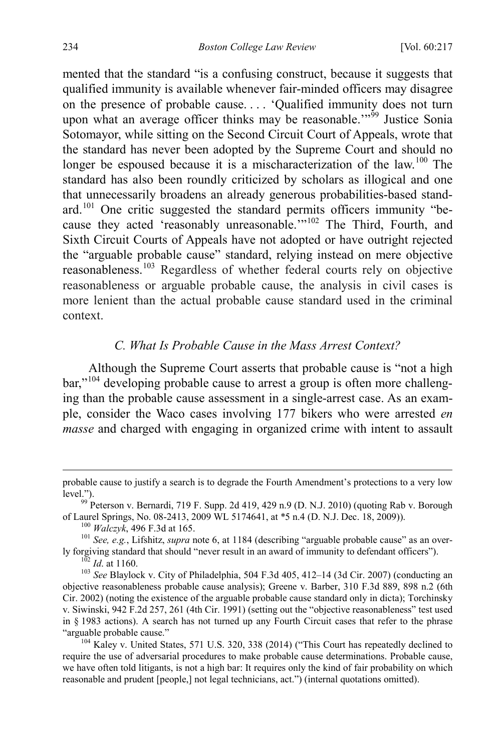mented that the standard "is a confusing construct, because it suggests that qualified immunity is available whenever fair-minded officers may disagree on the presence of probable cause. . . . 'Qualified immunity does not turn upon what an average officer thinks may be reasonable."<sup>59</sup> Justice Sonia Sotomayor, while sitting on the Second Circuit Court of Appeals, wrote that the standard has never been adopted by the Supreme Court and should no longer be espoused because it is a mischaracterization of the law.<sup>[100](#page-18-1)</sup> The standard has also been roundly criticized by scholars as illogical and one that unnecessarily broadens an already generous probabilities-based stand-ard.<sup>[101](#page-18-2)</sup> One critic suggested the standard permits officers immunity "be-cause they acted 'reasonably unreasonable.'"<sup>[102](#page-18-3)</sup> The Third, Fourth, and Sixth Circuit Courts of Appeals have not adopted or have outright rejected the "arguable probable cause" standard, relying instead on mere objective reasonableness.[103](#page-18-4) Regardless of whether federal courts rely on objective reasonableness or arguable probable cause, the analysis in civil cases is more lenient than the actual probable cause standard used in the criminal context.

# *C. What Is Probable Cause in the Mass Arrest Context?*

Although the Supreme Court asserts that probable cause is "not a high bar,"<sup>[104](#page-18-5)</sup> developing probable cause to arrest a group is often more challenging than the probable cause assessment in a single-arrest case. As an example, consider the Waco cases involving 177 bikers who were arrested *en masse* and charged with engaging in organized crime with intent to assault

<span id="page-18-0"></span>probable cause to justify a search is to degrade the Fourth Amendment's protections to a very low level.").<br><sup>99</sup> Peterson v. Bernardi, 719 F. Supp. 2d 419, 429 n.9 (D. N.J. 2010) (quoting Rab v. Borough

<span id="page-18-1"></span>

<span id="page-18-2"></span>of Laurel Springs, No. 08-2413, 2009 WL 5174641, at \*5 n.4 (D. N.J. Dec. 18, 2009)).<br><sup>100</sup> *Walczyk*, 496 F.3d at 165.<br><sup>101</sup> *See, e.g.*, Lifshitz, *supra* note [6,](#page-3-0) at 1184 (describing "arguable probable cause" as an over-

<span id="page-18-4"></span><span id="page-18-3"></span><sup>&</sup>lt;sup>102</sup> *Id.* at 1160.<br><sup>103</sup> *See* Blaylock v. City of Philadelphia, 504 F.3d 405, 412–14 (3d Cir. 2007) (conducting an objective reasonableness probable cause analysis); Greene v. Barber, 310 F.3d 889, 898 n.2 (6th Cir. 2002) (noting the existence of the arguable probable cause standard only in dicta); Torchinsky v. Siwinski, 942 F.2d 257, 261 (4th Cir. 1991) (setting out the "objective reasonableness" test used in § 1983 actions). A search has not turned up any Fourth Circuit cases that refer to the phrase

<span id="page-18-5"></span><sup>&</sup>quot;arguable probable cause."<br><sup>104</sup> Kaley v. United States, 571 U.S. 320, 338 (2014) ("This Court has repeatedly declined to require the use of adversarial procedures to make probable cause determinations. Probable cause, we have often told litigants, is not a high bar: It requires only the kind of fair probability on which reasonable and prudent [people,] not legal technicians, act.") (internal quotations omitted).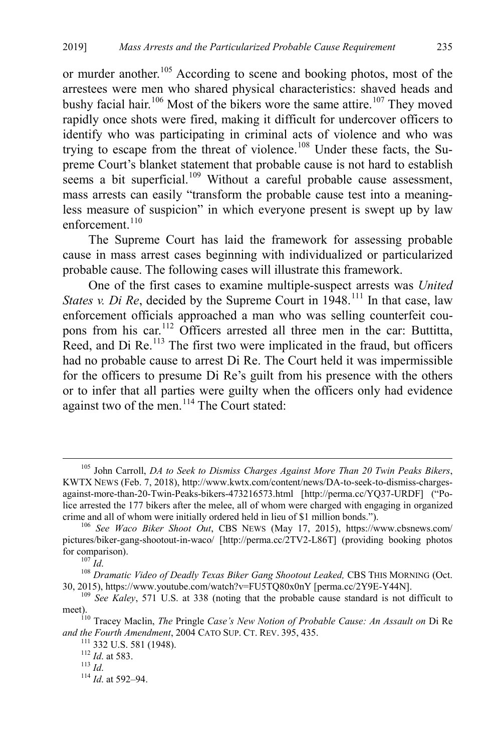or murder another.<sup>[105](#page-19-1)</sup> According to scene and booking photos, most of the arrestees were men who shared physical characteristics: shaved heads and bushy facial hair.<sup>[106](#page-19-2)</sup> Most of the bikers wore the same attire.<sup>[107](#page-19-3)</sup> They moved rapidly once shots were fired, making it difficult for undercover officers to identify who was participating in criminal acts of violence and who was trying to escape from the threat of violence.<sup>[108](#page-19-4)</sup> Under these facts, the Supreme Court's blanket statement that probable cause is not hard to establish seems a bit superficial.<sup>[109](#page-19-5)</sup> Without a careful probable cause assessment, mass arrests can easily "transform the probable cause test into a meaningless measure of suspicion" in which everyone present is swept up by law enforcement. $110$ 

<span id="page-19-11"></span>The Supreme Court has laid the framework for assessing probable cause in mass arrest cases beginning with individualized or particularized probable cause. The following cases will illustrate this framework.

<span id="page-19-0"></span>One of the first cases to examine multiple-suspect arrests was *United States v. Di Re*, decided by the Supreme Court in 1948.<sup>[111](#page-19-7)</sup> In that case, law enforcement officials approached a man who was selling counterfeit coupons from his car.[112](#page-19-8) Officers arrested all three men in the car: Buttitta, Reed, and Di  $\text{Re}$ .<sup>[113](#page-19-9)</sup> The first two were implicated in the fraud, but officers had no probable cause to arrest Di Re. The Court held it was impermissible for the officers to presume Di Re's guilt from his presence with the others or to infer that all parties were guilty when the officers only had evidence against two of the men.<sup>[114](#page-19-10)</sup> The Court stated:

<span id="page-19-1"></span> <sup>105</sup> John Carroll, *DA to Seek to Dismiss Charges Against More Than 20 Twin Peaks Bikers*, KWTX NEWS (Feb. 7, 2018), http://www.kwtx.com/content/news/DA-to-seek-to-dismiss-chargesagainst-more-than-20-Twin-Peaks-bikers-473216573.html [http://perma.cc/YQ37-URDF] ("Police arrested the 177 bikers after the melee, all of whom were charged with engaging in organized crime and all of whom were initially ordered held in lieu of \$1 million bonds."). <sup>106</sup> *See Waco Biker Shoot Out*, CBS NEWS (May 17, 2015), https://www.cbsnews.com/

<span id="page-19-2"></span>pictures/biker-gang-shootout-in-waco/ [http://perma.cc/2TV2-L86T] (providing booking photos for comparison).<br><sup>107</sup> *Id.* 108 *Dramatic Video of Deadly Texas Biker Gang Shootout Leaked,* CBS THIS MORNING (Oct.

<span id="page-19-4"></span><span id="page-19-3"></span><sup>30, 2015),</sup> https://www.youtube.com/watch?v=FU5TQ80x0nY [perma.cc/2Y9E-Y44N]. 109 *See Kaley*, 571 U.S. at 338 (noting that the probable cause standard is not difficult to

<span id="page-19-5"></span>meet). <sup>110</sup> Tracey Maclin, *The* Pringle *Case's New Notion of Probable Cause: An Assault on* Di Re

<span id="page-19-9"></span><span id="page-19-8"></span><span id="page-19-7"></span><span id="page-19-6"></span>*and the Fourth Amendment*, 2004 CATO SUP. CT. REV. 395, 435. <sup>112</sup> *Id*. at 583. <sup>113</sup> *Id*. <sup>114</sup> *Id*. at 592–94.

<span id="page-19-10"></span>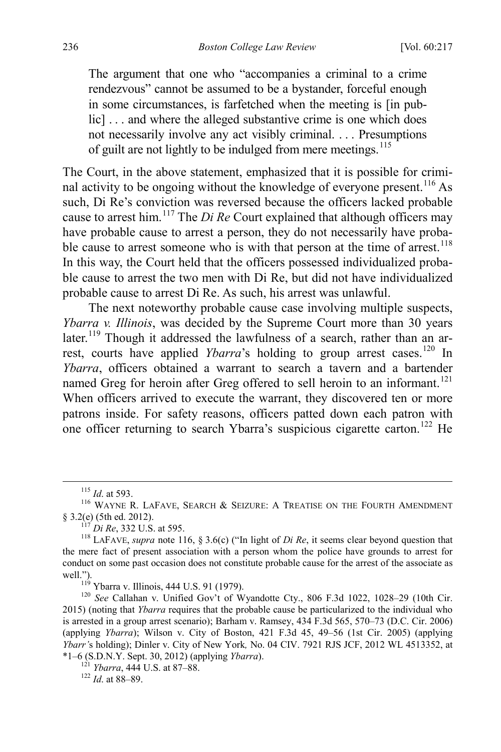<span id="page-20-0"></span>The argument that one who "accompanies a criminal to a crime rendezvous" cannot be assumed to be a bystander, forceful enough in some circumstances, is farfetched when the meeting is [in public]... and where the alleged substantive crime is one which does not necessarily involve any act visibly criminal. . . . Presumptions of guilt are not lightly to be indulged from mere meetings.<sup>[115](#page-20-1)</sup>

The Court, in the above statement, emphasized that it is possible for crimi-nal activity to be ongoing without the knowledge of everyone present.<sup>[116](#page-20-2)</sup> As such, Di Re's conviction was reversed because the officers lacked probable cause to arrest him.<sup>117</sup> The *Di Re* Court explained that although officers may have probable cause to arrest a person, they do not necessarily have proba-ble cause to arrest someone who is with that person at the time of arrest.<sup>[118](#page-20-4)</sup> In this way, the Court held that the officers possessed individualized probable cause to arrest the two men with Di Re, but did not have individualized probable cause to arrest Di Re. As such, his arrest was unlawful.

The next noteworthy probable cause case involving multiple suspects, *Ybarra v. Illinois*, was decided by the Supreme Court more than 30 years later.<sup>[119](#page-20-5)</sup> Though it addressed the lawfulness of a search, rather than an arrest, courts have applied *Ybarra*'s holding to group arrest cases.<sup>[120](#page-20-6)</sup> In *Ybarra*, officers obtained a warrant to search a tavern and a bartender named Greg for heroin after Greg offered to sell heroin to an informant.<sup>[121](#page-20-7)</sup> When officers arrived to execute the warrant, they discovered ten or more patrons inside. For safety reasons, officers patted down each patron with one officer returning to search Ybarra's suspicious cigarette carton.<sup>[122](#page-20-8)</sup> He

<span id="page-20-8"></span><span id="page-20-7"></span>\*1–6 (S.D.N.Y. Sept. 30, 2012) (applying *Ybarra*). 121 *Ybarra*, 444 U.S. at 87–88. <sup>122</sup> *Id*. at 88–89.

<span id="page-20-1"></span><sup>&</sup>lt;sup>115</sup> *Id.* at 593.<br><sup>116</sup> WAYNE R. LAFAVE, SEARCH & SEIZURE: A TREATISE ON THE FOURTH AMENDMENT

<span id="page-20-4"></span><span id="page-20-3"></span><span id="page-20-2"></span><sup>§ 3.2(</sup>e) (5th ed. 2012). <sup>117</sup> *Di Re*, 332 U.S. at 595. <sup>118</sup> LAFAVE, *supra* note [116,](#page-20-0) § 3.6(c) ("In light of *Di Re*, it seems clear beyond question that the mere fact of present association with a person whom the police have grounds to arrest for conduct on some past occasion does not constitute probable cause for the arrest of the associate as well.").<br><sup>119</sup> Ybarra v. Illinois, 444 U.S. 91 (1979).<br><sup>120</sup> *See* Callahan v. Unified Gov't of Wyandotte Cty., 806 F.3d 1022, 1028–29 (10th Cir.

<span id="page-20-6"></span><span id="page-20-5"></span><sup>2015) (</sup>noting that *Ybarra* requires that the probable cause be particularized to the individual who is arrested in a group arrest scenario); Barham v. Ramsey, 434 F.3d 565, 570–73 (D.C. Cir. 2006) (applying *Ybarra*); Wilson v. City of Boston, 421 F.3d 45, 49–56 (1st Cir. 2005) (applying *Ybarr'*s holding); Dinler v. City of New York*,* No. 04 CIV. 7921 RJS JCF, 2012 WL 4513352, at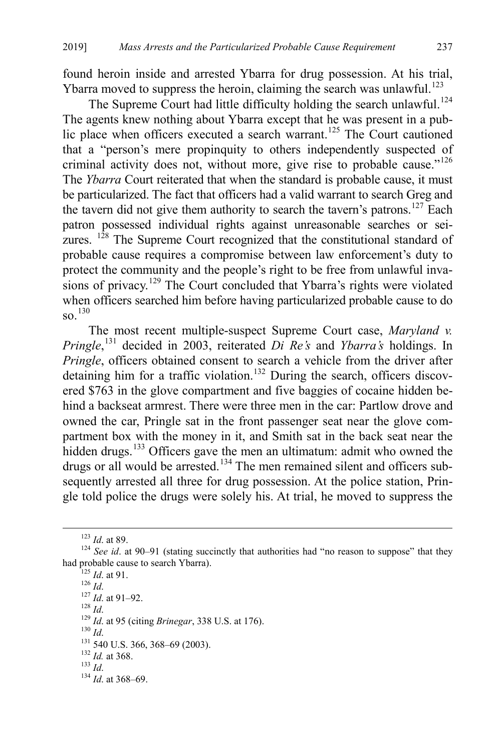found heroin inside and arrested Ybarra for drug possession. At his trial, Ybarra moved to suppress the heroin, claiming the search was unlawful.<sup>[123](#page-21-0)</sup>

The Supreme Court had little difficulty holding the search unlawful.<sup>[124](#page-21-1)</sup> The agents knew nothing about Ybarra except that he was present in a pub-lic place when officers executed a search warrant.<sup>[125](#page-21-2)</sup> The Court cautioned that a "person's mere propinquity to others independently suspected of criminal activity does not, without more, give rise to probable cause."<sup>[126](#page-21-3)</sup> The *Ybarra* Court reiterated that when the standard is probable cause, it must be particularized. The fact that officers had a valid warrant to search Greg and the tavern did not give them authority to search the tavern's patrons.<sup>[127](#page-21-4)</sup> Each patron possessed individual rights against unreasonable searches or seizures.  $128$  The Supreme Court recognized that the constitutional standard of probable cause requires a compromise between law enforcement's duty to protect the community and the people's right to be free from unlawful inva-sions of privacy.<sup>[129](#page-21-6)</sup> The Court concluded that Ybarra's rights were violated when officers searched him before having particularized probable cause to do  $\text{SO}^{-130}$  $\text{SO}^{-130}$  $\text{SO}^{-130}$ 

The most recent multiple-suspect Supreme Court case, *Maryland v. Pringle*, [131](#page-21-8) decided in 2003, reiterated *Di Re's* and *Ybarra's* holdings. In *Pringle*, officers obtained consent to search a vehicle from the driver after detaining him for a traffic violation.<sup>[132](#page-21-9)</sup> During the search, officers discovered \$763 in the glove compartment and five baggies of cocaine hidden behind a backseat armrest. There were three men in the car: Partlow drove and owned the car, Pringle sat in the front passenger seat near the glove compartment box with the money in it, and Smith sat in the back seat near the hidden drugs.<sup>[133](#page-21-10)</sup> Officers gave the men an ultimatum: admit who owned the drugs or all would be arrested.<sup>[134](#page-21-11)</sup> The men remained silent and officers subsequently arrested all three for drug possession. At the police station, Pringle told police the drugs were solely his. At trial, he moved to suppress the

<span id="page-21-4"></span>

<span id="page-21-5"></span>

<span id="page-21-7"></span><span id="page-21-6"></span>

<span id="page-21-8"></span>

- <span id="page-21-9"></span>
- <span id="page-21-11"></span><span id="page-21-10"></span>
- 

<span id="page-21-3"></span><span id="page-21-2"></span><span id="page-21-1"></span><span id="page-21-0"></span><sup>&</sup>lt;sup>123</sup> *Id.* at 89. <sup>124</sup> *See id.* at 90–91 (stating succinctly that authorities had "no reason to suppose" that they had probable cause to search Ybarra). had probable cause to search Ybarra).<br>
<sup>125</sup> *Id.* at 91.<br>
<sup>126</sup> *Id.*<br>
<sup>127</sup> *Id.* at 91–92.<br>
<sup>129</sup> *Id.* at 95 (citing *Brinegar*, 338 U.S. at 176).<br>
<sup>130</sup> *Id.*<br>
<sup>131</sup> 540 U.S. 366, 368–69 (2003).<br>
<sup>132</sup> *Id.* at 368.<br>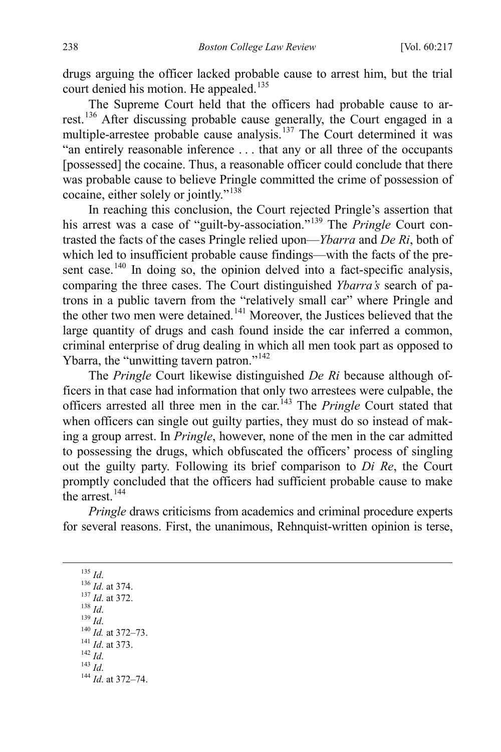drugs arguing the officer lacked probable cause to arrest him, but the trial court denied his motion. He appealed.<sup>[135](#page-22-0)</sup>

The Supreme Court held that the officers had probable cause to arrest.[136](#page-22-1) After discussing probable cause generally, the Court engaged in a multiple-arrestee probable cause analysis.[137](#page-22-2) The Court determined it was "an entirely reasonable inference . . . that any or all three of the occupants [possessed] the cocaine. Thus, a reasonable officer could conclude that there was probable cause to believe Pringle committed the crime of possession of cocaine, either solely or jointly."[138](#page-22-3)

In reaching this conclusion, the Court rejected Pringle's assertion that his arrest was a case of "guilt-by-association."[139](#page-22-4) The *Pringle* Court contrasted the facts of the cases Pringle relied upon—*Ybarra* and *De Ri*, both of which led to insufficient probable cause findings—with the facts of the pre-sent case.<sup>[140](#page-22-5)</sup> In doing so, the opinion delved into a fact-specific analysis, comparing the three cases. The Court distinguished *Ybarra's* search of patrons in a public tavern from the "relatively small car" where Pringle and the other two men were detained.[141](#page-22-6) Moreover, the Justices believed that the large quantity of drugs and cash found inside the car inferred a common, criminal enterprise of drug dealing in which all men took part as opposed to Ybarra, the "unwitting tavern patron."<sup>142</sup>

The *Pringle* Court likewise distinguished *De Ri* because although officers in that case had information that only two arrestees were culpable, the officers arrested all three men in the car.<sup>[143](#page-22-8)</sup> The *Pringle* Court stated that when officers can single out guilty parties, they must do so instead of making a group arrest. In *Pringle*, however, none of the men in the car admitted to possessing the drugs, which obfuscated the officers' process of singling out the guilty party. Following its brief comparison to *Di Re*, the Court promptly concluded that the officers had sufficient probable cause to make the arrest  $^{144}$  $^{144}$  $^{144}$ 

*Pringle* draws criticisms from academics and criminal procedure experts for several reasons. First, the unanimous, Rehnquist-written opinion is terse,

<span id="page-22-9"></span><span id="page-22-8"></span><span id="page-22-7"></span><span id="page-22-6"></span><span id="page-22-5"></span><span id="page-22-4"></span><span id="page-22-3"></span><span id="page-22-2"></span><span id="page-22-1"></span><span id="page-22-0"></span>135 *Id.* 136 *Id.* at 374.<br>
<sup>137</sup> *Id.* at 372.<br>
<sup>139</sup> *Id.* 140 *Id.* at 372–73.<br>
<sup>141</sup> *Id.* at 373.<br>
<sup>142</sup> *Id.* 144 *Id.* at 372–74.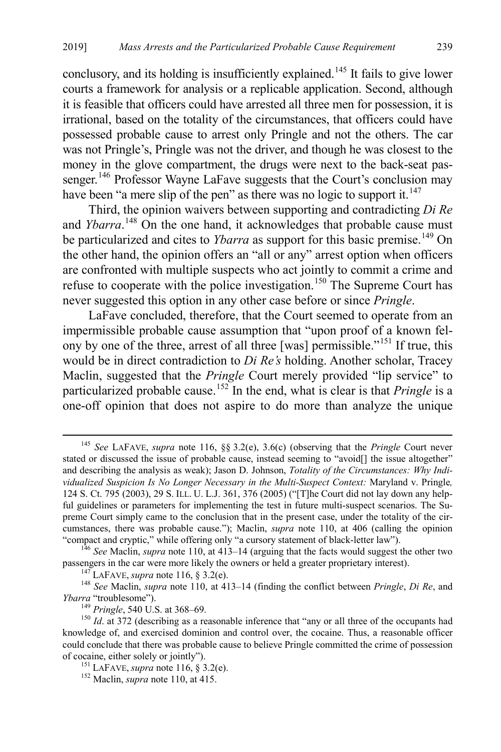conclusory, and its holding is insufficiently explained.<sup>[145](#page-23-0)</sup> It fails to give lower courts a framework for analysis or a replicable application. Second, although it is feasible that officers could have arrested all three men for possession, it is irrational, based on the totality of the circumstances, that officers could have possessed probable cause to arrest only Pringle and not the others. The car was not Pringle's, Pringle was not the driver, and though he was closest to the money in the glove compartment, the drugs were next to the back-seat pas-senger.<sup>[146](#page-23-1)</sup> Professor Wayne LaFave suggests that the Court's conclusion may have been "a mere slip of the pen" as there was no logic to support it. $147$ 

Third, the opinion waivers between supporting and contradicting *Di Re* and *Ybarra*.<sup>[148](#page-23-3)</sup> On the one hand, it acknowledges that probable cause must be particularized and cites to *Ybarra* as support for this basic premise.<sup>[149](#page-23-4)</sup> On the other hand, the opinion offers an "all or any" arrest option when officers are confronted with multiple suspects who act jointly to commit a crime and refuse to cooperate with the police investigation.<sup>[150](#page-23-5)</sup> The Supreme Court has never suggested this option in any other case before or since *Pringle*.

LaFave concluded, therefore, that the Court seemed to operate from an impermissible probable cause assumption that "upon proof of a known fel-ony by one of the three, arrest of all three [was] permissible."<sup>[151](#page-23-6)</sup> If true, this would be in direct contradiction to *Di Re's* holding. Another scholar, Tracey Maclin, suggested that the *Pringle* Court merely provided "lip service" to particularized probable cause.<sup>[152](#page-23-7)</sup> In the end, what is clear is that *Pringle* is a one-off opinion that does not aspire to do more than analyze the unique

<span id="page-23-0"></span> <sup>145</sup> *See* LAFAVE, *supra* note [116,](#page-20-0) §§ 3.2(e), 3.6(c) (observing that the *Pringle* Court never stated or discussed the issue of probable cause, instead seeming to "avoid[] the issue altogether" and describing the analysis as weak); Jason D. Johnson, *Totality of the Circumstances: Why Individualized Suspicion Is No Longer Necessary in the Multi-Suspect Context:* Maryland v. Pringle*,*  124 S. Ct. 795 (2003), 29 S. ILL. U. L.J. 361, 376 (2005) ("[T]he Court did not lay down any helpful guidelines or parameters for implementing the test in future multi-suspect scenarios. The Supreme Court simply came to the conclusion that in the present case, under the totality of the circumstances, there was probable cause."); Maclin, *supra* note [110,](#page-19-11) at 406 (calling the opinion "compact and cryptic," while offering only "a cursory statement of black-letter law").

<span id="page-23-1"></span><sup>&</sup>lt;sup>146</sup> See Maclin, *supra* note [110,](#page-19-11) at 413–14 (arguing that the facts would suggest the other two passengers in the car were more likely the owners or held a greater proprietary interest).

<span id="page-23-3"></span><span id="page-23-2"></span><sup>&</sup>lt;sup>147</sup> LAFAVE, *supra* not[e 116,](#page-20-0) § 3.2(e).<br><sup>148</sup> See Maclin, *supra* note [110,](#page-19-11) at 413–14 (finding the conflict between *Pringle*, *Di Re*, and *Ybarra* "troublesome").

<span id="page-23-5"></span><span id="page-23-4"></span><sup>&</sup>lt;sup>149</sup> *Pringle*, 540 U.S. at 368–69. <sup>149</sup> *Id.* at 372 (describing as a reasonable inference that "any or all three of the occupants had knowledge of, and exercised dominion and control over, the cocaine. Thus, a reasonable officer could conclude that there was probable cause to believe Pringle committed the crime of possession of cocaine, either solely or jointly"). <sup>151</sup> LAFAVE, *supra* not[e 116,](#page-20-0) § 3.2(e). <sup>152</sup> Maclin, *supra* note [110,](#page-19-11) at 415.

<span id="page-23-7"></span><span id="page-23-6"></span>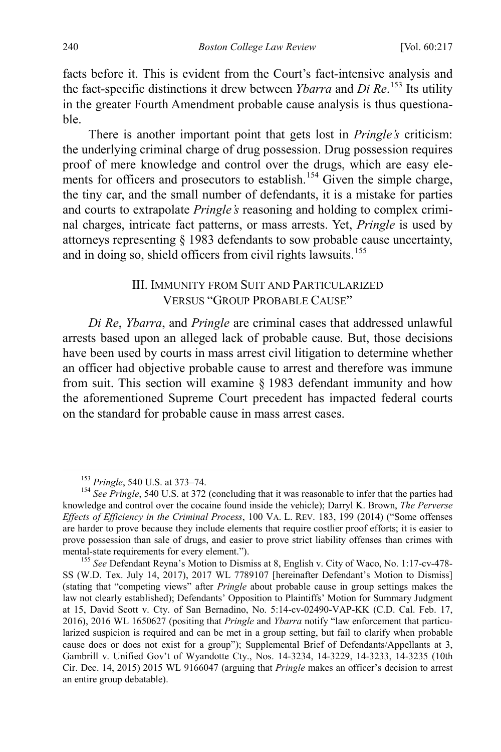facts before it. This is evident from the Court's fact-intensive analysis and the fact-specific distinctions it drew between *Ybarra* and *Di Re*. [153](#page-24-1) Its utility in the greater Fourth Amendment probable cause analysis is thus questionable.

There is another important point that gets lost in *Pringle's* criticism: the underlying criminal charge of drug possession. Drug possession requires proof of mere knowledge and control over the drugs, which are easy ele-ments for officers and prosecutors to establish.<sup>[154](#page-24-2)</sup> Given the simple charge, the tiny car, and the small number of defendants, it is a mistake for parties and courts to extrapolate *Pringle's* reasoning and holding to complex criminal charges, intricate fact patterns, or mass arrests. Yet, *Pringle* is used by attorneys representing § 1983 defendants to sow probable cause uncertainty, and in doing so, shield officers from civil rights lawsuits.<sup>[155](#page-24-3)</sup>

# <span id="page-24-0"></span>III. IMMUNITY FROM SUIT AND PARTICULARIZED VERSUS "GROUP PROBABLE CAUSE"

*Di Re*, *Ybarra*, and *Pringle* are criminal cases that addressed unlawful arrests based upon an alleged lack of probable cause. But, those decisions have been used by courts in mass arrest civil litigation to determine whether an officer had objective probable cause to arrest and therefore was immune from suit. This section will examine § 1983 defendant immunity and how the aforementioned Supreme Court precedent has impacted federal courts on the standard for probable cause in mass arrest cases.

<span id="page-24-2"></span><span id="page-24-1"></span><sup>&</sup>lt;sup>153</sup> *Pringle*, 540 U.S. at 373–74.<br><sup>154</sup> *See Pringle*, 540 U.S. at 372 (concluding that it was reasonable to infer that the parties had knowledge and control over the cocaine found inside the vehicle); Darryl K. Brown, *The Perverse Effects of Efficiency in the Criminal Process*, 100 VA. L. REV. 183, 199 (2014) ("Some offenses are harder to prove because they include elements that require costlier proof efforts; it is easier to prove possession than sale of drugs, and easier to prove strict liability offenses than crimes with mental-state requirements for every element.").<br><sup>155</sup> *See* Defendant Reyna's Motion to Dismiss at 8, English v. City of Waco, No. 1:17-cv-478-

<span id="page-24-3"></span>SS (W.D. Tex. July 14, 2017), 2017 WL 7789107 [hereinafter Defendant's Motion to Dismiss] (stating that "competing views" after *Pringle* about probable cause in group settings makes the law not clearly established); Defendants' Opposition to Plaintiffs' Motion for Summary Judgment at 15, David Scott v. Cty. of San Bernadino, No. 5:14-cv-02490-VAP-KK (C.D. Cal. Feb. 17, 2016), 2016 WL 1650627 (positing that *Pringle* and *Ybarra* notify "law enforcement that particularized suspicion is required and can be met in a group setting, but fail to clarify when probable cause does or does not exist for a group"); Supplemental Brief of Defendants/Appellants at 3, Gambrill v. Unified Gov't of Wyandotte Cty., Nos. 14-3234, 14-3229, 14-3233, 14-3235 (10th Cir. Dec. 14, 2015) 2015 WL 9166047 (arguing that *Pringle* makes an officer's decision to arrest an entire group debatable).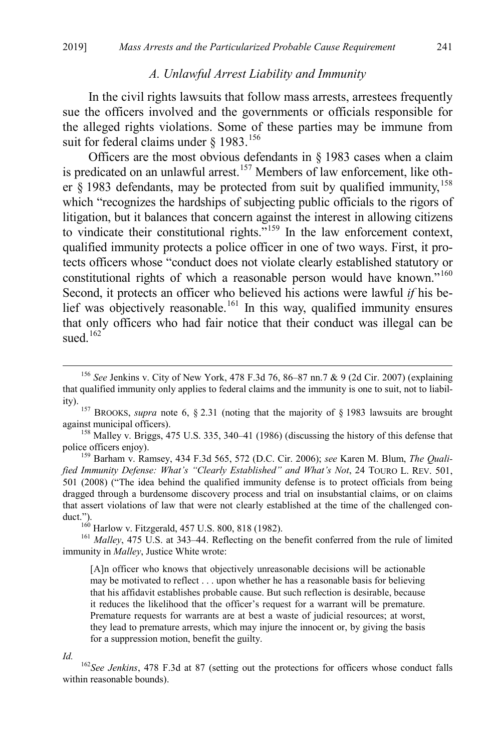#### <span id="page-25-0"></span>*A. Unlawful Arrest Liability and Immunity*

In the civil rights lawsuits that follow mass arrests, arrestees frequently sue the officers involved and the governments or officials responsible for the alleged rights violations. Some of these parties may be immune from suit for federal claims under  $§$  1983.<sup>[156](#page-25-1)</sup>

Officers are the most obvious defendants in  $\S$  1983 cases when a claim is predicated on an unlawful arrest.<sup>[157](#page-25-2)</sup> Members of law enforcement, like other  $\S$  1983 defendants, may be protected from suit by qualified immunity,  $158$ which "recognizes the hardships of subjecting public officials to the rigors of litigation, but it balances that concern against the interest in allowing citizens to vindicate their constitutional rights."<sup>[159](#page-25-4)</sup> In the law enforcement context, qualified immunity protects a police officer in one of two ways. First, it protects officers whose "conduct does not violate clearly established statutory or constitutional rights of which a reasonable person would have known."<sup>[160](#page-25-5)</sup> Second, it protects an officer who believed his actions were lawful *if* his be-lief was objectively reasonable.<sup>[161](#page-25-6)</sup> In this way, qualified immunity ensures that only officers who had fair notice that their conduct was illegal can be sued.<sup>[162](#page-25-7)</sup>

<span id="page-25-3"></span>against municipal officers).<br><sup>158</sup> Malley v. Briggs, 475 U.S. 335, 340–41 (1986) (discussing the history of this defense that police officers enjoy).

<span id="page-25-4"></span><sup>159</sup> Barham v. Ramsey, 434 F.3d 565, 572 (D.C. Cir. 2006); *see* Karen M. Blum, *The Qualified Immunity Defense: What's "Clearly Established" and What's Not*, 24 TOURO L. REV. 501, 501 (2008) ("The idea behind the qualified immunity defense is to protect officials from being dragged through a burdensome discovery process and trial on insubstantial claims, or on claims that assert violations of law that were not clearly established at the time of the challenged conduct.").<br><sup>160</sup> Harlow v. Fitzgerald, 457 U.S. 800, 818 (1982).<br><sup>161</sup> *Malley*, 475 U.S. at 343–44. Reflecting on the benefit conferred from the rule of limited

<span id="page-25-6"></span><span id="page-25-5"></span>immunity in *Malley*, Justice White wrote:

[A]n officer who knows that objectively unreasonable decisions will be actionable may be motivated to reflect . . . upon whether he has a reasonable basis for believing that his affidavit establishes probable cause. But such reflection is desirable, because it reduces the likelihood that the officer's request for a warrant will be premature. Premature requests for warrants are at best a waste of judicial resources; at worst, they lead to premature arrests, which may injure the innocent or, by giving the basis for a suppression motion, benefit the guilty.

<span id="page-25-1"></span> <sup>156</sup> *See* Jenkins v. City of New York, 478 F.3d 76, 86–87 nn.7 & 9 (2d Cir. 2007) (explaining that qualified immunity only applies to federal claims and the immunity is one to suit, not to liabil-

<span id="page-25-2"></span>ity). <sup>157</sup> BROOKS, *supra* note [6,](#page-3-0) § 2.31 (noting that the majority of § 1983 lawsuits are brought

<span id="page-25-7"></span>*Id.* <sup>162</sup>*See Jenkins*, 478 F.3d at 87 (setting out the protections for officers whose conduct falls within reasonable bounds).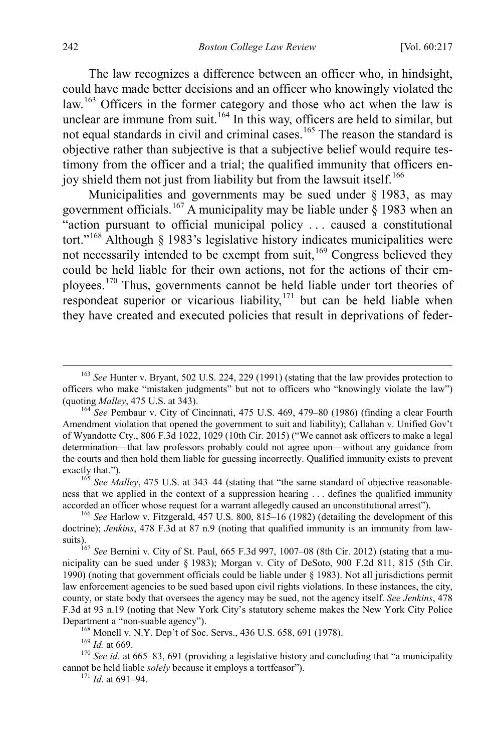The law recognizes a difference between an officer who, in hindsight, could have made better decisions and an officer who knowingly violated the law.<sup>[163](#page-26-0)</sup> Officers in the former category and those who act when the law is unclear are immune from suit.<sup>[164](#page-26-1)</sup> In this way, officers are held to similar, but not equal standards in civil and criminal cases.<sup>[165](#page-26-2)</sup> The reason the standard is objective rather than subjective is that a subjective belief would require testimony from the officer and a trial; the qualified immunity that officers en-joy shield them not just from liability but from the lawsuit itself.<sup>[166](#page-26-3)</sup>

Municipalities and governments may be sued under  $\S$  1983, as may government officials.<sup>[167](#page-26-4)</sup> A municipality may be liable under  $\hat{\S}$  1983 when an "action pursuant to official municipal policy . . . caused a constitutional tort."[168](#page-26-5) Although § 1983's legislative history indicates municipalities were not necessarily intended to be exempt from suit,<sup>[169](#page-26-6)</sup> Congress believed they could be held liable for their own actions, not for the actions of their employees.[170](#page-26-7) Thus, governments cannot be held liable under tort theories of respondeat superior or vicarious liability, $171$  but can be held liable when they have created and executed policies that result in deprivations of feder-

<span id="page-26-0"></span> <sup>163</sup> *See* Hunter v. Bryant, 502 U.S. 224, 229 (1991) (stating that the law provides protection to officers who make "mistaken judgments" but not to officers who "knowingly violate the law") (quoting *Malley*, 475 U.S. at 343). 164 *See* Pembaur v. City of Cincinnati, 475 U.S. 469, 479–80 (1986) (finding a clear Fourth

<span id="page-26-1"></span>Amendment violation that opened the government to suit and liability); Callahan v. Unified Gov't of Wyandotte Cty., 806 F.3d 1022, 1029 (10th Cir. 2015) ("We cannot ask officers to make a legal determination—that law professors probably could not agree upon—without any guidance from the courts and then hold them liable for guessing incorrectly. Qualified immunity exists to prevent exactly that.").<br><sup>165</sup> *See Malley*, 475 U.S. at 343–44 (stating that "the same standard of objective reasonable-

<span id="page-26-2"></span>ness that we applied in the context of a suppression hearing . . . defines the qualified immunity accorded an officer whose request for a warrant allegedly caused an unconstitutional arrest"). <sup>166</sup> *See* Harlow v. Fitzgerald, 457 U.S. 800, 815–16 (1982) (detailing the development of this

<span id="page-26-3"></span>doctrine); *Jenkins*, 478 F.3d at 87 n.9 (noting that qualified immunity is an immunity from law-

<span id="page-26-4"></span>suits).167 *See* Bernini v. City of St. Paul, 665 F.3d 997, 1007–08 (8th Cir. 2012) (stating that a municipality can be sued under § 1983); Morgan v. City of DeSoto, 900 F.2d 811, 815 (5th Cir. 1990) (noting that government officials could be liable under § 1983). Not all jurisdictions permit law enforcement agencies to be sued based upon civil rights violations. In these instances, the city, county, or state body that oversees the agency may be sued, not the agency itself. *See Jenkins*, 478 F.3d at 93 n.19 (noting that New York City's statutory scheme makes the New York City Police Department a "non-suable agency").<br>
<sup>168</sup> Monell v. N.Y. Dep't of Soc. Servs., 436 U.S. 658, 691 (1978).<br>
<sup>169</sup> *Id.* at 669.<br>
<sup>170</sup> *See id.* at 665–83, 691 (providing a legislative history and concluding that "a municip

<span id="page-26-8"></span><span id="page-26-7"></span><span id="page-26-6"></span><span id="page-26-5"></span>cannot be held liable *solely* because it employs a tortfeasor"). <sup>171</sup> *Id*. at 691–94.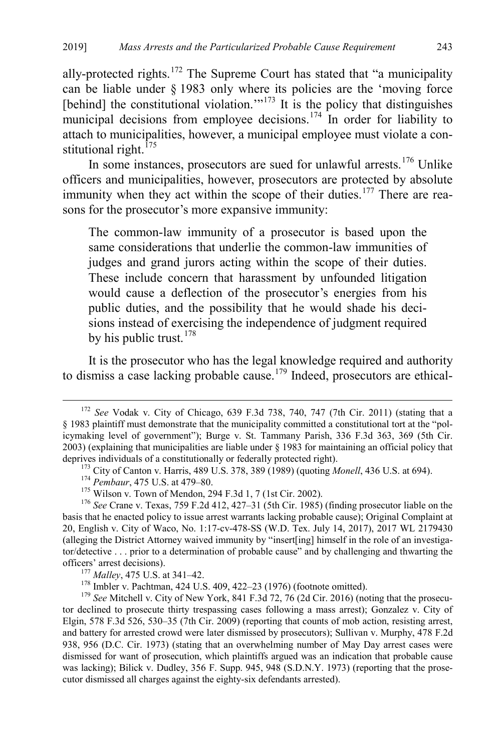ally-protected rights.<sup>[172](#page-27-0)</sup> The Supreme Court has stated that "a municipality can be liable under § 1983 only where its policies are the 'moving force [behind] the constitutional violation.'"<sup>[173](#page-27-1)</sup> It is the policy that distinguishes municipal decisions from employee decisions.<sup>174</sup> In order for liability to attach to municipalities, however, a municipal employee must violate a constitutional right. $^{175}$  $^{175}$  $^{175}$ 

In some instances, prosecutors are sued for unlawful arrests.<sup>[176](#page-27-4)</sup> Unlike officers and municipalities, however, prosecutors are protected by absolute immunity when they act within the scope of their duties.<sup>[177](#page-27-5)</sup> There are reasons for the prosecutor's more expansive immunity:

The common-law immunity of a prosecutor is based upon the same considerations that underlie the common-law immunities of judges and grand jurors acting within the scope of their duties. These include concern that harassment by unfounded litigation would cause a deflection of the prosecutor's energies from his public duties, and the possibility that he would shade his decisions instead of exercising the independence of judgment required by his public trust.<sup>[178](#page-27-6)</sup>

It is the prosecutor who has the legal knowledge required and authority to dismiss a case lacking probable cause.<sup>[179](#page-27-7)</sup> Indeed, prosecutors are ethical-

<span id="page-27-0"></span> <sup>172</sup> *See* Vodak v. City of Chicago, 639 F.3d 738, 740, 747 (7th Cir. 2011) (stating that a § 1983 plaintiff must demonstrate that the municipality committed a constitutional tort at the "policymaking level of government"); Burge v. St. Tammany Parish, 336 F.3d 363, 369 (5th Cir. 2003) (explaining that municipalities are liable under § 1983 for maintaining an official policy that deprives individuals of a constitutionally or federally protected right).<br><sup>173</sup> City of Canton v. Harris, 489 U.S. 378, 389 (1989) (quoting *Monell*, 436 U.S. at 694).<br><sup>174</sup> Pembaur, 475 U.S. at 479–80.<br><sup>175</sup> Wilson v. To

<span id="page-27-4"></span><span id="page-27-3"></span><span id="page-27-2"></span><span id="page-27-1"></span>basis that he enacted policy to issue arrest warrants lacking probable cause); Original Complaint at 20, English v. City of Waco, No. 1:17-cv-478-SS (W.D. Tex. July 14, 2017), 2017 WL 2179430 (alleging the District Attorney waived immunity by "insert[ing] himself in the role of an investigator/detective . . . prior to a determination of probable cause" and by challenging and thwarting the % officers' arrest decisions).<br>  $^{177}$  Malley, 475 U.S. at 341–42.<br>  $^{178}$  Imbler v. Pachtman, 424 U.S. 409, 422–23 (1976) (footnote omitted).<br>  $^{179}$  See Mitchell v. City of New York, 841 F.3d 72, 76 (2d Cir. 2016) (n

<span id="page-27-7"></span><span id="page-27-6"></span><span id="page-27-5"></span>tor declined to prosecute thirty trespassing cases following a mass arrest); Gonzalez v. City of Elgin, 578 F.3d 526, 530–35 (7th Cir. 2009) (reporting that counts of mob action, resisting arrest, and battery for arrested crowd were later dismissed by prosecutors); Sullivan v. Murphy, 478 F.2d 938, 956 (D.C. Cir. 1973) (stating that an overwhelming number of May Day arrest cases were dismissed for want of prosecution, which plaintiffs argued was an indication that probable cause was lacking); Bilick v. Dudley, 356 F. Supp. 945, 948 (S.D.N.Y. 1973) (reporting that the prosecutor dismissed all charges against the eighty-six defendants arrested).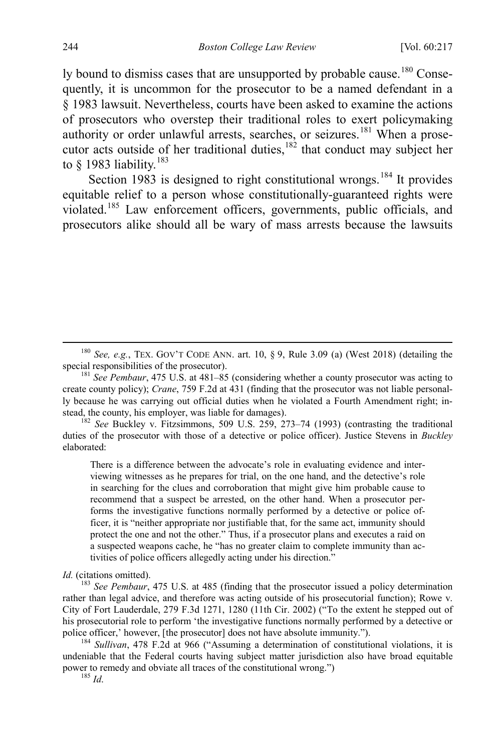ly bound to dismiss cases that are unsupported by probable cause.<sup>[180](#page-28-0)</sup> Consequently, it is uncommon for the prosecutor to be a named defendant in a § 1983 lawsuit. Nevertheless, courts have been asked to examine the actions of prosecutors who overstep their traditional roles to exert policymaking authority or order unlawful arrests, searches, or seizures.<sup>[181](#page-28-1)</sup> When a prosecutor acts outside of her traditional duties, $182$  that conduct may subject her to  $§$  1983 liability.<sup>[183](#page-28-3)</sup>

Section 1983 is designed to right constitutional wrongs.<sup>[184](#page-28-4)</sup> It provides equitable relief to a person whose constitutionally-guaranteed rights were violated.[185](#page-28-5) Law enforcement officers, governments, public officials, and prosecutors alike should all be wary of mass arrests because the lawsuits

<span id="page-28-2"></span>duties of the prosecutor with those of a detective or police officer). Justice Stevens in *Buckley* elaborated:

There is a difference between the advocate's role in evaluating evidence and interviewing witnesses as he prepares for trial, on the one hand, and the detective's role in searching for the clues and corroboration that might give him probable cause to recommend that a suspect be arrested, on the other hand. When a prosecutor performs the investigative functions normally performed by a detective or police officer, it is "neither appropriate nor justifiable that, for the same act, immunity should protect the one and not the other." Thus, if a prosecutor plans and executes a raid on a suspected weapons cache, he "has no greater claim to complete immunity than activities of police officers allegedly acting under his direction."

Id. (citations omitted).

<span id="page-28-3"></span><sup>183</sup> See Pembaur, 475 U.S. at 485 (finding that the prosecutor issued a policy determination rather than legal advice, and therefore was acting outside of his prosecutorial function); Rowe v. City of Fort Lauderdale, 279 F.3d 1271, 1280 (11th Cir. 2002) ("To the extent he stepped out of his prosecutorial role to perform 'the investigative functions normally performed by a detective or police officer,' however, [the prosecutor] does not have absolute immunity.").<br><sup>184</sup> *Sullivan*, 478 F.2d at 966 ("Assuming a determination of constitutional violations, it is

<span id="page-28-5"></span><span id="page-28-4"></span>undeniable that the Federal courts having subject matter jurisdiction also have broad equitable power to remedy and obviate all traces of the constitutional wrong.") <sup>185</sup> *Id*.

<span id="page-28-0"></span><sup>&</sup>lt;sup>180</sup> *See, e.g.*, TEX. GOV'T CODE ANN. art. 10, § 9, Rule 3.09 (a) (West 2018) (detailing the special responsibilities of the prosecutor).

<span id="page-28-1"></span><sup>&</sup>lt;sup>181</sup> See Pembaur, 475 U.S. at 481–85 (considering whether a county prosecutor was acting to create county policy); *Crane*, 759 F.2d at 431 (finding that the prosecutor was not liable personally because he was carrying out official duties when he violated a Fourth Amendment right; instead, the county, his employer, was liable for damages). 182 *See* Buckley v. Fitzsimmons, 509 U.S. 259, 273–74 (1993) (contrasting the traditional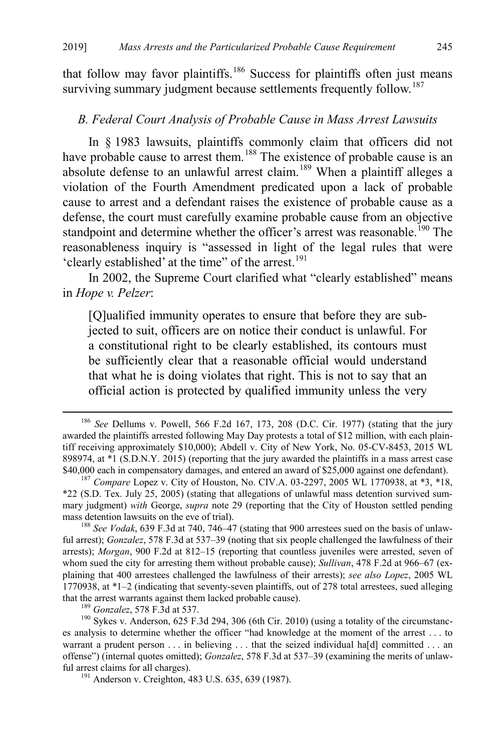that follow may favor plaintiffs.<sup>[186](#page-29-0)</sup> Success for plaintiffs often just means surviving summary judgment because settlements frequently follow.<sup>187</sup>

#### *B. Federal Court Analysis of Probable Cause in Mass Arrest Lawsuits*

In § 1983 lawsuits, plaintiffs commonly claim that officers did not have probable cause to arrest them.<sup>[188](#page-29-2)</sup> The existence of probable cause is an absolute defense to an unlawful arrest claim.<sup>[189](#page-29-3)</sup> When a plaintiff alleges a violation of the Fourth Amendment predicated upon a lack of probable cause to arrest and a defendant raises the existence of probable cause as a defense, the court must carefully examine probable cause from an objective standpoint and determine whether the officer's arrest was reasonable.<sup>[190](#page-29-4)</sup> The reasonableness inquiry is "assessed in light of the legal rules that were 'clearly established' at the time" of the arrest.<sup>[191](#page-29-5)</sup>

In 2002, the Supreme Court clarified what "clearly established" means in *Hope v. Pelzer*:

[Q]ualified immunity operates to ensure that before they are subjected to suit, officers are on notice their conduct is unlawful. For a constitutional right to be clearly established, its contours must be sufficiently clear that a reasonable official would understand that what he is doing violates that right. This is not to say that an official action is protected by qualified immunity unless the very

<span id="page-29-0"></span> <sup>186</sup> *See* Dellums v. Powell, 566 F.2d 167, 173, 208 (D.C. Cir. 1977) (stating that the jury awarded the plaintiffs arrested following May Day protests a total of \$12 million, with each plaintiff receiving approximately \$10,000); Abdell v. City of New York, No. 05-CV-8453, 2015 WL 898974, at \*1 (S.D.N.Y. 2015) (reporting that the jury awarded the plaintiffs in a mass arrest case \$40,000 each in compensatory damages, and entered an award of \$25,000 against one defendant). <sup>187</sup> *Compare* Lopez v. City of Houston, No. CIV.A. 03-2297, 2005 WL 1770938, at \*3, \*18,

<span id="page-29-1"></span><sup>\*22 (</sup>S.D. Tex. July 25, 2005) (stating that allegations of unlawful mass detention survived summary judgment) *with* George, *supra* note [29](#page-7-8) (reporting that the City of Houston settled pending mass detention lawsuits on the eve of trial). <sup>188</sup> *See Vodak*, 639 F.3d at 740, 746–47 (stating that 900 arrestees sued on the basis of unlaw-

<span id="page-29-2"></span>ful arrest); *Gonzalez*, 578 F.3d at 537–39 (noting that six people challenged the lawfulness of their arrests); *Morgan*, 900 F.2d at 812–15 (reporting that countless juveniles were arrested, seven of whom sued the city for arresting them without probable cause); *Sullivan*, 478 F.2d at 966–67 (explaining that 400 arrestees challenged the lawfulness of their arrests); *see also Lopez*, 2005 WL 1770938, at \*1–2 (indicating that seventy-seven plaintiffs, out of 278 total arrestees, sued alleging that the arrest warrants against them lacked probable cause).<br><sup>189</sup> *Gonzalez*, 578 F.3d at 537. <sup>190</sup> Sykes v. Anderson, 625 F.3d 294, 306 (6th Cir. 2010) (using a totality of the circumstanc-

<span id="page-29-5"></span><span id="page-29-4"></span><span id="page-29-3"></span>es analysis to determine whether the officer "had knowledge at the moment of the arrest . . . to warrant a prudent person . . . in believing . . . that the seized individual ha[d] committed . . . an offense") (internal quotes omitted); *Gonzalez*, 578 F.3d at 537–39 (examining the merits of unlawful arrest claims for all charges).<br><sup>191</sup> Anderson v. Creighton, 483 U.S. 635, 639 (1987).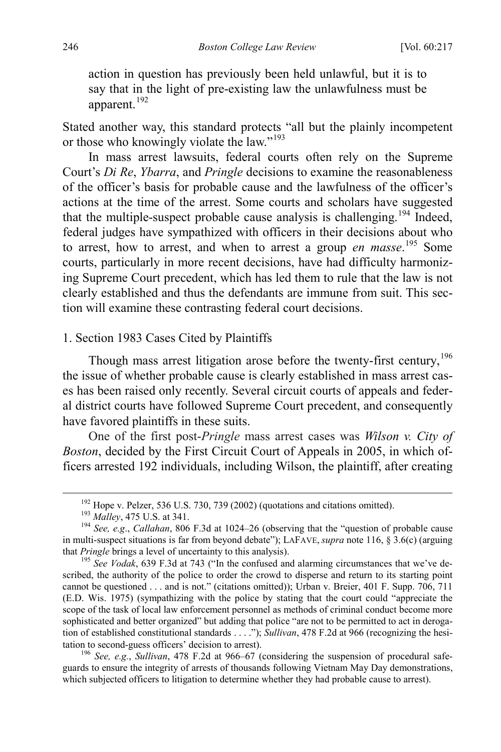action in question has previously been held unlawful, but it is to say that in the light of pre-existing law the unlawfulness must be apparent.<sup>[192](#page-30-1)</sup>

Stated another way, this standard protects "all but the plainly incompetent or those who knowingly violate the law."<sup>[193](#page-30-2)</sup>

In mass arrest lawsuits, federal courts often rely on the Supreme Court's *Di Re*, *Ybarra*, and *Pringle* decisions to examine the reasonableness of the officer's basis for probable cause and the lawfulness of the officer's actions at the time of the arrest. Some courts and scholars have suggested that the multiple-suspect probable cause analysis is challenging.<sup>194</sup> Indeed, federal judges have sympathized with officers in their decisions about who to arrest, how to arrest, and when to arrest a group *en masse*. [195](#page-30-4) Some courts, particularly in more recent decisions, have had difficulty harmonizing Supreme Court precedent, which has led them to rule that the law is not clearly established and thus the defendants are immune from suit. This section will examine these contrasting federal court decisions.

# <span id="page-30-0"></span>1. Section 1983 Cases Cited by Plaintiffs

Though mass arrest litigation arose before the twenty-first century,<sup>[196](#page-30-5)</sup> the issue of whether probable cause is clearly established in mass arrest cases has been raised only recently. Several circuit courts of appeals and federal district courts have followed Supreme Court precedent, and consequently have favored plaintiffs in these suits.

One of the first post-*Pringle* mass arrest cases was *Wilson v. City of Boston*, decided by the First Circuit Court of Appeals in 2005, in which officers arrested 192 individuals, including Wilson, the plaintiff, after creating

<span id="page-30-5"></span>guards to ensure the integrity of arrests of thousands following Vietnam May Day demonstrations, which subjected officers to litigation to determine whether they had probable cause to arrest).

<span id="page-30-3"></span><span id="page-30-2"></span><span id="page-30-1"></span><sup>&</sup>lt;sup>192</sup> Hope v. Pelzer, 536 U.S. 730, 739 (2002) (quotations and citations omitted).<br><sup>193</sup> *Malley*, 475 U.S. at 341.<br><sup>194</sup> *See, e.g.*, *Callahan*, 806 F.3d at 1024–26 (observing that the "question of probable cause in multi-suspect situations is far from beyond debate"); LAFAVE, *supra* note [116,](#page-20-0) § 3.6(c) (arguing that *Pringle* brings a level of uncertainty to this analysis).<br><sup>195</sup> *See Vodak*, 639 F.3d at 743 ("In the confused and alarming circumstances that we've de-

<span id="page-30-4"></span>scribed, the authority of the police to order the crowd to disperse and return to its starting point cannot be questioned . . . and is not." (citations omitted)); Urban v. Breier, 401 F. Supp. 706, 711 (E.D. Wis. 1975) (sympathizing with the police by stating that the court could "appreciate the scope of the task of local law enforcement personnel as methods of criminal conduct become more sophisticated and better organized" but adding that police "are not to be permitted to act in derogation of established constitutional standards . . . ."); *Sullivan*, 478 F.2d at 966 (recognizing the hesitation to second-guess officers' decision to arrest). 196 *See, e.g.*, *Sullivan*, 478 F.2d at 966–67 (considering the suspension of procedural safe-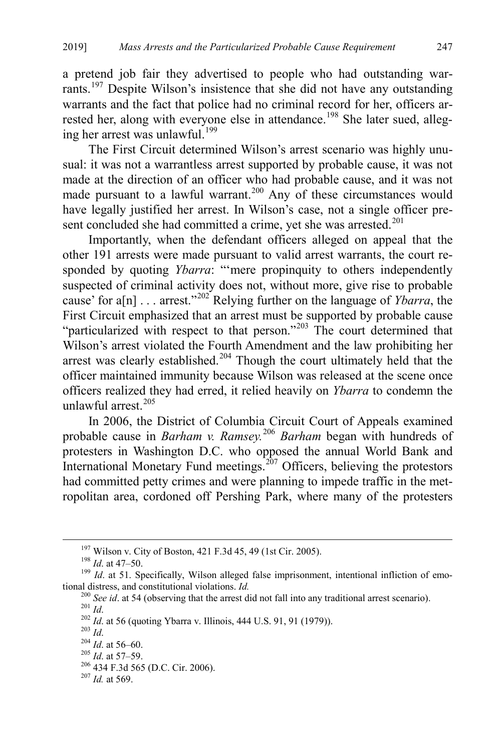a pretend job fair they advertised to people who had outstanding warrants.[197](#page-31-0) Despite Wilson's insistence that she did not have any outstanding warrants and the fact that police had no criminal record for her, officers ar-rested her, along with everyone else in attendance.<sup>[198](#page-31-1)</sup> She later sued, alleg-ing her arrest was unlawful.<sup>[199](#page-31-2)</sup>

The First Circuit determined Wilson's arrest scenario was highly unusual: it was not a warrantless arrest supported by probable cause, it was not made at the direction of an officer who had probable cause, and it was not made pursuant to a lawful warrant.<sup>[200](#page-31-3)</sup> Any of these circumstances would have legally justified her arrest. In Wilson's case, not a single officer pre-sent concluded she had committed a crime, yet she was arrested.<sup>[201](#page-31-4)</sup>

Importantly, when the defendant officers alleged on appeal that the other 191 arrests were made pursuant to valid arrest warrants, the court responded by quoting *Ybarra*: "'mere propinquity to others independently suspected of criminal activity does not, without more, give rise to probable cause' for  $a[n]$ ... arrest."<sup>[202](#page-31-5)</sup> Relying further on the language of *Ybarra*, the First Circuit emphasized that an arrest must be supported by probable cause "particularized with respect to that person."<sup>[203](#page-31-6)</sup> The court determined that Wilson's arrest violated the Fourth Amendment and the law prohibiting her arrest was clearly established.<sup>[204](#page-31-7)</sup> Though the court ultimately held that the officer maintained immunity because Wilson was released at the scene once officers realized they had erred, it relied heavily on *Ybarra* to condemn the unlawful arrest. $205$ 

In 2006, the District of Columbia Circuit Court of Appeals examined probable cause in *Barham v. Ramsey.*[206](#page-31-9) *Barham* began with hundreds of protesters in Washington D.C. who opposed the annual World Bank and International Monetary Fund meetings.<sup>[207](#page-31-10)</sup> Officers, believing the protestors had committed petty crimes and were planning to impede traffic in the metropolitan area, cordoned off Pershing Park, where many of the protesters

<span id="page-31-3"></span><span id="page-31-2"></span><span id="page-31-1"></span><span id="page-31-0"></span><sup>&</sup>lt;sup>197</sup> Wilson v. City of Boston, 421 F.3d 45, 49 (1st Cir. 2005).<br><sup>198</sup> *Id*. at 47–50.<br><sup>199</sup> *Id*. at 51. Specifically, Wilson alleged false imprisonment, intentional infliction of emo-<br>tional distress, and constitutional

<span id="page-31-4"></span><sup>&</sup>lt;sup>200</sup> *See id.* at 54 (observing that the arrest did not fall into any traditional arrest scenario).<br><sup>201</sup> *Id.*<br><sup>202</sup> *Id.* at 56 (quoting Ybarra v. Illinois, 444 U.S. 91, 91 (1979)).<br><sup>203</sup> *Id.*<br><sup>204</sup> *Id.* at 56–60.<br><sup>2</sup>

<span id="page-31-7"></span><span id="page-31-6"></span><span id="page-31-5"></span>

<span id="page-31-8"></span>

<span id="page-31-10"></span><span id="page-31-9"></span>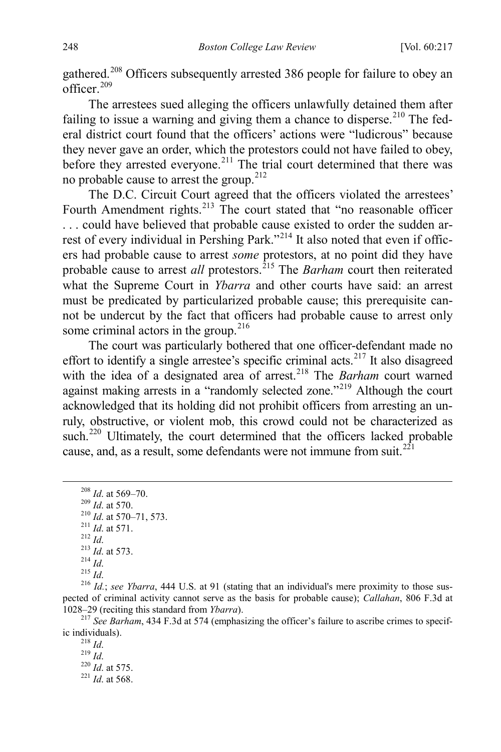gathered.<sup>[208](#page-32-0)</sup> Officers subsequently arrested 386 people for failure to obey an officer. [209](#page-32-1)

The arrestees sued alleging the officers unlawfully detained them after failing to issue a warning and giving them a chance to disperse.<sup>[210](#page-32-2)</sup> The federal district court found that the officers' actions were "ludicrous" because they never gave an order, which the protestors could not have failed to obey, before they arrested everyone.<sup>[211](#page-32-3)</sup> The trial court determined that there was no probable cause to arrest the group.[212](#page-32-4)

The D.C. Circuit Court agreed that the officers violated the arrestees' Fourth Amendment rights.<sup>[213](#page-32-5)</sup> The court stated that "no reasonable officer . . . could have believed that probable cause existed to order the sudden ar-rest of every individual in Pershing Park."<sup>[214](#page-32-6)</sup> It also noted that even if officers had probable cause to arrest *some* protestors, at no point did they have probable cause to arrest *all* protestors.<sup>215</sup> The *Barham* court then reiterated what the Supreme Court in *Ybarra* and other courts have said: an arrest must be predicated by particularized probable cause; this prerequisite cannot be undercut by the fact that officers had probable cause to arrest only some criminal actors in the group. $216$ 

The court was particularly bothered that one officer-defendant made no effort to identify a single arrestee's specific criminal acts.<sup>[217](#page-32-9)</sup> It also disagreed with the idea of a designated area of arrest.<sup>[218](#page-32-10)</sup> The *Barham* court warned against making arrests in a "randomly selected zone."<sup>[219](#page-32-11)</sup> Although the court acknowledged that its holding did not prohibit officers from arresting an unruly, obstructive, or violent mob, this crowd could not be characterized as such.<sup>[220](#page-32-12)</sup> Ultimately, the court determined that the officers lacked probable cause, and, as a result, some defendants were not immune from suit. $2^{21}$ 

<span id="page-32-8"></span><span id="page-32-7"></span><span id="page-32-6"></span><span id="page-32-5"></span><span id="page-32-4"></span>pected of criminal activity cannot serve as the basis for probable cause); *Callahan*, 806 F.3d at

<span id="page-32-13"></span><span id="page-32-12"></span><span id="page-32-11"></span><span id="page-32-10"></span><span id="page-32-9"></span><sup>217</sup> See Barham, 434 F.3d at 574 (emphasizing the officer's failure to ascribe crimes to specific individuals).

ic individuals). <sup>218</sup> *Id*. 219 *Id*. 220 *Id*. at 575. <sup>221</sup> *Id*. at 568.

<span id="page-32-3"></span><span id="page-32-2"></span><span id="page-32-1"></span><span id="page-32-0"></span><sup>&</sup>lt;sup>208</sup> *Id.* at 569–70.<br>
<sup>209</sup> *Id.* at 570.<br>
<sup>210</sup> *Id.* at 570–71, 573.<br>
<sup>211</sup> *Id.* at 571.<br>
<sup>212</sup> *Id.*<br>
<sup>213</sup> *Id.* at 573.<br>
<sup>214</sup> *Id.*<br>
<sup>215</sup> *Id.*<br>
<sup>216</sup> *Id.*; *see Ybarra*, 444 U.S. at 91 (stating that an individ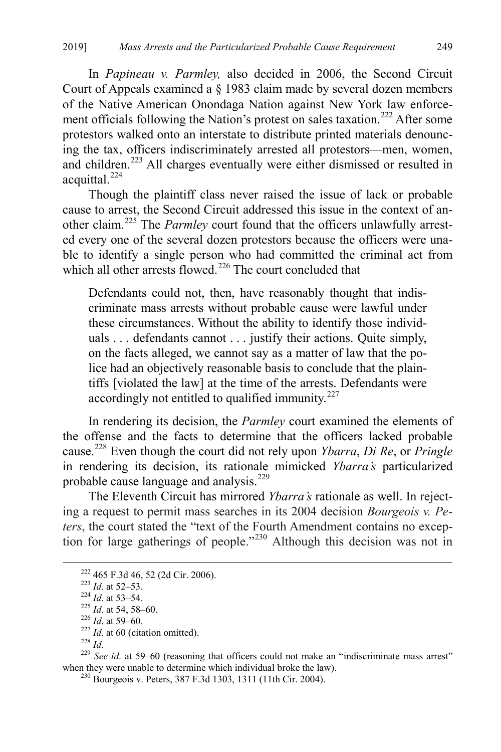In *Papineau v. Parmley,* also decided in 2006, the Second Circuit Court of Appeals examined a § 1983 claim made by several dozen members of the Native American Onondaga Nation against New York law enforce-ment officials following the Nation's protest on sales taxation.<sup>[222](#page-33-0)</sup> After some protestors walked onto an interstate to distribute printed materials denouncing the tax, officers indiscriminately arrested all protestors—men, women, and children.[223](#page-33-1) All charges eventually were either dismissed or resulted in acquittal.<sup>[224](#page-33-2)</sup>

Though the plaintiff class never raised the issue of lack or probable cause to arrest, the Second Circuit addressed this issue in the context of another claim.[225](#page-33-3) The *Parmley* court found that the officers unlawfully arrested every one of the several dozen protestors because the officers were unable to identify a single person who had committed the criminal act from which all other arrests flowed.<sup>[226](#page-33-4)</sup> The court concluded that

Defendants could not, then, have reasonably thought that indiscriminate mass arrests without probable cause were lawful under these circumstances. Without the ability to identify those individuals . . . defendants cannot . . . justify their actions. Quite simply, on the facts alleged, we cannot say as a matter of law that the police had an objectively reasonable basis to conclude that the plaintiffs [violated the law] at the time of the arrests. Defendants were accordingly not entitled to qualified immunity.<sup>[227](#page-33-5)</sup>

In rendering its decision, the *Parmley* court examined the elements of the offense and the facts to determine that the officers lacked probable cause.[228](#page-33-6) Even though the court did not rely upon *Ybarra*, *Di Re*, or *Pringle* in rendering its decision, its rationale mimicked *Ybarra's* particularized probable cause language and analysis.<sup>[229](#page-33-7)</sup>

The Eleventh Circuit has mirrored *Ybarra's* rationale as well. In rejecting a request to permit mass searches in its 2004 decision *Bourgeois v. Peters*, the court stated the "text of the Fourth Amendment contains no excep-tion for large gatherings of people."<sup>[230](#page-33-8)</sup> Although this decision was not in

- 
- <span id="page-33-7"></span><span id="page-33-6"></span>

<span id="page-33-4"></span><span id="page-33-3"></span><span id="page-33-2"></span><span id="page-33-1"></span><span id="page-33-0"></span><sup>222</sup> 465 F.3d 46, 52 (2d Cir. 2006).<br><sup>223</sup> *Id.* at 52–53.<br><sup>224</sup> *Id.* at 53–54.<br><sup>225</sup> *Id.* at 54, 58–60.<br><sup>226</sup> *Id.* at 59–60.<br><sup>227</sup> *Id.* at 60 (citation omitted).<br><sup>228</sup> *Id.*<br><sup>229</sup> *See id.* at 59–60 (reasoning that

<span id="page-33-8"></span> $^{230}$  Bourgeois v. Peters, 387 F.3d 1303, 1311 (11th Cir. 2004).

<span id="page-33-5"></span>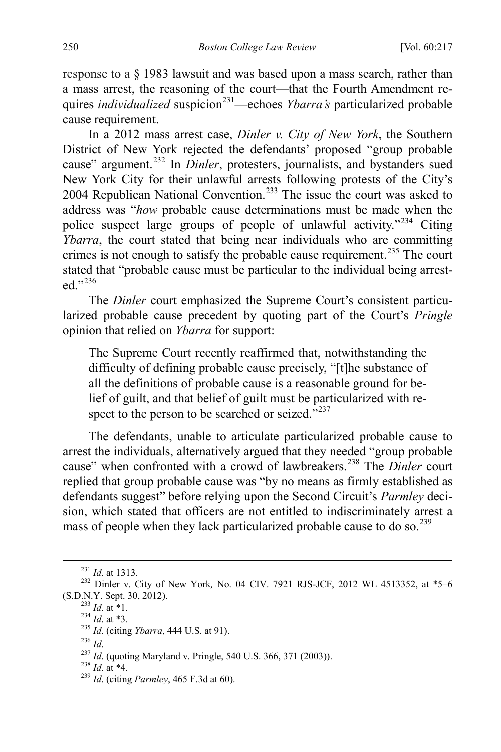response to a § 1983 lawsuit and was based upon a mass search, rather than a mass arrest, the reasoning of the court—that the Fourth Amendment requires *individualized* suspicion<sup>[231](#page-34-0)</sup>—echoes *Ybarra's* particularized probable cause requirement.

In a 2012 mass arrest case, *Dinler v. City of New York*, the Southern District of New York rejected the defendants' proposed "group probable cause" argument.<sup>[232](#page-34-1)</sup> In *Dinler*, protesters, journalists, and bystanders sued New York City for their unlawful arrests following protests of the City's 2004 Republican National Convention.<sup>[233](#page-34-2)</sup> The issue the court was asked to address was "*how* probable cause determinations must be made when the police suspect large groups of people of unlawful activity."<sup>[234](#page-34-3)</sup> Citing *Ybarra*, the court stated that being near individuals who are committing crimes is not enough to satisfy the probable cause requirement.<sup>[235](#page-34-4)</sup> The court stated that "probable cause must be particular to the individual being arrested."236

The *Dinler* court emphasized the Supreme Court's consistent particularized probable cause precedent by quoting part of the Court's *Pringle* opinion that relied on *Ybarra* for support:

The Supreme Court recently reaffirmed that, notwithstanding the difficulty of defining probable cause precisely, "[t]he substance of all the definitions of probable cause is a reasonable ground for belief of guilt, and that belief of guilt must be particularized with respect to the person to be searched or seized." $^{237}$  $^{237}$  $^{237}$ 

The defendants, unable to articulate particularized probable cause to arrest the individuals, alternatively argued that they needed "group probable cause" when confronted with a crowd of lawbreakers.<sup>[238](#page-34-7)</sup> The *Dinler* court replied that group probable cause was "by no means as firmly established as defendants suggest" before relying upon the Second Circuit's *Parmley* decision, which stated that officers are not entitled to indiscriminately arrest a mass of people when they lack particularized probable cause to do so.<sup>[239](#page-34-8)</sup>

<span id="page-34-3"></span><span id="page-34-2"></span><span id="page-34-1"></span><span id="page-34-0"></span><sup>&</sup>lt;sup>231</sup> *Id.* at 1313.<br><sup>232</sup> Dinler v. City of New York, No. 04 CIV. 7921 RJS-JCF, 2012 WL 4513352, at \*5–6 (S.D.N.Y. Sept. 30, 2012).

<span id="page-34-4"></span>

<sup>(333</sup> *Id.* at \*1.<br>
<sup>234</sup> *Id.* at \*3.<br>
<sup>235</sup> *Id.* (citing *Ybarra*, 444 U.S. at 91).<br>
<sup>236</sup> *Id.* 

<span id="page-34-7"></span><span id="page-34-6"></span><span id="page-34-5"></span><sup>236</sup> *Id*. 237 *Id*. (quoting Maryland v. Pringle, 540 U.S. 366, 371 (2003)). 238 *Id*. at \*4. <sup>239</sup> *Id*. (citing *Parmley*, 465 F.3d at 60).

<span id="page-34-8"></span>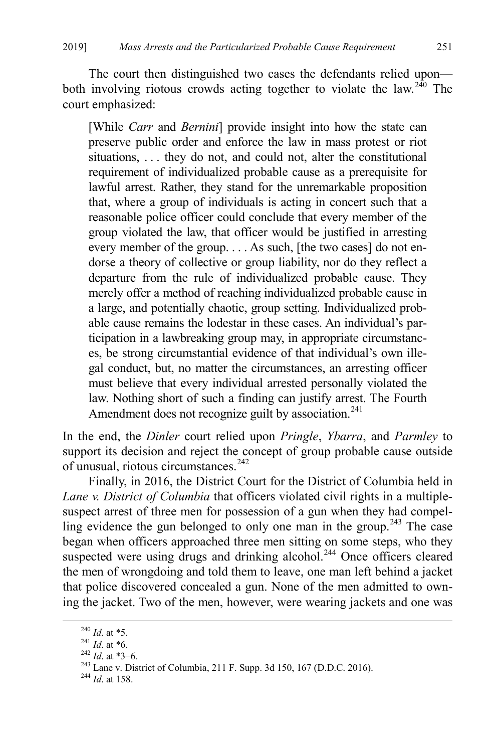The court then distinguished two cases the defendants relied upon— both involving riotous crowds acting together to violate the law.<sup>[240](#page-35-0)</sup> The court emphasized:

[While *Carr* and *Bernini*] provide insight into how the state can preserve public order and enforce the law in mass protest or riot situations, . . . they do not, and could not, alter the constitutional requirement of individualized probable cause as a prerequisite for lawful arrest. Rather, they stand for the unremarkable proposition that, where a group of individuals is acting in concert such that a reasonable police officer could conclude that every member of the group violated the law, that officer would be justified in arresting every member of the group. . . . As such, [the two cases] do not endorse a theory of collective or group liability, nor do they reflect a departure from the rule of individualized probable cause. They merely offer a method of reaching individualized probable cause in a large, and potentially chaotic, group setting. Individualized probable cause remains the lodestar in these cases. An individual's participation in a lawbreaking group may, in appropriate circumstances, be strong circumstantial evidence of that individual's own illegal conduct, but, no matter the circumstances, an arresting officer must believe that every individual arrested personally violated the law. Nothing short of such a finding can justify arrest. The Fourth Amendment does not recognize guilt by association.<sup>[241](#page-35-1)</sup>

In the end, the *Dinler* court relied upon *Pringle*, *Ybarra*, and *Parmley* to support its decision and reject the concept of group probable cause outside of unusual, riotous circumstances.<sup>[242](#page-35-2)</sup>

Finally, in 2016, the District Court for the District of Columbia held in *Lane v. District of Columbia* that officers violated civil rights in a multiplesuspect arrest of three men for possession of a gun when they had compel-ling evidence the gun belonged to only one man in the group.<sup>[243](#page-35-3)</sup> The case began when officers approached three men sitting on some steps, who they suspected were using drugs and drinking alcohol.<sup>[244](#page-35-4)</sup> Once officers cleared the men of wrongdoing and told them to leave, one man left behind a jacket that police discovered concealed a gun. None of the men admitted to owning the jacket. Two of the men, however, were wearing jackets and one was

<span id="page-35-3"></span><span id="page-35-2"></span>

<span id="page-35-1"></span><span id="page-35-0"></span><sup>&</sup>lt;sup>240</sup> *Id.* at \*5.<br><sup>241</sup> *Id.* at \*6.<br><sup>242</sup> *Id.* at \*3–6.<br><sup>243</sup> Lane v. District of Columbia, 211 F. Supp. 3d 150, 167 (D.D.C. 2016).<br><sup>244</sup> *Id.* at 158.

<span id="page-35-4"></span>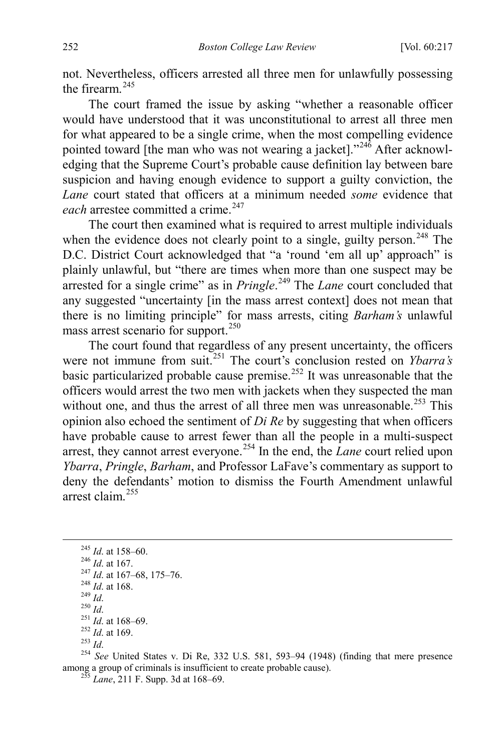not. Nevertheless, officers arrested all three men for unlawfully possessing the firearm.<sup>[245](#page-36-1)</sup>

The court framed the issue by asking "whether a reasonable officer would have understood that it was unconstitutional to arrest all three men for what appeared to be a single crime, when the most compelling evidence pointed toward [the man who was not wearing a jacket]."<sup>[246](#page-36-2)</sup> After acknowledging that the Supreme Court's probable cause definition lay between bare suspicion and having enough evidence to support a guilty conviction, the *Lane* court stated that officers at a minimum needed *some* evidence that *each* arrestee committed a crime.<sup>[247](#page-36-3)</sup>

The court then examined what is required to arrest multiple individuals when the evidence does not clearly point to a single, guilty person.<sup>[248](#page-36-4)</sup> The D.C. District Court acknowledged that "a 'round 'em all up' approach" is plainly unlawful, but "there are times when more than one suspect may be arrested for a single crime" as in *Pringle*. [249](#page-36-5) The *Lane* court concluded that any suggested "uncertainty [in the mass arrest context] does not mean that there is no limiting principle" for mass arrests, citing *Barham's* unlawful mass arrest scenario for support.<sup>[250](#page-36-6)</sup>

The court found that regardless of any present uncertainty, the officers were not immune from suit.<sup>[251](#page-36-7)</sup> The court's conclusion rested on *Ybarra's* basic particularized probable cause premise.<sup>[252](#page-36-8)</sup> It was unreasonable that the officers would arrest the two men with jackets when they suspected the man without one, and thus the arrest of all three men was unreasonable.<sup>[253](#page-36-9)</sup> This opinion also echoed the sentiment of *Di Re* by suggesting that when officers have probable cause to arrest fewer than all the people in a multi-suspect arrest, they cannot arrest everyone.<sup>[254](#page-36-10)</sup> In the end, the *Lane* court relied upon *Ybarra*, *Pringle*, *Barham*, and Professor LaFave's commentary as support to deny the defendants' motion to dismiss the Fourth Amendment unlawful arrest claim.[255](#page-36-11)

<span id="page-36-8"></span><span id="page-36-7"></span>

<span id="page-36-5"></span><span id="page-36-4"></span><span id="page-36-3"></span><span id="page-36-2"></span><span id="page-36-1"></span><sup>245</sup> *Id.* at 158–60.<br>
<sup>246</sup> *Id.* at 167.<br>
<sup>247</sup> *Id.* at 167–68, 175–76.<br>
<sup>248</sup> *Id.* at 168.<br>
<sup>249</sup> *Id.*<br>
<sup>250</sup> *Id.*<br>
<sup>251</sup> *Id.* at 168–69.<br>
<sup>251</sup> *Id.* at 169.<br>
<sup>252</sup> *Id.* at 169.<br>
<sup>253</sup> *Id.*<br>
<sup>251</sup> *Id.* at 169 among a group of criminals is insufficient to create probable cause). <sup>255</sup> *Lane*, 211 F. Supp. 3d at 168–69.

<span id="page-36-0"></span>

<span id="page-36-6"></span>

<span id="page-36-11"></span><span id="page-36-10"></span><span id="page-36-9"></span>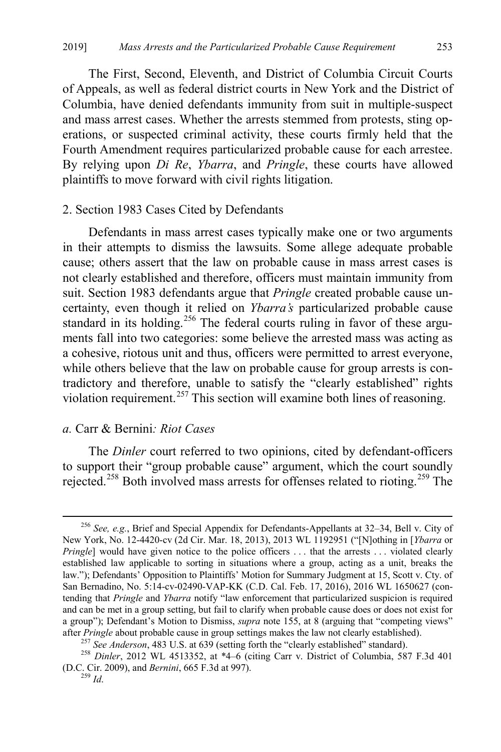The First, Second, Eleventh, and District of Columbia Circuit Courts of Appeals, as well as federal district courts in New York and the District of Columbia, have denied defendants immunity from suit in multiple-suspect and mass arrest cases. Whether the arrests stemmed from protests, sting operations, or suspected criminal activity, these courts firmly held that the Fourth Amendment requires particularized probable cause for each arrestee. By relying upon *Di Re*, *Ybarra*, and *Pringle*, these courts have allowed plaintiffs to move forward with civil rights litigation.

#### 2. Section 1983 Cases Cited by Defendants

Defendants in mass arrest cases typically make one or two arguments in their attempts to dismiss the lawsuits. Some allege adequate probable cause; others assert that the law on probable cause in mass arrest cases is not clearly established and therefore, officers must maintain immunity from suit. Section 1983 defendants argue that *Pringle* created probable cause uncertainty, even though it relied on *Ybarra's* particularized probable cause standard in its holding.<sup>[256](#page-37-0)</sup> The federal courts ruling in favor of these arguments fall into two categories: some believe the arrested mass was acting as a cohesive, riotous unit and thus, officers were permitted to arrest everyone, while others believe that the law on probable cause for group arrests is contradictory and therefore, unable to satisfy the "clearly established" rights violation requirement.<sup>257</sup> This section will examine both lines of reasoning.

# *a.* Carr & Bernini*: Riot Cases*

The *Dinler* court referred to two opinions, cited by defendant-officers to support their "group probable cause" argument, which the court soundly rejected.<sup>[258](#page-37-2)</sup> Both involved mass arrests for offenses related to rioting.<sup>[259](#page-37-3)</sup> The

<span id="page-37-0"></span> <sup>256</sup> *See, e.g.*, Brief and Special Appendix for Defendants-Appellants at 32–34, Bell v. City of New York, No. 12-4420-cv (2d Cir. Mar. 18, 2013), 2013 WL 1192951 ("[N]othing in [*Ybarra* or *Pringle*] would have given notice to the police officers ... that the arrests ... violated clearly established law applicable to sorting in situations where a group, acting as a unit, breaks the law."); Defendants' Opposition to Plaintiffs' Motion for Summary Judgment at 15, Scott v. Cty. of San Bernadino, No. 5:14-cv-02490-VAP-KK (C.D. Cal. Feb. 17, 2016), 2016 WL 1650627 (contending that *Pringle* and *Ybarra* notify "law enforcement that particularized suspicion is required and can be met in a group setting, but fail to clarify when probable cause does or does not exist for a group"); Defendant's Motion to Dismiss, *supra* note [155,](#page-24-0) at 8 (arguing that "competing views"

<span id="page-37-3"></span><span id="page-37-2"></span><span id="page-37-1"></span>after *Pringle* about probable cause in group settings makes the law not clearly established).<br><sup>257</sup> See Anderson, 483 U.S. at 639 (setting forth the "clearly established" standard).<br><sup>258</sup> Dinler, 2012 WL 4513352, at \*4–6 (D.C. Cir. 2009), and *Bernini*, 665 F.3d at 997). 259 *Id*.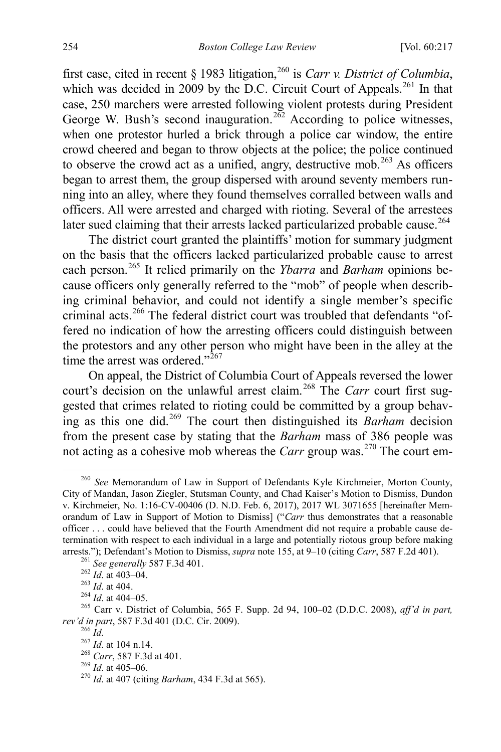<span id="page-38-12"></span><span id="page-38-0"></span>first case, cited in recent § 1983 litigation,<sup>[260](#page-38-1)</sup> is *Carr v. District of Columbia*, which was decided in 2009 by the D.C. Circuit Court of Appeals.<sup>[261](#page-38-2)</sup> In that case, 250 marchers were arrested following violent protests during President George W. Bush's second inauguration.<sup>[262](#page-38-3)</sup> According to police witnesses, when one protestor hurled a brick through a police car window, the entire crowd cheered and began to throw objects at the police; the police continued to observe the crowd act as a unified, angry, destructive mob.<sup>[263](#page-38-4)</sup> As officers began to arrest them, the group dispersed with around seventy members running into an alley, where they found themselves corralled between walls and officers. All were arrested and charged with rioting. Several of the arrestees later sued claiming that their arrests lacked particularized probable cause.<sup>[264](#page-38-5)</sup>

The district court granted the plaintiffs' motion for summary judgment on the basis that the officers lacked particularized probable cause to arrest each person.[265](#page-38-6) It relied primarily on the *Ybarra* and *Barham* opinions because officers only generally referred to the "mob" of people when describing criminal behavior, and could not identify a single member's specific criminal acts.<sup>[266](#page-38-7)</sup> The federal district court was troubled that defendants "offered no indication of how the arresting officers could distinguish between the protestors and any other person who might have been in the alley at the time the arrest was ordered."<sup>[267](#page-38-8)</sup>

On appeal, the District of Columbia Court of Appeals reversed the lower court's decision on the unlawful arrest claim.<sup>[268](#page-38-9)</sup> The *Carr* court first suggested that crimes related to rioting could be committed by a group behaving as this one did.[269](#page-38-10) The court then distinguished its *Barham* decision from the present case by stating that the *Barham* mass of 386 people was not acting as a cohesive mob whereas the *Carr* group was.[270](#page-38-11) The court em-

<span id="page-38-1"></span> <sup>260</sup> *See* Memorandum of Law in Support of Defendants Kyle Kirchmeier, Morton County, City of Mandan, Jason Ziegler, Stutsman County, and Chad Kaiser's Motion to Dismiss, Dundon v. Kirchmeier, No. 1:16-CV-00406 (D. N.D. Feb. 6, 2017), 2017 WL 3071655 [hereinafter Memorandum of Law in Support of Motion to Dismiss] ("*Carr* thus demonstrates that a reasonable officer . . . could have believed that the Fourth Amendment did not require a probable cause determination with respect to each individual in a large and potentially riotous group before making

<span id="page-38-6"></span>

<span id="page-38-5"></span><span id="page-38-4"></span><span id="page-38-3"></span><span id="page-38-2"></span>arrests."); Defendant's Motion to Dismiss, *supra* note [155,](#page-24-0) at 9–10 (citing *Carr*, 587 F.2d 401).<br>
<sup>261</sup> *See generally* 587 F.3d 401.<br>
<sup>262</sup> *Id.* at 403–04.<br>
<sup>263</sup> *Id.* at 404–05.<br>
<sup>264</sup> *Id.* at 404–05.<br>
<sup>265</sup> Carr *rev'd in part*, 587 F.3d 401 (D.C. Cir. 2009).<br>
<sup>266</sup> *Id.* at 104 n.14.<br>
<sup>268</sup> *Carr*, 587 F.3d at 401.<br>
<sup>269</sup> *Id.* at 405–06. <sup>270</sup> *Id.* at 407 (citing *Barham*, 434 F.3d at 565).

<span id="page-38-7"></span>

<span id="page-38-8"></span>

<span id="page-38-10"></span><span id="page-38-9"></span>

<span id="page-38-11"></span>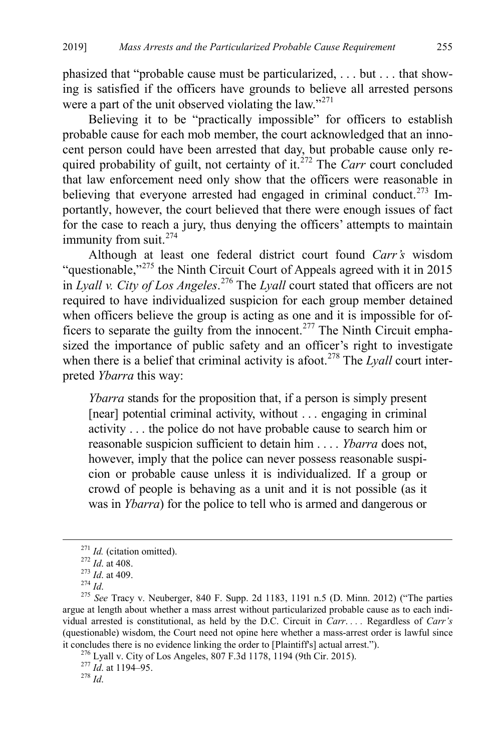phasized that "probable cause must be particularized, . . . but . . . that showing is satisfied if the officers have grounds to believe all arrested persons were a part of the unit observed violating the law."<sup>[271](#page-39-0)</sup>

Believing it to be "practically impossible" for officers to establish probable cause for each mob member, the court acknowledged that an innocent person could have been arrested that day, but probable cause only required probability of guilt, not certainty of it.<sup>272</sup> The *Carr* court concluded that law enforcement need only show that the officers were reasonable in believing that everyone arrested had engaged in criminal conduct.<sup>273</sup> Importantly, however, the court believed that there were enough issues of fact for the case to reach a jury, thus denying the officers' attempts to maintain immunity from suit.<sup>[274](#page-39-3)</sup>

Although at least one federal district court found *Carr's* wisdom "questionable,"<sup>[275](#page-39-4)</sup> the Ninth Circuit Court of Appeals agreed with it in 2015 in *Lyall v. City of Los Angeles*. [276](#page-39-5) The *Lyall* court stated that officers are not required to have individualized suspicion for each group member detained when officers believe the group is acting as one and it is impossible for of-ficers to separate the guilty from the innocent.<sup>[277](#page-39-6)</sup> The Ninth Circuit emphasized the importance of public safety and an officer's right to investigate when there is a belief that criminal activity is afoot.<sup>[278](#page-39-7)</sup> The *Lyall* court interpreted *Ybarra* this way:

*Ybarra* stands for the proposition that, if a person is simply present [near] potential criminal activity, without . . . engaging in criminal activity . . . the police do not have probable cause to search him or reasonable suspicion sufficient to detain him . . . . *Ybarra* does not, however, imply that the police can never possess reasonable suspicion or probable cause unless it is individualized. If a group or crowd of people is behaving as a unit and it is not possible (as it was in *Ybarra*) for the police to tell who is armed and dangerous or

<span id="page-39-5"></span>

<span id="page-39-4"></span><span id="page-39-3"></span><span id="page-39-2"></span><span id="page-39-1"></span><span id="page-39-0"></span><sup>&</sup>lt;sup>271</sup> *Id.* (citation omitted).<br>
<sup>272</sup> *Id.* at 408.<br>
<sup>273</sup> *Id.* at 409.<br>
<sup>274</sup> *Id.*<br>
<sup>275</sup> *See* Tracy v. Neuberger, 840 F. Supp. 2d 1183, 1191 n.5 (D. Minn. 2012) ("The parties argue at length about whether a mass arrest without particularized probable cause as to each individual arrested is constitutional, as held by the D.C. Circuit in *Carr*. *. . .* Regardless of *Carr's* (questionable) wisdom, the Court need not opine here whether a mass-arrest order is lawful since it concludes there is no evidence linking the order to [Plaintiff's] actual arrest."). <sup>276</sup> Lyall v. City of Los Angeles, 807 F.3d 1178, 1194 (9th Cir. 2015). <sup>277</sup> *Id*. at 1194–95. <sup>278</sup> *Id* 

<span id="page-39-7"></span><span id="page-39-6"></span>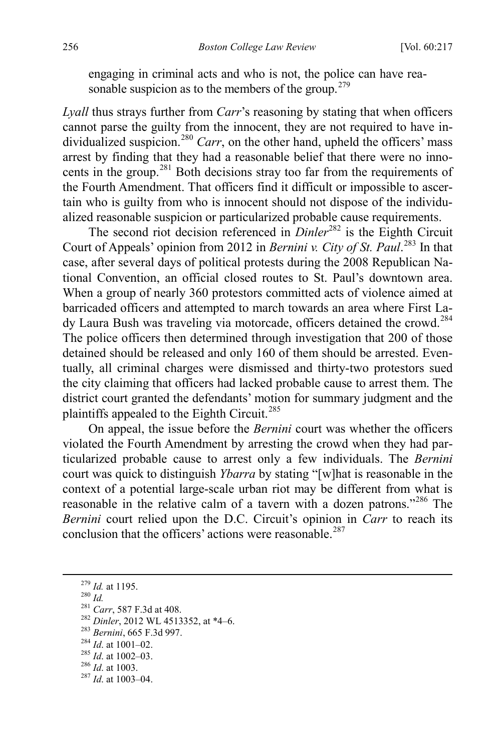engaging in criminal acts and who is not, the police can have rea-sonable suspicion as to the members of the group.<sup>[279](#page-40-0)</sup>

*Lyall* thus strays further from *Carr*'s reasoning by stating that when officers cannot parse the guilty from the innocent, they are not required to have in-dividualized suspicion.<sup>[280](#page-40-1)</sup> *Carr*, on the other hand, upheld the officers' mass arrest by finding that they had a reasonable belief that there were no inno-cents in the group.<sup>[281](#page-40-2)</sup> Both decisions stray too far from the requirements of the Fourth Amendment. That officers find it difficult or impossible to ascertain who is guilty from who is innocent should not dispose of the individualized reasonable suspicion or particularized probable cause requirements.

The second riot decision referenced in *Dinler*<sup>[282](#page-40-3)</sup> is the Eighth Circuit Court of Appeals' opinion from 2012 in *Bernini v. City of St. Paul*. [283](#page-40-4) In that case, after several days of political protests during the 2008 Republican National Convention, an official closed routes to St. Paul's downtown area. When a group of nearly 360 protestors committed acts of violence aimed at barricaded officers and attempted to march towards an area where First La-dy Laura Bush was traveling via motorcade, officers detained the crowd.<sup>[284](#page-40-5)</sup> The police officers then determined through investigation that 200 of those detained should be released and only 160 of them should be arrested. Eventually, all criminal charges were dismissed and thirty-two protestors sued the city claiming that officers had lacked probable cause to arrest them. The district court granted the defendants' motion for summary judgment and the plaintiffs appealed to the Eighth Circuit.<sup>[285](#page-40-6)</sup>

On appeal, the issue before the *Bernini* court was whether the officers violated the Fourth Amendment by arresting the crowd when they had particularized probable cause to arrest only a few individuals. The *Bernini* court was quick to distinguish *Ybarra* by stating "[w]hat is reasonable in the context of a potential large-scale urban riot may be different from what is reasonable in the relative calm of a tavern with a dozen patrons."<sup>[286](#page-40-7)</sup> The *Bernini* court relied upon the D.C. Circuit's opinion in *Carr* to reach its conclusion that the officers' actions were reasonable.  $287$ 

- <span id="page-40-5"></span><span id="page-40-4"></span>
- 
- <span id="page-40-6"></span>
- <span id="page-40-8"></span><span id="page-40-7"></span>
- 

<span id="page-40-3"></span><span id="page-40-2"></span>

<span id="page-40-1"></span><span id="page-40-0"></span><sup>&</sup>lt;sup>279</sup> *Id.* at 1195.<br>
<sup>280</sup> *Id.*<br>
<sup>281</sup> *Carr*, 587 F.3d at 408.<br>
<sup>282</sup> *Dinler*, 2012 WL 4513352, at \*4–6.<br>
<sup>283</sup> *Bernini*, 665 F.3d 997.<br>
<sup>284</sup> *Id.* at 1001–02.<br>
<sup>285</sup> *Id.* at 1002–03.<br>
<sup>286</sup> *Id.* at 1003–04.<br>
<sup>287</sup>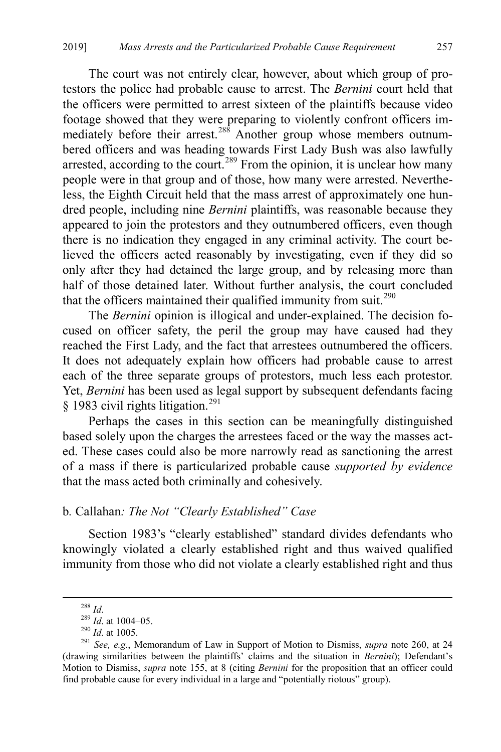The court was not entirely clear, however, about which group of protestors the police had probable cause to arrest. The *Bernini* court held that the officers were permitted to arrest sixteen of the plaintiffs because video footage showed that they were preparing to violently confront officers im-mediately before their arrest.<sup>[288](#page-41-1)</sup> Another group whose members outnumbered officers and was heading towards First Lady Bush was also lawfully arrested, according to the court.<sup>[289](#page-41-2)</sup> From the opinion, it is unclear how many people were in that group and of those, how many were arrested. Nevertheless, the Eighth Circuit held that the mass arrest of approximately one hundred people, including nine *Bernini* plaintiffs, was reasonable because they appeared to join the protestors and they outnumbered officers, even though there is no indication they engaged in any criminal activity. The court believed the officers acted reasonably by investigating, even if they did so only after they had detained the large group, and by releasing more than half of those detained later. Without further analysis, the court concluded that the officers maintained their qualified immunity from suit. $^{290}$  $^{290}$  $^{290}$ 

The *Bernini* opinion is illogical and under-explained. The decision focused on officer safety, the peril the group may have caused had they reached the First Lady, and the fact that arrestees outnumbered the officers. It does not adequately explain how officers had probable cause to arrest each of the three separate groups of protestors, much less each protestor. Yet, *Bernini* has been used as legal support by subsequent defendants facing § 1983 civil rights litigation.<sup>[291](#page-41-4)</sup>

<span id="page-41-0"></span>Perhaps the cases in this section can be meaningfully distinguished based solely upon the charges the arrestees faced or the way the masses acted. These cases could also be more narrowly read as sanctioning the arrest of a mass if there is particularized probable cause *supported by evidence* that the mass acted both criminally and cohesively.

## b*.* Callahan*: The Not "Clearly Established" Case*

Section 1983's "clearly established" standard divides defendants who knowingly violated a clearly established right and thus waived qualified immunity from those who did not violate a clearly established right and thus

<span id="page-41-4"></span><span id="page-41-3"></span><span id="page-41-2"></span><span id="page-41-1"></span><sup>&</sup>lt;sup>288</sup> *Id.*<br><sup>289</sup> *Id.* at 1004–05.<br><sup>290</sup> *Id.* at 1005.<br><sup>291</sup> *See, e.g.*, Memorandum of Law in Support of Motion to Dismiss, *supra* note [260,](#page-38-12) at 24 (drawing similarities between the plaintiffs' claims and the situation in *Bernini*); Defendant's Motion to Dismiss, *supra* note [155,](#page-24-0) at 8 (citing *Bernini* for the proposition that an officer could find probable cause for every individual in a large and "potentially riotous" group).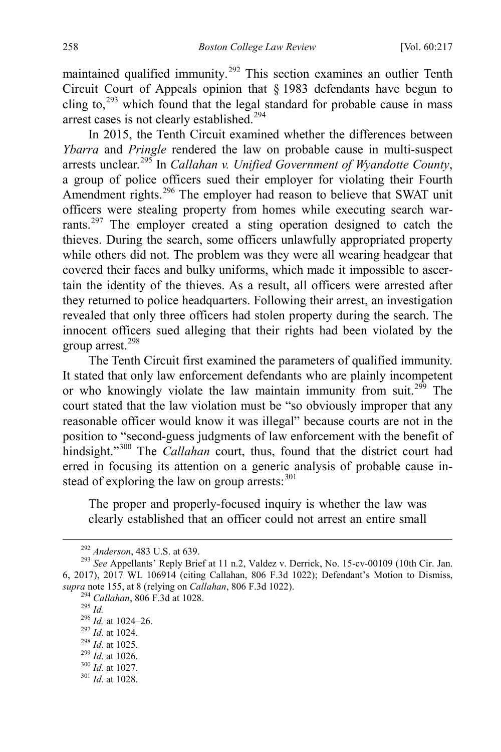maintained qualified immunity.<sup>[292](#page-42-0)</sup> This section examines an outlier Tenth Circuit Court of Appeals opinion that § 1983 defendants have begun to cling to, $^{293}$  $^{293}$  $^{293}$  which found that the legal standard for probable cause in mass arrest cases is not clearly established.<sup>[294](#page-42-2)</sup>

In 2015, the Tenth Circuit examined whether the differences between *Ybarra* and *Pringle* rendered the law on probable cause in multi-suspect arrests unclear.[295](#page-42-3) In *Callahan v. Unified Government of Wyandotte County*, a group of police officers sued their employer for violating their Fourth Amendment rights.<sup>[296](#page-42-4)</sup> The employer had reason to believe that SWAT unit officers were stealing property from homes while executing search war-rants.<sup>[297](#page-42-5)</sup> The employer created a sting operation designed to catch the thieves. During the search, some officers unlawfully appropriated property while others did not. The problem was they were all wearing headgear that covered their faces and bulky uniforms, which made it impossible to ascertain the identity of the thieves. As a result, all officers were arrested after they returned to police headquarters. Following their arrest, an investigation revealed that only three officers had stolen property during the search. The innocent officers sued alleging that their rights had been violated by the group arrest.<sup>[298](#page-42-6)</sup>

The Tenth Circuit first examined the parameters of qualified immunity. It stated that only law enforcement defendants who are plainly incompetent or who knowingly violate the law maintain immunity from suit.<sup>299</sup> The court stated that the law violation must be "so obviously improper that any reasonable officer would know it was illegal" because courts are not in the position to "second-guess judgments of law enforcement with the benefit of hindsight."<sup>300</sup> The *Callahan* court, thus, found that the district court had erred in focusing its attention on a generic analysis of probable cause instead of exploring the law on group arrests:  $301$ 

The proper and properly-focused inquiry is whether the law was clearly established that an officer could not arrest an entire small

<span id="page-42-2"></span><span id="page-42-1"></span><span id="page-42-0"></span><sup>&</sup>lt;sup>292</sup> *Anderson*, 483 U.S. at 639.<br><sup>293</sup> *See* Appellants' Reply Brief at 11 n.2, Valdez v. Derrick, No. 15-cv-00109 (10th Cir. Jan. 6, 2017), 2017 WL 106914 (citing Callahan, 806 F.3d 1022); Defendant's Motion to Dismiss, supra not[e 155,](#page-24-0) at 8 (relying on *Callahan*, 806 F.3d 1022).<br>
<sup>294</sup> Callahan, 806 F.3d at 1028.<br>
<sup>295</sup> Id.<br>
<sup>296</sup> Id. at 1024–26.<br>
<sup>297</sup> Id. at 1024.<br>
<sup>298</sup> Id. at 1025.<br>
<sup>299</sup> Id. at 1026.<br>
<sup>300</sup> Id. at 1027.<br>
<sup>301</sup> Id.

<span id="page-42-4"></span><span id="page-42-3"></span>

<span id="page-42-6"></span><span id="page-42-5"></span>

<span id="page-42-8"></span><span id="page-42-7"></span>

<span id="page-42-9"></span>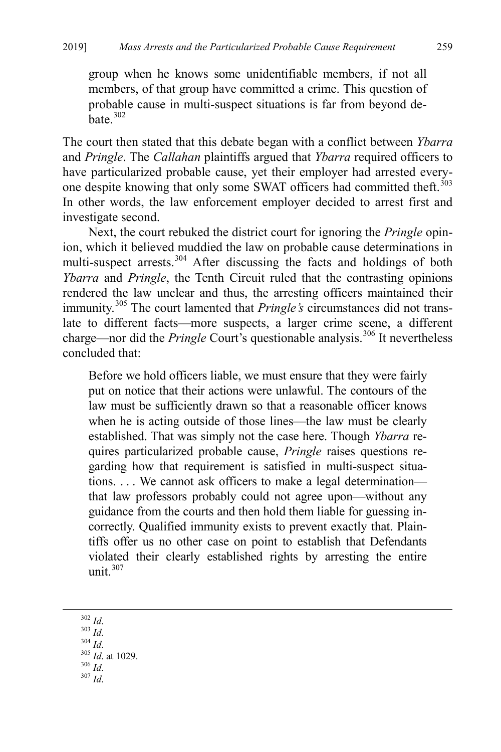group when he knows some unidentifiable members, if not all members, of that group have committed a crime. This question of probable cause in multi-suspect situations is far from beyond de- $\hat{\text{h}}$ ate.<sup>[302](#page-43-0)</sup>

The court then stated that this debate began with a conflict between *Ybarra* and *Pringle*. The *Callahan* plaintiffs argued that *Ybarra* required officers to have particularized probable cause, yet their employer had arrested every-one despite knowing that only some SWAT officers had committed theft.<sup>[303](#page-43-1)</sup> In other words, the law enforcement employer decided to arrest first and investigate second.

Next, the court rebuked the district court for ignoring the *Pringle* opinion, which it believed muddied the law on probable cause determinations in multi-suspect arrests.<sup>[304](#page-43-2)</sup> After discussing the facts and holdings of both *Ybarra* and *Pringle*, the Tenth Circuit ruled that the contrasting opinions rendered the law unclear and thus, the arresting officers maintained their immunity.[305](#page-43-3) The court lamented that *Pringle's* circumstances did not translate to different facts—more suspects, a larger crime scene, a different charge—nor did the *Pringle* Court's questionable analysis.<sup>306</sup> It nevertheless concluded that:

Before we hold officers liable, we must ensure that they were fairly put on notice that their actions were unlawful. The contours of the law must be sufficiently drawn so that a reasonable officer knows when he is acting outside of those lines—the law must be clearly established. That was simply not the case here. Though *Ybarra* requires particularized probable cause, *Pringle* raises questions regarding how that requirement is satisfied in multi-suspect situations. . . . We cannot ask officers to make a legal determination that law professors probably could not agree upon—without any guidance from the courts and then hold them liable for guessing incorrectly. Qualified immunity exists to prevent exactly that. Plaintiffs offer us no other case on point to establish that Defendants violated their clearly established rights by arresting the entire unit. $307$ 

<span id="page-43-5"></span><span id="page-43-4"></span><span id="page-43-3"></span><span id="page-43-2"></span><span id="page-43-1"></span><span id="page-43-0"></span>302 *Id*. 303 *Id*. 304 *Id*. 305 *Id*. at 1029. 306 *Id*. 307 *Id*.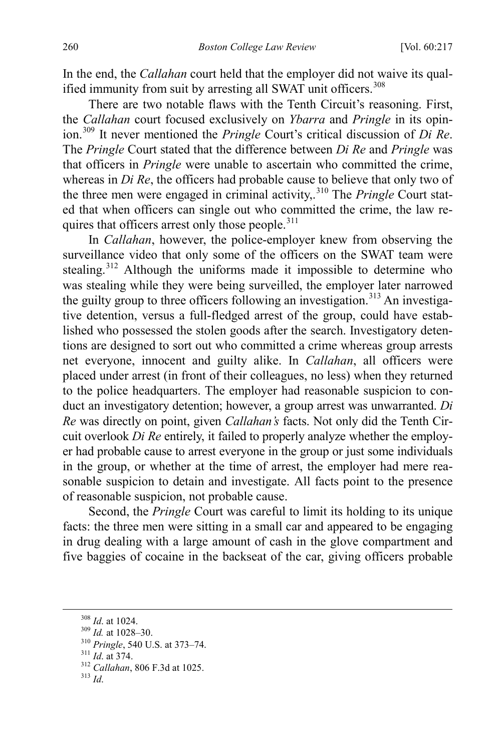In the end, the *Callahan* court held that the employer did not waive its qual-ified immunity from suit by arresting all SWAT unit officers.<sup>[308](#page-44-0)</sup>

There are two notable flaws with the Tenth Circuit's reasoning. First, the *Callahan* court focused exclusively on *Ybarra* and *Pringle* in its opinion.[309](#page-44-1) It never mentioned the *Pringle* Court's critical discussion of *Di Re*. The *Pringle* Court stated that the difference between *Di Re* and *Pringle* was that officers in *Pringle* were unable to ascertain who committed the crime, whereas in *Di Re*, the officers had probable cause to believe that only two of the three men were engaged in criminal activity,.[310](#page-44-2) The *Pringle* Court stated that when officers can single out who committed the crime, the law requires that officers arrest only those people.<sup>311</sup>

In *Callahan*, however, the police-employer knew from observing the surveillance video that only some of the officers on the SWAT team were stealing.[312](#page-44-4) Although the uniforms made it impossible to determine who was stealing while they were being surveilled, the employer later narrowed the guilty group to three officers following an investigation.<sup>313</sup> An investigative detention, versus a full-fledged arrest of the group, could have established who possessed the stolen goods after the search. Investigatory detentions are designed to sort out who committed a crime whereas group arrests net everyone, innocent and guilty alike. In *Callahan*, all officers were placed under arrest (in front of their colleagues, no less) when they returned to the police headquarters. The employer had reasonable suspicion to conduct an investigatory detention; however, a group arrest was unwarranted. *Di Re* was directly on point, given *Callahan's* facts. Not only did the Tenth Circuit overlook *Di Re* entirely, it failed to properly analyze whether the employer had probable cause to arrest everyone in the group or just some individuals in the group, or whether at the time of arrest, the employer had mere reasonable suspicion to detain and investigate. All facts point to the presence of reasonable suspicion, not probable cause.

Second, the *Pringle* Court was careful to limit its holding to its unique facts: the three men were sitting in a small car and appeared to be engaging in drug dealing with a large amount of cash in the glove compartment and five baggies of cocaine in the backseat of the car, giving officers probable

<span id="page-44-2"></span>

<span id="page-44-1"></span><span id="page-44-0"></span><sup>308</sup> *Id*. at 1024. <sup>309</sup> *Id.* at 1028–30. <sup>310</sup> *Pringle*, 540 U.S. at 373–74. <sup>311</sup> *Id*. at 374. <sup>312</sup> *Callahan*, 806 F.3d at 1025. <sup>313</sup> *Id*.

<span id="page-44-4"></span><span id="page-44-3"></span>

<span id="page-44-5"></span>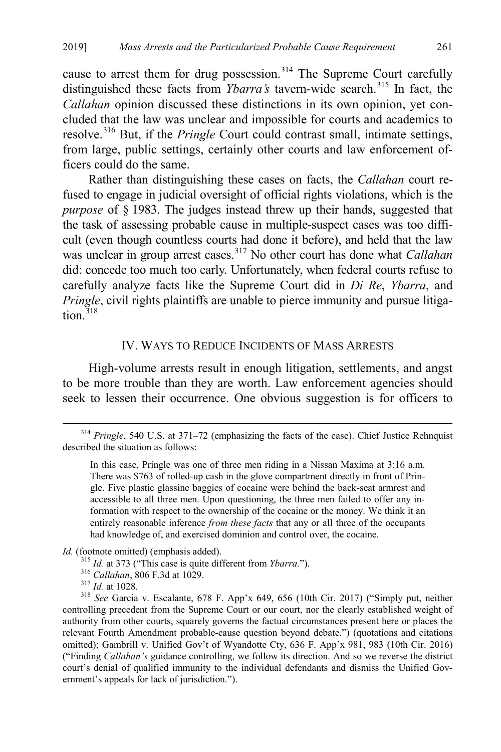cause to arrest them for drug possession.<sup>[314](#page-45-1)</sup> The Supreme Court carefully distinguished these facts from *Ybarra's* tavern-wide search.<sup>[315](#page-45-2)</sup> In fact, the *Callahan* opinion discussed these distinctions in its own opinion, yet concluded that the law was unclear and impossible for courts and academics to resolve.[316](#page-45-3) But, if the *Pringle* Court could contrast small, intimate settings, from large, public settings, certainly other courts and law enforcement officers could do the same.

Rather than distinguishing these cases on facts, the *Callahan* court refused to engage in judicial oversight of official rights violations, which is the *purpose* of § 1983. The judges instead threw up their hands, suggested that the task of assessing probable cause in multiple-suspect cases was too difficult (even though countless courts had done it before), and held that the law was unclear in group arrest cases.[317](#page-45-4) No other court has done what *Callahan* did: concede too much too early. Unfortunately, when federal courts refuse to carefully analyze facts like the Supreme Court did in *Di Re*, *Ybarra*, and *Pringle*, civil rights plaintiffs are unable to pierce immunity and pursue litigation. $318$ 

### <span id="page-45-0"></span>IV. WAYS TO REDUCE INCIDENTS OF MASS ARRESTS

High-volume arrests result in enough litigation, settlements, and angst to be more trouble than they are worth. Law enforcement agencies should seek to lessen their occurrence. One obvious suggestion is for officers to

<span id="page-45-2"></span>*Id.* (footnote omitted) (emphasis added).<br><sup>315</sup> *Id.* at 373 ("This case is quite different from *Ybarra*.").

- 
- 

<span id="page-45-1"></span> <sup>314</sup> *Pringle*, 540 U.S. at 371–72 (emphasizing the facts of the case). Chief Justice Rehnquist described the situation as follows:

In this case, Pringle was one of three men riding in a Nissan Maxima at 3:16 a.m. There was \$763 of rolled-up cash in the glove compartment directly in front of Pringle. Five plastic glassine baggies of cocaine were behind the back-seat armrest and accessible to all three men. Upon questioning, the three men failed to offer any information with respect to the ownership of the cocaine or the money. We think it an entirely reasonable inference *from these facts* that any or all three of the occupants had knowledge of, and exercised dominion and control over, the cocaine.

<span id="page-45-5"></span><span id="page-45-4"></span><span id="page-45-3"></span><sup>&</sup>lt;sup>316</sup> Callahan, 806 F.3d at 1029.<br><sup>317</sup> *Id.* at 1028.<br><sup>318</sup> See Garcia v. Escalante, 678 F. App'x 649, 656 (10th Cir. 2017) ("Simply put, neither controlling precedent from the Supreme Court or our court, nor the clearly established weight of authority from other courts, squarely governs the factual circumstances present here or places the relevant Fourth Amendment probable-cause question beyond debate.") (quotations and citations omitted); Gambrill v. Unified Gov't of Wyandotte Cty, 636 F. App'x 981, 983 (10th Cir. 2016) ("Finding *Callahan's* guidance controlling, we follow its direction. And so we reverse the district court's denial of qualified immunity to the individual defendants and dismiss the Unified Government's appeals for lack of jurisdiction.").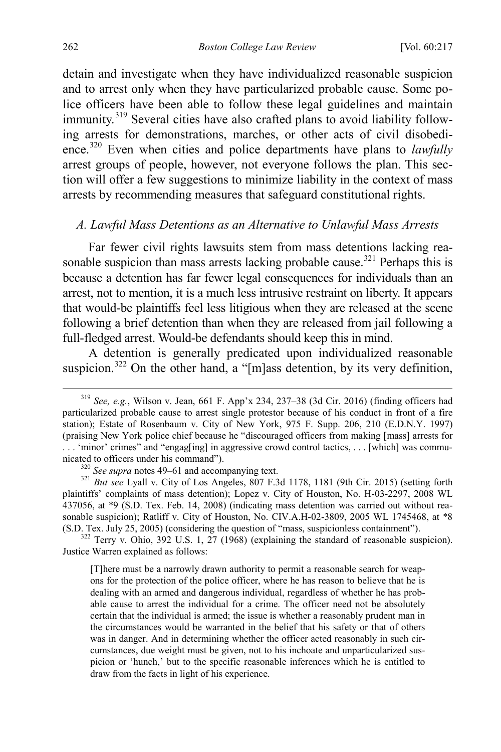<span id="page-46-0"></span>detain and investigate when they have individualized reasonable suspicion and to arrest only when they have particularized probable cause. Some police officers have been able to follow these legal guidelines and maintain immunity.<sup>[319](#page-46-1)</sup> Several cities have also crafted plans to avoid liability following arrests for demonstrations, marches, or other acts of civil disobedience.[320](#page-46-2) Even when cities and police departments have plans to *lawfully* arrest groups of people, however, not everyone follows the plan. This section will offer a few suggestions to minimize liability in the context of mass arrests by recommending measures that safeguard constitutional rights.

### *A. Lawful Mass Detentions as an Alternative to Unlawful Mass Arrests*

Far fewer civil rights lawsuits stem from mass detentions lacking rea-sonable suspicion than mass arrests lacking probable cause.<sup>[321](#page-46-3)</sup> Perhaps this is because a detention has far fewer legal consequences for individuals than an arrest, not to mention, it is a much less intrusive restraint on liberty. It appears that would-be plaintiffs feel less litigious when they are released at the scene following a brief detention than when they are released from jail following a full-fledged arrest. Would-be defendants should keep this in mind.

A detention is generally predicated upon individualized reasonable suspicion.<sup>[322](#page-46-4)</sup> On the other hand, a "[m]ass detention, by its very definition,

<span id="page-46-1"></span> <sup>319</sup> *See, e.g.*, Wilson v. Jean, 661 F. App'x 234, 237–38 (3d Cir. 2016) (finding officers had particularized probable cause to arrest single protestor because of his conduct in front of a fire station); Estate of Rosenbaum v. City of New York, 975 F. Supp. 206, 210 (E.D.N.Y. 1997) (praising New York police chief because he "discouraged officers from making [mass] arrests for . . . 'minor' crimes" and "engag[ing] in aggressive crowd control tactics, . . . [which] was commu-

<span id="page-46-3"></span><span id="page-46-2"></span>nicated to officers under his command").<br><sup>320</sup> *See supra* note[s 49](#page-9-5)[–61](#page-12-0) and accompanying text.<br><sup>321</sup> *But see* Lyall v. City of Los Angeles, 807 F.3d 1178, 1181 (9th Cir. 2015) (setting forth plaintiffs' complaints of mass detention); Lopez v. City of Houston, No. H-03-2297, 2008 WL 437056, at \*9 (S.D. Tex. Feb. 14, 2008) (indicating mass detention was carried out without reasonable suspicion); Ratliff v. City of Houston, No. CIV.A.H-02-3809, 2005 WL 1745468, at \*8 (S.D. Tex. July 25, 2005) (considering the question of "mass, suspicionless containment").  $322$  Terry v. Ohio, 392 U.S. 1, 27 (1968) (explaining the standard of reasonable suspicion).

<span id="page-46-4"></span>Justice Warren explained as follows:

<sup>[</sup>T]here must be a narrowly drawn authority to permit a reasonable search for weapons for the protection of the police officer, where he has reason to believe that he is dealing with an armed and dangerous individual, regardless of whether he has probable cause to arrest the individual for a crime. The officer need not be absolutely certain that the individual is armed; the issue is whether a reasonably prudent man in the circumstances would be warranted in the belief that his safety or that of others was in danger. And in determining whether the officer acted reasonably in such circumstances, due weight must be given, not to his inchoate and unparticularized suspicion or 'hunch,' but to the specific reasonable inferences which he is entitled to draw from the facts in light of his experience.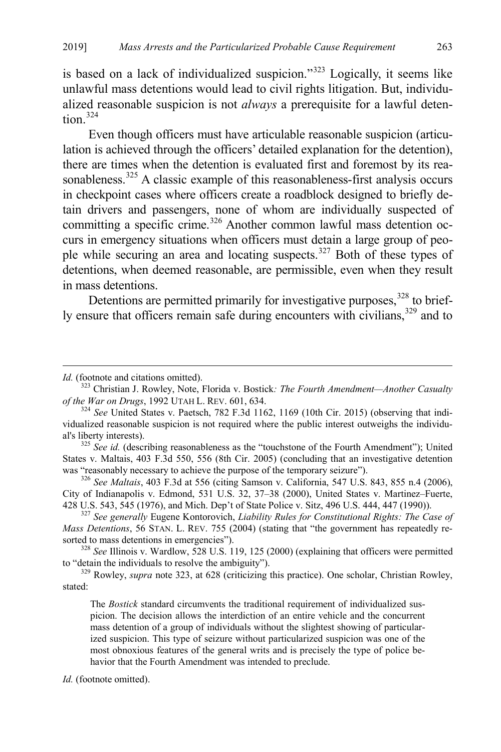<span id="page-47-0"></span>is based on a lack of individualized suspicion." $323$  Logically, it seems like unlawful mass detentions would lead to civil rights litigation. But, individualized reasonable suspicion is not *always* a prerequisite for a lawful deten- $tion.<sup>324</sup>$  $tion.<sup>324</sup>$  $tion.<sup>324</sup>$ 

Even though officers must have articulable reasonable suspicion (articulation is achieved through the officers' detailed explanation for the detention), there are times when the detention is evaluated first and foremost by its rea-sonableness.<sup>[325](#page-47-3)</sup> A classic example of this reasonableness-first analysis occurs in checkpoint cases where officers create a roadblock designed to briefly detain drivers and passengers, none of whom are individually suspected of committing a specific crime.<sup>[326](#page-47-4)</sup> Another common lawful mass detention occurs in emergency situations when officers must detain a large group of peo-ple while securing an area and locating suspects.<sup>[327](#page-47-5)</sup> Both of these types of detentions, when deemed reasonable, are permissible, even when they result in mass detentions.

Detentions are permitted primarily for investigative purposes,<sup>[328](#page-47-6)</sup> to brief-ly ensure that officers remain safe during encounters with civilians,<sup>[329](#page-47-7)</sup> and to

 $\overline{a}$ 

<span id="page-47-6"></span><sup>328</sup> See Illinois v. Wardlow, 528 U.S. 119, 125 (2000) (explaining that officers were permitted to "detain the individuals to resolve the ambiguity").

<span id="page-47-7"></span><sup>329</sup> Rowley, *supra* note [323,](#page-47-0) at 628 (criticizing this practice). One scholar, Christian Rowley, stated:

The *Bostick* standard circumvents the traditional requirement of individualized suspicion. The decision allows the interdiction of an entire vehicle and the concurrent mass detention of a group of individuals without the slightest showing of particularized suspicion. This type of seizure without particularized suspicion was one of the most obnoxious features of the general writs and is precisely the type of police behavior that the Fourth Amendment was intended to preclude.

*Id.* (footnote omitted).

*Id.* (footnote and citations omitted).

<span id="page-47-1"></span><sup>323</sup> Christian J. Rowley, Note, Florida v. Bostick*: The Fourth Amendment—Another Casualty of the War on Drugs*, 1992 UTAH L. REV. 601, 634.<br><sup>324</sup> *See* United States v. Paetsch, 782 F.3d 1162, 1169 (10th Cir. 2015) (observing that indi-

<span id="page-47-2"></span>vidualized reasonable suspicion is not required where the public interest outweighs the individual's liberty interests).<br><sup>325</sup> *See id.* (describing reasonableness as the "touchstone of the Fourth Amendment"); United

<span id="page-47-3"></span>States v. Maltais, 403 F.3d 550, 556 (8th Cir. 2005) (concluding that an investigative detention was "reasonably necessary to achieve the purpose of the temporary seizure"). <sup>326</sup> *See Maltais*, 403 F.3d at 556 (citing Samson v. California, 547 U.S. 843, 855 n.4 (2006),

<span id="page-47-4"></span>City of Indianapolis v. Edmond, 531 U.S. 32, 37–38 (2000), United States v. Martinez–Fuerte, 428 U.S. 543, 545 (1976), and Mich. Dep't of State Police v. Sitz, 496 U.S. 444, 447 (1990)). <sup>327</sup> *See generally* Eugene Kontorovich, *Liability Rules for Constitutional Rights: The Case of* 

<span id="page-47-5"></span>*Mass Detentions*, 56 STAN. L. REV. 755 (2004) (stating that "the government has repeatedly resorted to mass detentions in emergencies").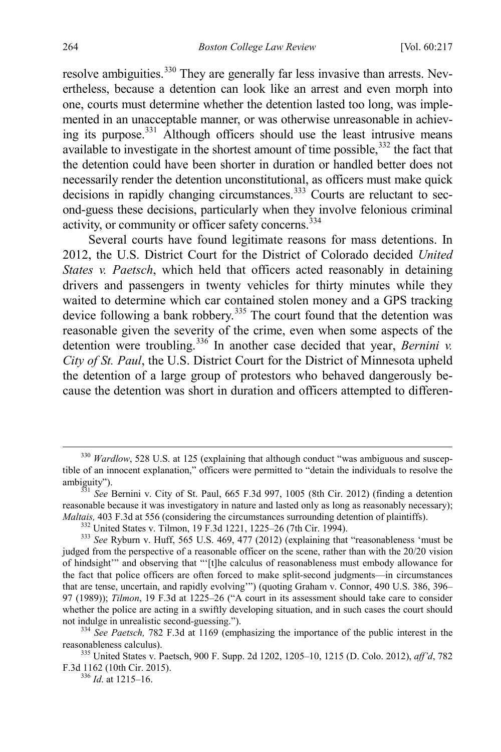resolve ambiguities.<sup>[330](#page-48-0)</sup> They are generally far less invasive than arrests. Nevertheless, because a detention can look like an arrest and even morph into one, courts must determine whether the detention lasted too long, was implemented in an unacceptable manner, or was otherwise unreasonable in achieving its purpose.[331](#page-48-1) Although officers should use the least intrusive means available to investigate in the shortest amount of time possible, $332$  the fact that the detention could have been shorter in duration or handled better does not necessarily render the detention unconstitutional, as officers must make quick decisions in rapidly changing circumstances.<sup>[333](#page-48-3)</sup> Courts are reluctant to second-guess these decisions, particularly when they involve felonious criminal activity, or community or officer safety concerns.<sup>[334](#page-48-4)</sup>

Several courts have found legitimate reasons for mass detentions. In 2012, the U.S. District Court for the District of Colorado decided *United States v. Paetsch*, which held that officers acted reasonably in detaining drivers and passengers in twenty vehicles for thirty minutes while they waited to determine which car contained stolen money and a GPS tracking device following a bank robbery.<sup>[335](#page-48-5)</sup> The court found that the detention was reasonable given the severity of the crime, even when some aspects of the detention were troubling.<sup>[336](#page-48-6)</sup> In another case decided that year, *Bernini v. City of St. Paul*, the U.S. District Court for the District of Minnesota upheld the detention of a large group of protestors who behaved dangerously because the detention was short in duration and officers attempted to differen-

<span id="page-48-4"></span>not indulge in unrealistic second-guessing.").<br><sup>334</sup> *See Paetsch*, 782 F.3d at 1169 (emphasizing the importance of the public interest in the reasonableness calculus).

<span id="page-48-6"></span><span id="page-48-5"></span>335 United States v. Paetsch, 900 F. Supp. 2d 1202, 1205–10, 1215 (D. Colo. 2012), *aff'd*, 782 F.3d 1162 (10th Cir. 2015). 336 *Id*. at 1215–16.

<span id="page-48-0"></span><sup>&</sup>lt;sup>330</sup> *Wardlow*, 528 U.S. at 125 (explaining that although conduct "was ambiguous and susceptible of an innocent explanation," officers were permitted to "detain the individuals to resolve the ambiguity"). <sup>331</sup> *See* Bernini v. City of St. Paul, 665 F.3d 997, 1005 (8th Cir. 2012) (finding a detention

<span id="page-48-1"></span>reasonable because it was investigatory in nature and lasted only as long as reasonably necessary); *Maltais*, 403 F.3d at 556 (considering the circumstances surrounding detention of plaintiffs).<br><sup>332</sup> United States v. Tilmon, 19 F.3d 1221, 1225–26 (7th Cir. 1994).<br><sup>333</sup> See Ryburn v. Huff, 565 U.S. 469, 477 (2012) (expl

<span id="page-48-3"></span><span id="page-48-2"></span>judged from the perspective of a reasonable officer on the scene, rather than with the 20/20 vision of hindsight'" and observing that "'[t]he calculus of reasonableness must embody allowance for the fact that police officers are often forced to make split-second judgments—in circumstances that are tense, uncertain, and rapidly evolving'") (quoting Graham v. Connor, 490 U.S. 386, 396– 97 (1989)); *Tilmon*, 19 F.3d at 1225–26 ("A court in its assessment should take care to consider whether the police are acting in a swiftly developing situation, and in such cases the court should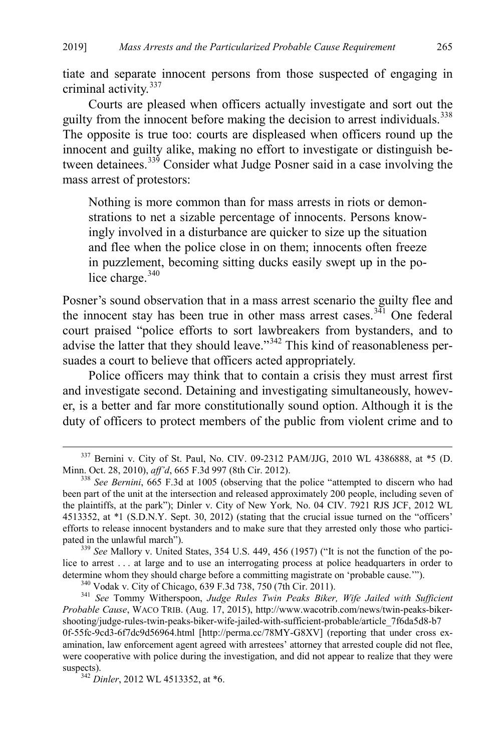tiate and separate innocent persons from those suspected of engaging in criminal activity.[337](#page-49-0)

Courts are pleased when officers actually investigate and sort out the guilty from the innocent before making the decision to arrest individuals.<sup>[338](#page-49-1)</sup> The opposite is true too: courts are displeased when officers round up the innocent and guilty alike, making no effort to investigate or distinguish be-tween detainees.<sup>[339](#page-49-2)</sup> Consider what Judge Posner said in a case involving the mass arrest of protestors:

Nothing is more common than for mass arrests in riots or demonstrations to net a sizable percentage of innocents. Persons knowingly involved in a disturbance are quicker to size up the situation and flee when the police close in on them; innocents often freeze in puzzlement, becoming sitting ducks easily swept up in the police charge. $340$ 

Posner's sound observation that in a mass arrest scenario the guilty flee and the innocent stay has been true in other mass arrest cases.<sup>[341](#page-49-4)</sup> One federal court praised "police efforts to sort lawbreakers from bystanders, and to advise the latter that they should leave."<sup>[342](#page-49-5)</sup> This kind of reasonableness persuades a court to believe that officers acted appropriately.

Police officers may think that to contain a crisis they must arrest first and investigate second. Detaining and investigating simultaneously, however, is a better and far more constitutionally sound option. Although it is the duty of officers to protect members of the public from violent crime and to

<span id="page-49-2"></span><sup>339</sup> See Mallory v. United States, 354 U.S. 449, 456 (1957) ("It is not the function of the police to arrest . . . at large and to use an interrogating process at police headquarters in order to determine whom they should charge before a committing magistrate on 'probable cause.'").<br><sup>340</sup> Vodak v. City of Chicago, 639 F.3d 738, 750 (7th Cir. 2011).<br><sup>341</sup> See Tommy Witherspoon, Judge Rules Twin Peaks Biker, Wife Ja

<span id="page-49-4"></span><span id="page-49-3"></span>*Probable Cause*, WACO TRIB. (Aug. 17, 2015), http://www.wacotrib.com/news/twin-peaks-bikershooting/judge-rules-twin-peaks-biker-wife-jailed-with-sufficient-probable/article\_7f6da5d8-b7 0f-55fc-9cd3-6f7dc9d56964.html [http://perma.cc/78MY-G8XV] (reporting that under cross examination, law enforcement agent agreed with arrestees' attorney that arrested couple did not flee, were cooperative with police during the investigation, and did not appear to realize that they were suspects). <sup>342</sup> *Dinler*, 2012 WL 4513352, at \*6.

<span id="page-49-5"></span>

<span id="page-49-0"></span> $337$  Bernini v. City of St. Paul, No. CIV. 09-2312 PAM/JJG, 2010 WL 4386888, at \*5 (D. Minn. Oct. 28, 2010), *aff'd*, 665 F.3d 997 (8th Cir. 2012).

<span id="page-49-1"></span><sup>&</sup>lt;sup>338</sup> See Bernini, 665 F.3d at 1005 (observing that the police "attempted to discern who had been part of the unit at the intersection and released approximately 200 people, including seven of the plaintiffs, at the park"); Dinler v. City of New York*,* No. 04 CIV. 7921 RJS JCF, 2012 WL 4513352, at \*1 (S.D.N.Y. Sept. 30, 2012) (stating that the crucial issue turned on the "officers' efforts to release innocent bystanders and to make sure that they arrested only those who partici-<br>pated in the unlawful march").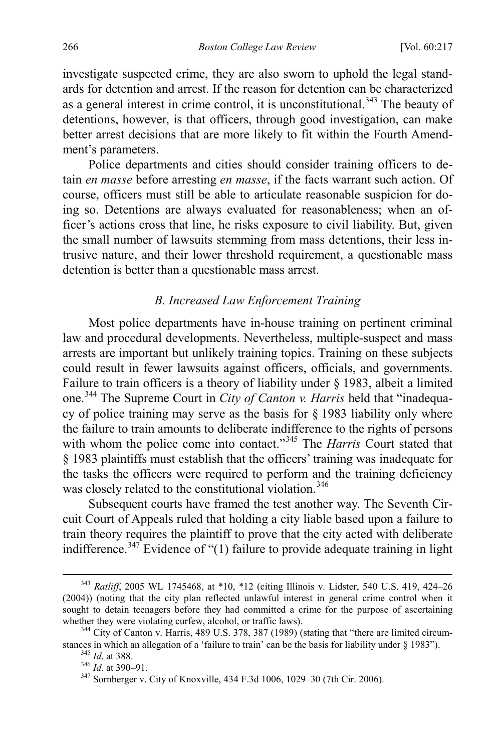investigate suspected crime, they are also sworn to uphold the legal standards for detention and arrest. If the reason for detention can be characterized as a general interest in crime control, it is unconstitutional.<sup>343</sup> The beauty of detentions, however, is that officers, through good investigation, can make better arrest decisions that are more likely to fit within the Fourth Amendment's parameters.

Police departments and cities should consider training officers to detain *en masse* before arresting *en masse*, if the facts warrant such action. Of course, officers must still be able to articulate reasonable suspicion for doing so. Detentions are always evaluated for reasonableness; when an officer's actions cross that line, he risks exposure to civil liability. But, given the small number of lawsuits stemming from mass detentions, their less intrusive nature, and their lower threshold requirement, a questionable mass detention is better than a questionable mass arrest.

## *B. Increased Law Enforcement Training*

Most police departments have in-house training on pertinent criminal law and procedural developments. Nevertheless, multiple-suspect and mass arrests are important but unlikely training topics. Training on these subjects could result in fewer lawsuits against officers, officials, and governments. Failure to train officers is a theory of liability under § 1983, albeit a limited one.[344](#page-50-1) The Supreme Court in *City of Canton v. Harris* held that "inadequacy of police training may serve as the basis for  $\S$  1983 liability only where the failure to train amounts to deliberate indifference to the rights of persons with whom the police come into contact."<sup>345</sup> The *Harris* Court stated that § 1983 plaintiffs must establish that the officers' training was inadequate for the tasks the officers were required to perform and the training deficiency was closely related to the constitutional violation.<sup>[346](#page-50-3)</sup>

Subsequent courts have framed the test another way. The Seventh Circuit Court of Appeals ruled that holding a city liable based upon a failure to train theory requires the plaintiff to prove that the city acted with deliberate indifference.<sup>[347](#page-50-4)</sup> Evidence of "(1) failure to provide adequate training in light

<span id="page-50-0"></span> <sup>343</sup> *Ratliff*, 2005 WL 1745468, at \*10, \*12 (citing Illinois v. Lidster, 540 U.S. 419, 424–26 (2004)) (noting that the city plan reflected unlawful interest in general crime control when it sought to detain teenagers before they had committed a crime for the purpose of ascertaining

<span id="page-50-3"></span><span id="page-50-2"></span><span id="page-50-1"></span>whether they were violating curfew, alcohol, or traffic laws).<br><sup>344</sup> City of Canton v. Harris, 489 U.S. 378, 387 (1989) (stating that "there are limited circum-<br>stances in which an allegation of a 'failure to train' can be

<span id="page-50-4"></span><sup>&</sup>lt;sup>345</sup> *Id.* at 388.<br><sup>346</sup> *Id.* at 390–91.<br><sup>347</sup> Sornberger v. City of Knoxville, 434 F.3d 1006, 1029–30 (7th Cir. 2006).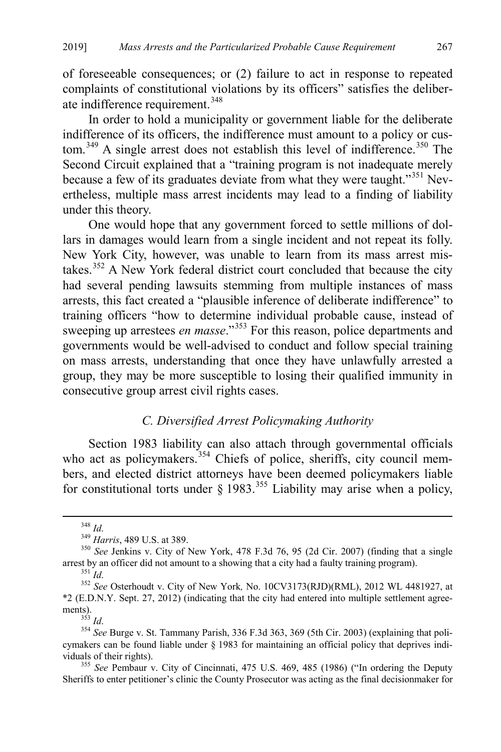of foreseeable consequences; or (2) failure to act in response to repeated complaints of constitutional violations by its officers" satisfies the deliber-ate indifference requirement.<sup>[348](#page-51-0)</sup>

In order to hold a municipality or government liable for the deliberate indifference of its officers, the indifference must amount to a policy or cus-tom.<sup>[349](#page-51-1)</sup> A single arrest does not establish this level of indifference.<sup>[350](#page-51-2)</sup> The Second Circuit explained that a "training program is not inadequate merely because a few of its graduates deviate from what they were taught."<sup>[351](#page-51-3)</sup> Nevertheless, multiple mass arrest incidents may lead to a finding of liability under this theory.

One would hope that any government forced to settle millions of dollars in damages would learn from a single incident and not repeat its folly. New York City, however, was unable to learn from its mass arrest mistakes.[352](#page-51-4) A New York federal district court concluded that because the city had several pending lawsuits stemming from multiple instances of mass arrests, this fact created a "plausible inference of deliberate indifference" to training officers "how to determine individual probable cause, instead of sweeping up arrestees *en masse*."<sup>[353](#page-51-5)</sup> For this reason, police departments and governments would be well-advised to conduct and follow special training on mass arrests, understanding that once they have unlawfully arrested a group, they may be more susceptible to losing their qualified immunity in consecutive group arrest civil rights cases.

### *C. Diversified Arrest Policymaking Authority*

Section 1983 liability can also attach through governmental officials who act as policymakers.<sup>[354](#page-51-6)</sup> Chiefs of police, sheriffs, city council members, and elected district attorneys have been deemed policymakers liable for constitutional torts under  $\S$  1983.<sup>[355](#page-51-7)</sup> Liability may arise when a policy,

<span id="page-51-1"></span><span id="page-51-0"></span><sup>&</sup>lt;sup>348</sup> *Id.* <sup>349</sup> *Harris*, 489 U.S. at 389. 350 *See Jenkins v. City of New York, 478 F.3d 76, 95 (2d Cir. 2007) (finding that a single arrest by an officer did not amount to a showing that a city had a faulty training pr* 

<span id="page-51-4"></span><span id="page-51-3"></span><span id="page-51-2"></span><sup>&</sup>lt;sup>351</sup>*Id.* 351 *Id.* 351 *Id.* 351 *Id.* 352 *See* Osterhoudt v. City of New York, No. 10CV3173(RJD)(RML), 2012 WL 4481927, at \*2 (E.D.N.Y. Sept. 27, 2012) (indicating that the city had entered into multiple settlement agreements).

<span id="page-51-6"></span><span id="page-51-5"></span><sup>&</sup>lt;sup>354</sup> See Burge v. St. Tammany Parish, 336 F.3d 363, 369 (5th Cir. 2003) (explaining that policymakers can be found liable under § 1983 for maintaining an official policy that deprives individuals of their rights). <sup>355</sup> *See* Pembaur v. City of Cincinnati, 475 U.S. 469, 485 (1986) ("In ordering the Deputy

<span id="page-51-7"></span>Sheriffs to enter petitioner's clinic the County Prosecutor was acting as the final decisionmaker for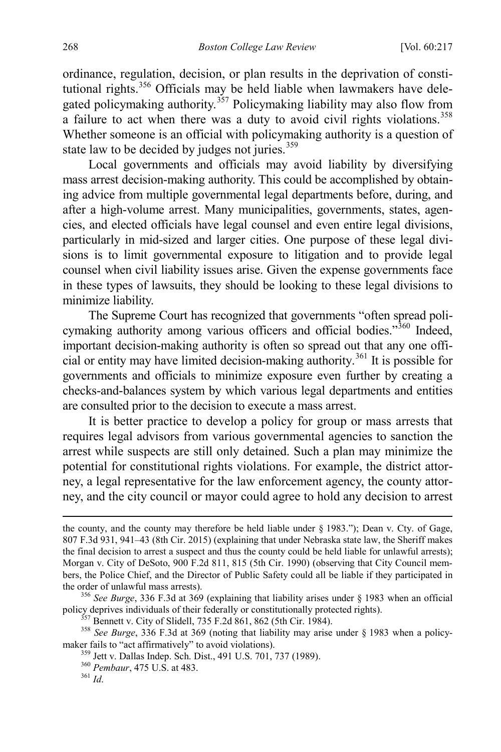ordinance, regulation, decision, or plan results in the deprivation of constitutional rights.[356](#page-52-0) Officials may be held liable when lawmakers have dele-gated policymaking authority.<sup>[357](#page-52-1)</sup> Policymaking liability may also flow from a failure to act when there was a duty to avoid civil rights violations.<sup>[358](#page-52-2)</sup> Whether someone is an official with policymaking authority is a question of state law to be decided by judges not juries. $359$ 

Local governments and officials may avoid liability by diversifying mass arrest decision-making authority. This could be accomplished by obtaining advice from multiple governmental legal departments before, during, and after a high-volume arrest. Many municipalities, governments, states, agencies, and elected officials have legal counsel and even entire legal divisions, particularly in mid-sized and larger cities. One purpose of these legal divisions is to limit governmental exposure to litigation and to provide legal counsel when civil liability issues arise. Given the expense governments face in these types of lawsuits, they should be looking to these legal divisions to minimize liability.

The Supreme Court has recognized that governments "often spread poli-cymaking authority among various officers and official bodies."<sup>[360](#page-52-4)</sup> Indeed, important decision-making authority is often so spread out that any one official or entity may have limited decision-making authority. [361](#page-52-5) It is possible for governments and officials to minimize exposure even further by creating a checks-and-balances system by which various legal departments and entities are consulted prior to the decision to execute a mass arrest.

It is better practice to develop a policy for group or mass arrests that requires legal advisors from various governmental agencies to sanction the arrest while suspects are still only detained. Such a plan may minimize the potential for constitutional rights violations. For example, the district attorney, a legal representative for the law enforcement agency, the county attorney, and the city council or mayor could agree to hold any decision to arrest

the county, and the county may therefore be held liable under § 1983."); Dean v. Cty. of Gage, 807 F.3d 931, 941–43 (8th Cir. 2015) (explaining that under Nebraska state law, the Sheriff makes the final decision to arrest a suspect and thus the county could be held liable for unlawful arrests); Morgan v. City of DeSoto, 900 F.2d 811, 815 (5th Cir. 1990) (observing that City Council members, the Police Chief, and the Director of Public Safety could all be liable if they participated in

<span id="page-52-0"></span>the order of unlawful mass arrests).<br><sup>356</sup> *See Burge*, 336 F.3d at 369 (explaining that liability arises under § 1983 when an official<br>policy deprives individuals of their federally or constitutionally protected rights).

<span id="page-52-4"></span><span id="page-52-3"></span><span id="page-52-2"></span><span id="page-52-1"></span><sup>&</sup>lt;sup>357</sup> Bennett v. City of Slidell, 735 F.2d 861, 862 (5th Cir. 1984).<br><sup>358</sup> See Burge, 336 F.3d at 369 (noting that liability may arise under § 1983 when a policy-<br>maker fails to "act affirmatively" to avoid violations).

<sup>&</sup>lt;sup>359</sup> Jett v. Dallas Indep. Sch. Dist., 491 U.S. 701, 737 (1989).<br><sup>360</sup> *Pembaur*, 475 U.S. at 483. <sup>361</sup> *Id.* 

<span id="page-52-5"></span>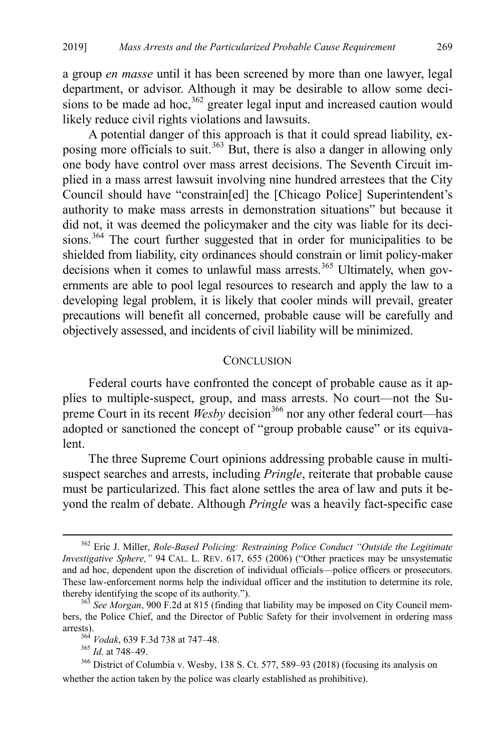a group *en masse* until it has been screened by more than one lawyer, legal department, or advisor. Although it may be desirable to allow some decisions to be made ad hoc,  $362$  greater legal input and increased caution would likely reduce civil rights violations and lawsuits.

A potential danger of this approach is that it could spread liability, ex-posing more officials to suit.<sup>[363](#page-53-2)</sup> But, there is also a danger in allowing only one body have control over mass arrest decisions. The Seventh Circuit implied in a mass arrest lawsuit involving nine hundred arrestees that the City Council should have "constrain[ed] the [Chicago Police] Superintendent's authority to make mass arrests in demonstration situations" but because it did not, it was deemed the policymaker and the city was liable for its deci-sions.<sup>[364](#page-53-3)</sup> The court further suggested that in order for municipalities to be shielded from liability, city ordinances should constrain or limit policy-maker decisions when it comes to unlawful mass arrests.<sup>[365](#page-53-4)</sup> Ultimately, when governments are able to pool legal resources to research and apply the law to a developing legal problem, it is likely that cooler minds will prevail, greater precautions will benefit all concerned, probable cause will be carefully and objectively assessed, and incidents of civil liability will be minimized.

#### <span id="page-53-0"></span>**CONCLUSION**

Federal courts have confronted the concept of probable cause as it applies to multiple-suspect, group, and mass arrests. No court—not the Supreme Court in its recent *Wesby* decision<sup>[366](#page-53-5)</sup> nor any other federal court—has adopted or sanctioned the concept of "group probable cause" or its equivalent.

The three Supreme Court opinions addressing probable cause in multisuspect searches and arrests, including *Pringle*, reiterate that probable cause must be particularized. This fact alone settles the area of law and puts it beyond the realm of debate. Although *Pringle* was a heavily fact-specific case

<span id="page-53-1"></span> <sup>362</sup> Eric J. Miller, *Role-Based Policing: Restraining Police Conduct "Outside the Legitimate Investigative Sphere,"* 94 CAL. L. REV. 617, 655 (2006) ("Other practices may be unsystematic and ad hoc, dependent upon the discretion of individual officials—police officers or prosecutors. These law-enforcement norms help the individual officer and the institution to determine its role, thereby identifying the scope of its authority."). <sup>363</sup> *See Morgan*, 900 F.2d at 815 (finding that liability may be imposed on City Council mem-

<span id="page-53-2"></span>bers, the Police Chief, and the Director of Public Safety for their involvement in ordering mass arrests). <sup>364</sup> *Vodak*, 639 F.3d 738 at 747–48. <sup>365</sup> *Id*. at 748–49.

<span id="page-53-5"></span><span id="page-53-4"></span><span id="page-53-3"></span><sup>366</sup> District of Columbia v. Wesby, 138 S. Ct. 577, 589–93 (2018) (focusing its analysis on whether the action taken by the police was clearly established as prohibitive).